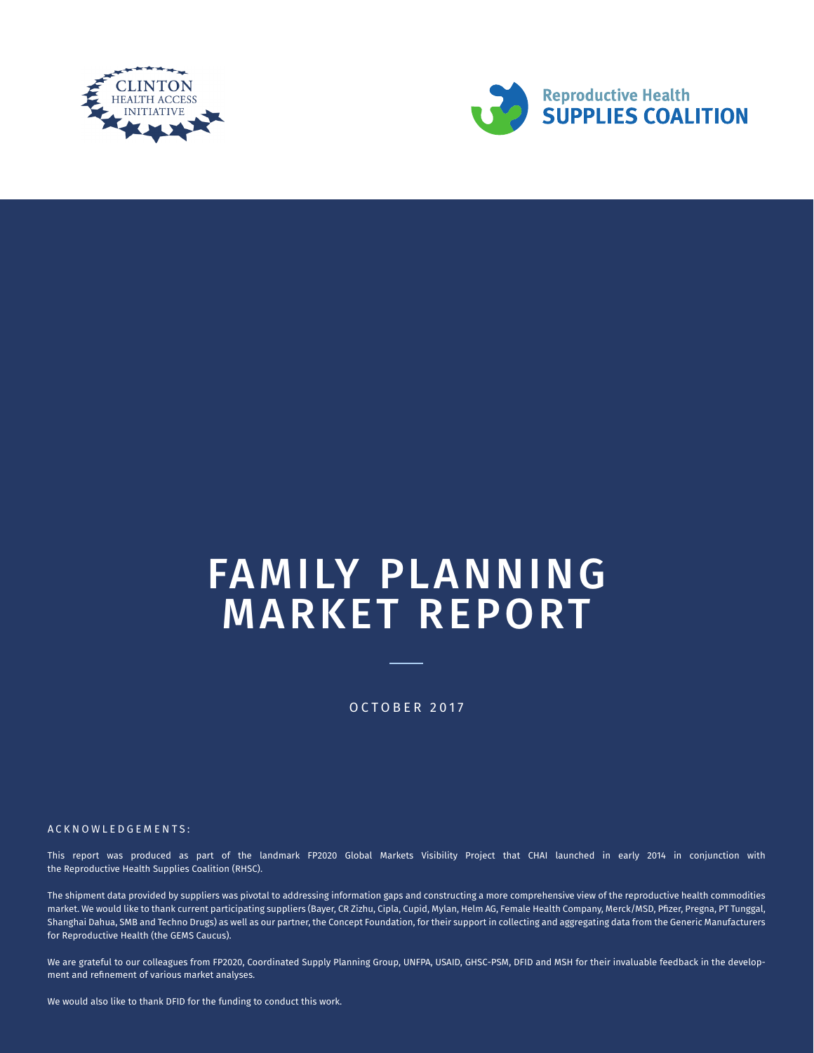



# FAMILY PLANNING MARKET REPORT

OCTOBER 2017

ACKNOWLEDGEMENTS :

This report was produced as part of the landmark FP2020 Global Markets Visibility Project that CHAI launched in early 2014 in conjunction with the Reproductive Health Supplies Coalition (RHSC).

The shipment data provided by suppliers was pivotal to addressing information gaps and constructing a more comprehensive view of the reproductive health commodities market. We would like to thank current participating suppliers (Bayer, CR Zizhu, Cipla, Cupid, Mylan, Helm AG, Female Health Company, Merck/MSD, Pfizer, Pregna, PT Tunggal, Shanghai Dahua, SMB and Techno Drugs) as well as our partner, the Concept Foundation, for their support in collecting and aggregating data from the Generic Manufacturers for Reproductive Health (the GEMS Caucus).

We are grateful to our colleagues from FP2020, Coordinated Supply Planning Group, UNFPA, USAID, GHSC-PSM, DFID and MSH for their invaluable feedback in the development and refinement of various market analyses.

We would also like to thank DFID for the funding to conduct this work.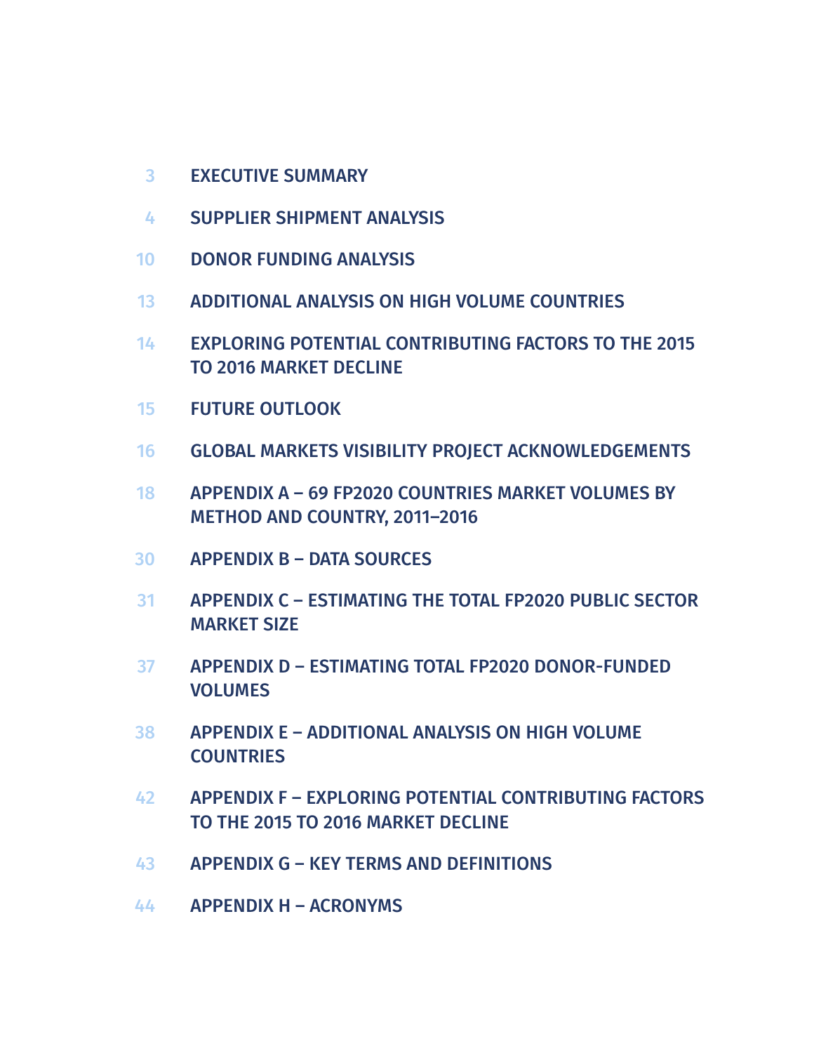- EXECUTIVE SUMMARY 3
- SUPPLIER SHIPMENT ANALYSIS 4
- DONOR FUNDING ANALYSIS 10
- ADDITIONAL ANALYSIS ON HIGH VOLUME COUNTRIES 13
- EXPLORING POTENTIAL CONTRIBUTING FACTORS TO THE 2015 TO 2016 MARKET DECLINE 14
- FUTURE OUTLOOK 15
- GLOBAL MARKETS VISIBILITY PROJECT ACKNOWLEDGEMENTS 16
- APPENDIX A 69 FP2020 COUNTRIES MARKET VOLUMES BY METHOD AND COUNTRY, 2011–2016 18
- APPENDIX B DATA SOURCES 30
- APPENDIX C ESTIMATING THE TOTAL FP2020 PUBLIC SECTOR MARKET SIZE 31
- APPENDIX D ESTIMATING TOTAL FP2020 DONOR-FUNDED VOLUMES 37
- APPENDIX E ADDITIONAL ANALYSIS ON HIGH VOLUME **COUNTRIES** 38
- APPENDIX F EXPLORING POTENTIAL CONTRIBUTING FACTORS TO THE 2015 TO 2016 MARKET DECLINE 42
- APPENDIX G KEY TERMS AND DEFINITIONS 43
- APPENDIX H ACRONYMS 44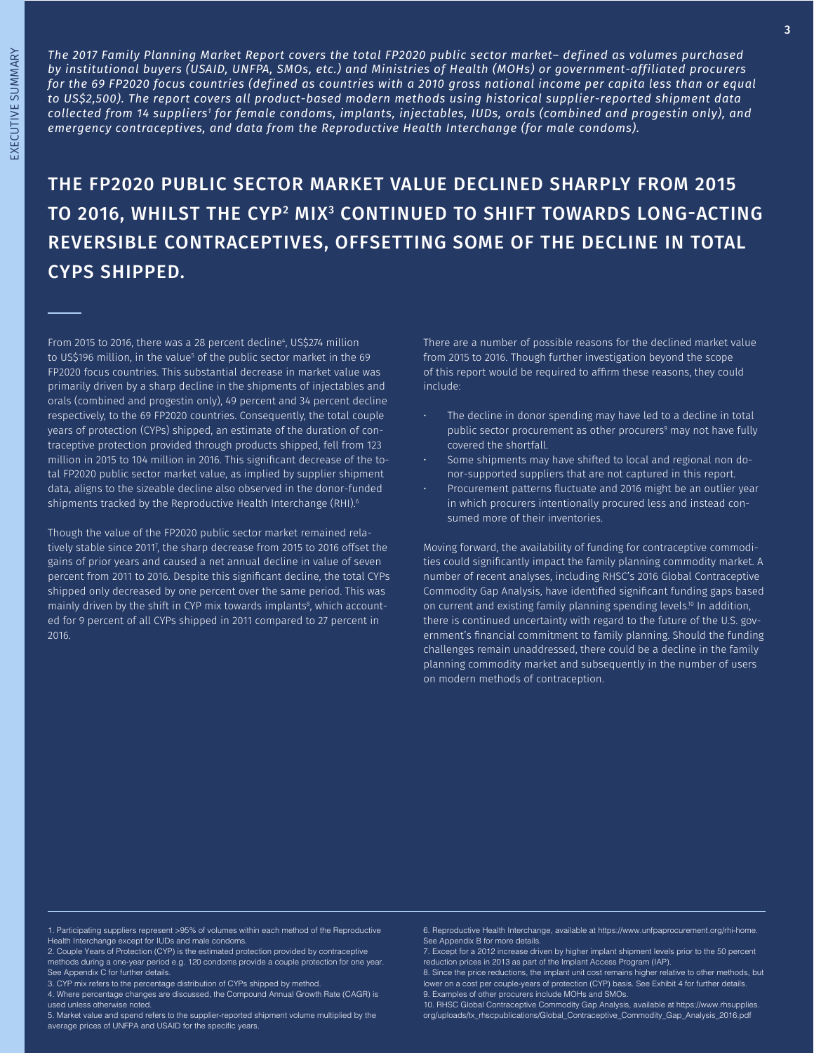*The 2017 Family Planning Market Report covers the total FP2020 public sector market– defined as volumes purchased by institutional buyers (USAID, UNFPA, SMOs, etc.) and Ministries of Health (MOHs) or government-affiliated procurers for the 69 FP2020 focus countries (defined as countries with a 2010 gross national income per capita less than or equal to US\$2,500). The report covers all product-based modern methods using historical supplier-reported shipment data collected from 14 suppliers1 for female condoms, implants, injectables, IUDs, orals (combined and progestin only), and emergency contraceptives, and data from the Reproductive Health Interchange (for male condoms).*

THE FP2020 PUBLIC SECTOR MARKET VALUE DECLINED SHARPLY FROM 2015 TO 2016, WHILST THE CYP<sup>2</sup> MIX<sup>3</sup> CONTINUED TO SHIFT TOWARDS LONG-ACTING REVERSIBLE CONTRACEPTIVES, OFFSETTING SOME OF THE DECLINE IN TOTAL CYPS SHIPPED.

From 2015 to 2016, there was a 28 percent decline<sup>4</sup>, US\$274 million to US\$196 million, in the value<sup>s</sup> of the public sector market in the 69 FP2020 focus countries. This substantial decrease in market value was primarily driven by a sharp decline in the shipments of injectables and orals (combined and progestin only), 49 percent and 34 percent decline respectively, to the 69 FP2020 countries. Consequently, the total couple years of protection (CYPs) shipped, an estimate of the duration of contraceptive protection provided through products shipped, fell from 123 million in 2015 to 104 million in 2016. This significant decrease of the total FP2020 public sector market value, as implied by supplier shipment data, aligns to the sizeable decline also observed in the donor-funded shipments tracked by the Reproductive Health Interchange (RHI).<sup>6</sup>

Though the value of the FP2020 public sector market remained relatively stable since 20117 , the sharp decrease from 2015 to 2016 offset the gains of prior years and caused a net annual decline in value of seven percent from 2011 to 2016. Despite this significant decline, the total CYPs shipped only decreased by one percent over the same period. This was mainly driven by the shift in CYP mix towards implants $^{\text{\tiny{8}}}$ , which accounted for 9 percent of all CYPs shipped in 2011 compared to 27 percent in 2016.

There are a number of possible reasons for the declined market value from 2015 to 2016. Though further investigation beyond the scope of this report would be required to affirm these reasons, they could include:

- The decline in donor spending may have led to a decline in total public sector procurement as other procurers<sup>9</sup> may not have fully covered the shortfall.
- Some shipments may have shifted to local and regional non donor-supported suppliers that are not captured in this report.
- Procurement patterns fluctuate and 2016 might be an outlier year in which procurers intentionally procured less and instead consumed more of their inventories.

Moving forward, the availability of funding for contraceptive commodities could significantly impact the family planning commodity market. A number of recent analyses, including RHSC's 2016 Global Contraceptive Commodity Gap Analysis, have identified significant funding gaps based on current and existing family planning spending levels.<sup>10</sup> In addition, there is continued uncertainty with regard to the future of the U.S. government's financial commitment to family planning. Should the funding challenges remain unaddressed, there could be a decline in the family planning commodity market and subsequently in the number of users on modern methods of contraception.

1. Participating suppliers represent >95% of volumes within each method of the Reproductive Health Interchange except for IUDs and male condoms.

2. Couple Years of Protection (CYP) is the estimated protection provided by contraceptive methods during a one-year period e.g. 120 condoms provide a couple protection for one year. See Appendix C for further details.

3. CYP mix refers to the percentage distribution of CYPs shipped by method.

4. Where percentage changes are discussed, the Compound Annual Growth Rate (CAGR) is used unless otherwise noted.

5. Market value and spend refers to the supplier-reported shipment volume multiplied by the average prices of UNFPA and USAID for the specific years.

6. Reproductive Health Interchange, available at https://www.unfpaprocurement.org/rhi-home. See Appendix B for more details.

7. Except for a 2012 increase driven by higher implant shipment levels prior to the 50 percent reduction prices in 2013 as part of the Implant Access Program (IAP).

8. Since the price reductions, the implant unit cost remains higher relative to other methods, but lower on a cost per couple-years of protection (CYP) basis. See Exhibit 4 for further details. 9. Examples of other procurers include MOHs and SMOs.

10. RHSC Global Contraceptive Commodity Gap Analysis, available at https://www.rhsupplies. org/uploads/tx\_rhscpublications/Global\_Contraceptive\_Commodity\_Gap\_Analysis\_2016.pdf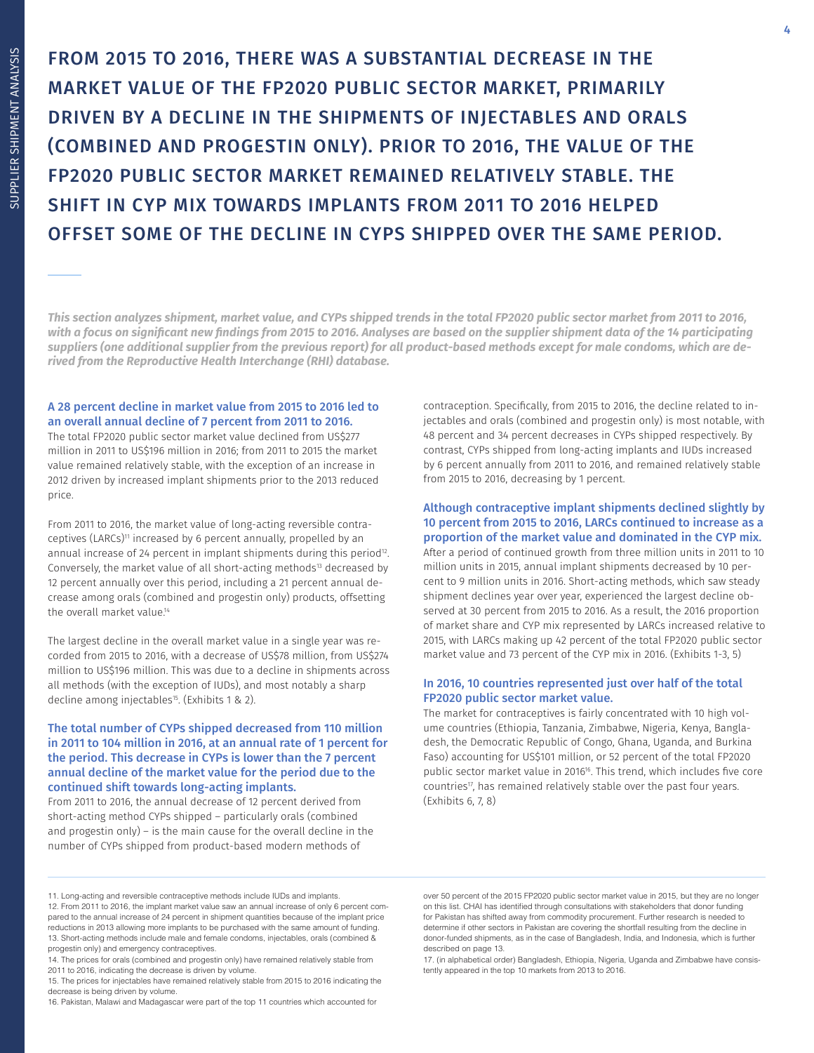FROM 2015 TO 2016, THERE WAS A SUBSTANTIAL DECREASE IN THE MARKET VALUE OF THE FP2020 PUBLIC SECTOR MARKET, PRIMARILY DRIVEN BY A DECLINE IN THE SHIPMENTS OF INJECTABLES AND ORALS (COMBINED AND PROGESTIN ONLY). PRIOR TO 2016, THE VALUE OF THE FP2020 PUBLIC SECTOR MARKET REMAINED RELATIVELY STABLE. THE SHIFT IN CYP MIX TOWARDS IMPLANTS FROM 2011 TO 2016 HELPED OFFSET SOME OF THE DECLINE IN CYPS SHIPPED OVER THE SAME PERIOD.

*This section analyzes shipment, market value, and CYPs shipped trends in the total FP2020 public sector market from 2011 to 2016, with a focus on significant new findings from 2015 to 2016. Analyses are based on the supplier shipment data of the 14 participating suppliers (one additional supplier from the previous report) for all product-based methods except for male condoms, which are derived from the Reproductive Health Interchange (RHI) database.* 

### A 28 percent decline in market value from 2015 to 2016 led to an overall annual decline of 7 percent from 2011 to 2016.

The total FP2020 public sector market value declined from US\$277 million in 2011 to US\$196 million in 2016; from 2011 to 2015 the market value remained relatively stable, with the exception of an increase in 2012 driven by increased implant shipments prior to the 2013 reduced price.

From 2011 to 2016, the market value of long-acting reversible contraceptives (LARCs)<sup>11</sup> increased by 6 percent annually, propelled by an annual increase of 24 percent in implant shipments during this period<sup>12</sup>. Conversely, the market value of all short-acting methods<sup>13</sup> decreased by 12 percent annually over this period, including a 21 percent annual decrease among orals (combined and progestin only) products, offsetting the overall market value<sup>14</sup>

The largest decline in the overall market value in a single year was recorded from 2015 to 2016, with a decrease of US\$78 million, from US\$274 million to US\$196 million. This was due to a decline in shipments across all methods (with the exception of IUDs), and most notably a sharp decline among injectables<sup>15</sup>. (Exhibits 1 & 2).

### The total number of CYPs shipped decreased from 110 million in 2011 to 104 million in 2016, at an annual rate of 1 percent for the period. This decrease in CYPs is lower than the 7 percent annual decline of the market value for the period due to the continued shift towards long-acting implants.

From 2011 to 2016, the annual decrease of 12 percent derived from short-acting method CYPs shipped – particularly orals (combined and progestin only) – is the main cause for the overall decline in the number of CYPs shipped from product-based modern methods of

contraception. Specifically, from 2015 to 2016, the decline related to injectables and orals (combined and progestin only) is most notable, with 48 percent and 34 percent decreases in CYPs shipped respectively. By contrast, CYPs shipped from long-acting implants and IUDs increased by 6 percent annually from 2011 to 2016, and remained relatively stable from 2015 to 2016, decreasing by 1 percent.

### Although contraceptive implant shipments declined slightly by 10 percent from 2015 to 2016, LARCs continued to increase as a proportion of the market value and dominated in the CYP mix.

After a period of continued growth from three million units in 2011 to 10 million units in 2015, annual implant shipments decreased by 10 percent to 9 million units in 2016. Short-acting methods, which saw steady shipment declines year over year, experienced the largest decline observed at 30 percent from 2015 to 2016. As a result, the 2016 proportion of market share and CYP mix represented by LARCs increased relative to 2015, with LARCs making up 42 percent of the total FP2020 public sector market value and 73 percent of the CYP mix in 2016. (Exhibits 1-3, 5)

### In 2016, 10 countries represented just over half of the total FP2020 public sector market value.

The market for contraceptives is fairly concentrated with 10 high volume countries (Ethiopia, Tanzania, Zimbabwe, Nigeria, Kenya, Bangladesh, the Democratic Republic of Congo, Ghana, Uganda, and Burkina Faso) accounting for US\$101 million, or 52 percent of the total FP2020 public sector market value in 2016<sup>16</sup>. This trend, which includes five core countries<sup>17</sup>, has remained relatively stable over the past four years. (Exhibits 6, 7, 8)

17. (in alphabetical order) Bangladesh, Ethiopia, Nigeria, Uganda and Zimbabwe have consistently appeared in the top 10 markets from 2013 to 2016.

<sup>11.</sup> Long-acting and reversible contraceptive methods include IUDs and implants.

<sup>12.</sup> From 2011 to 2016, the implant market value saw an annual increase of only 6 percent compared to the annual increase of 24 percent in shipment quantities because of the implant price reductions in 2013 allowing more implants to be purchased with the same amount of funding. 13. Short-acting methods include male and female condoms, injectables, orals (combined & progestin only) and emergency contraceptives.

<sup>14.</sup> The prices for orals (combined and progestin only) have remained relatively stable from 2011 to 2016, indicating the decrease is driven by volume.

<sup>15.</sup> The prices for injectables have remained relatively stable from 2015 to 2016 indicating the decrease is being driven by volume.

<sup>16.</sup> Pakistan, Malawi and Madagascar were part of the top 11 countries which accounted for

over 50 percent of the 2015 FP2020 public sector market value in 2015, but they are no longer on this list. CHAI has identified through consultations with stakeholders that donor funding for Pakistan has shifted away from commodity procurement. Further research is needed to determine if other sectors in Pakistan are covering the shortfall resulting from the decline in donor-funded shipments, as in the case of Bangladesh, India, and Indonesia, which is further described on page 13.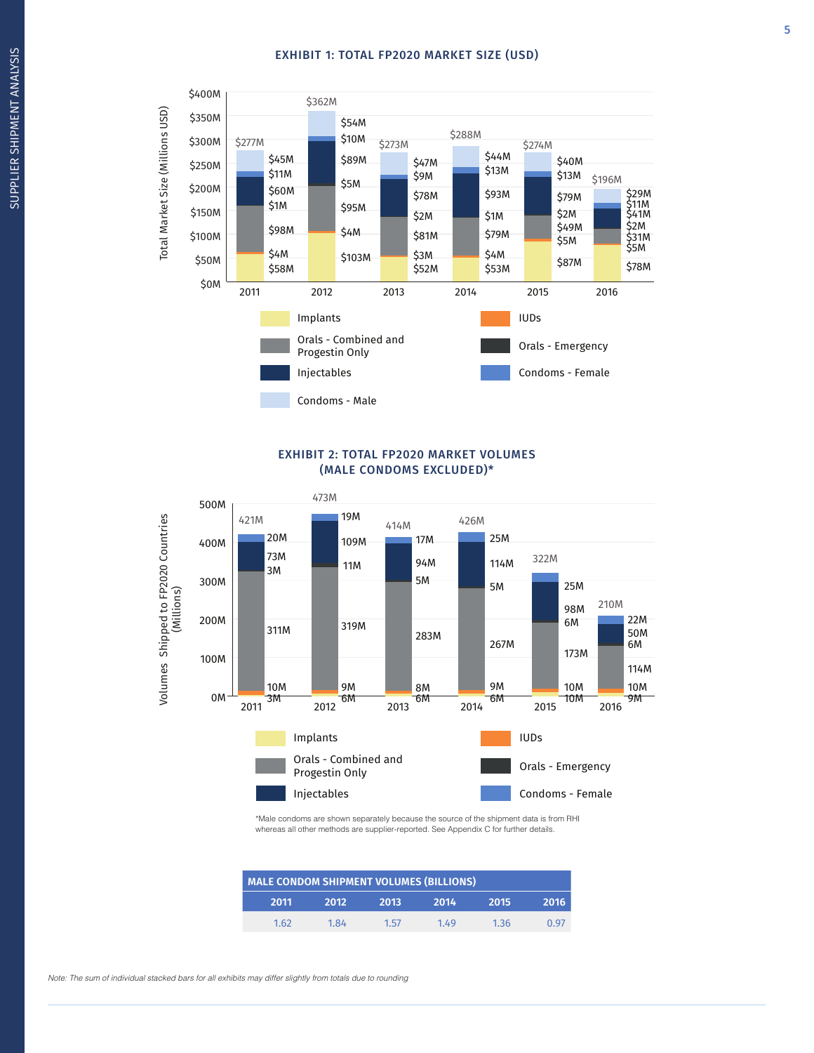### EXHIBIT 1: TOTAL FP2020 MARKET SIZE (USD)



### EXHIBIT 2: TOTAL FP2020 MARKET VOLUMES (MALE CONDOMS EXCLUDED)\*



\*Male condoms are shown separately because the source of the shipment data is from RHI whereas all other methods are supplier-reported. See Appendix C for further details.

| <b>MALE CONDOM SHIPMENT VOLUMES (BILLIONS)</b> |      |      |      |      |      |  |  |
|------------------------------------------------|------|------|------|------|------|--|--|
| 2011                                           | 2012 | 2013 | 2014 | 2015 | 2016 |  |  |
| 1.62                                           | 1.84 | 1.57 | 1.49 | 1.36 | 0 97 |  |  |

Note: The sum of individual stacked bars for all exhibits may differ slightly from totals due to rounding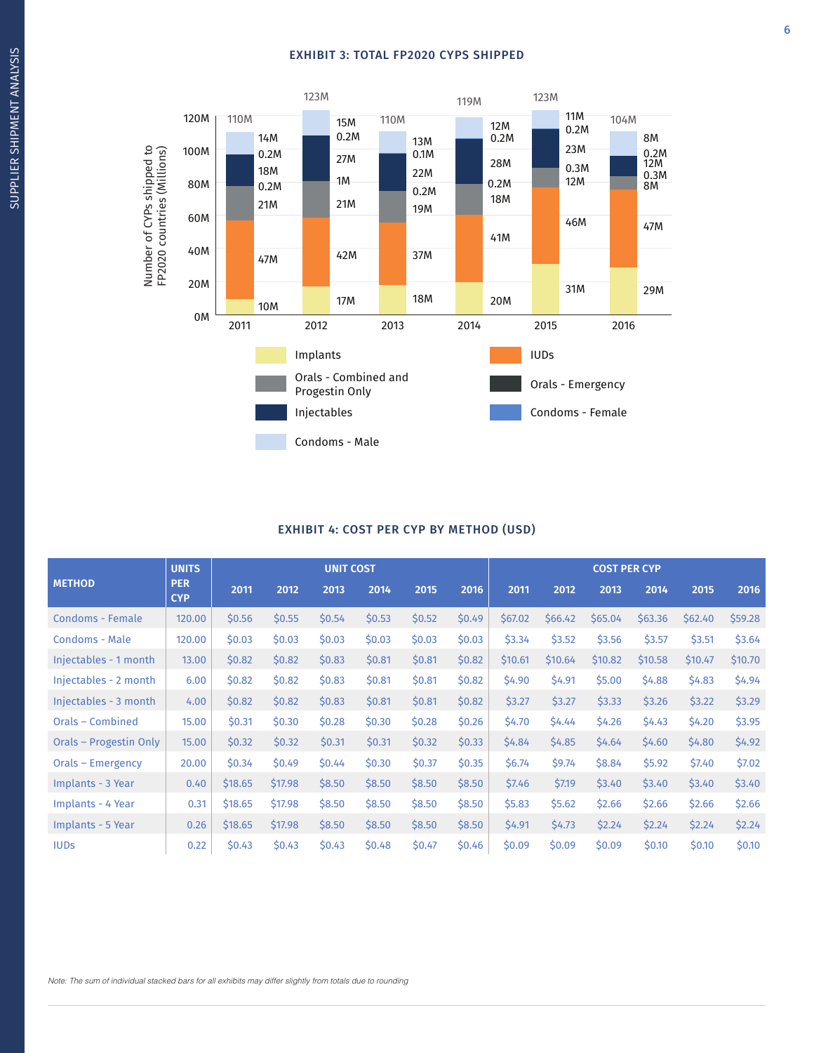### EXHIBIT 3: TOTAL FP2020 CYPS SHIPPED



### EXHIBIT 4: COST PER CYP BY METHOD (USD)

|                        | <b>UNITS</b>             |         |         | <b>UNIT COST</b> |        |        |        |         |         | <b>COST PER CYP</b> |         |         |         |
|------------------------|--------------------------|---------|---------|------------------|--------|--------|--------|---------|---------|---------------------|---------|---------|---------|
| <b>METHOD</b>          | <b>PER</b><br><b>CYP</b> | 2011    | 2012    | 2013             | 2014   | 2015   | 2016   | 2011    | 2012    | 2013                | 2014    | 2015    | 2016    |
| Condoms - Female       | 120.00                   | \$0.56  | \$0.55  | \$0.54           | \$0.53 | \$0.52 | \$0.49 | \$67.02 | \$66.42 | \$65.04             | \$63.36 | \$62.40 | \$59.28 |
| <b>Condoms - Male</b>  | 120.00                   | \$0.03  | \$0.03  | \$0.03           | \$0.03 | \$0.03 | \$0.03 | \$3.34  | \$3.52  | \$3.56              | \$3.57  | \$3.51  | \$3.64  |
| Injectables - 1 month  | 13.00                    | \$0.82  | \$0.82  | \$0.83           | \$0.81 | \$0.81 | \$0.82 | \$10.61 | \$10.64 | \$10.82             | \$10.58 | \$10.47 | \$10.70 |
| Injectables - 2 month  | 6.00                     | \$0.82  | \$0.82  | \$0.83           | \$0.81 | \$0.81 | \$0.82 | \$4.90  | \$4.91  | \$5.00              | \$4.88  | \$4.83  | \$4.94  |
| Injectables - 3 month  | 4.00                     | \$0.82  | \$0.82  | \$0.83           | \$0.81 | \$0.81 | \$0.82 | \$3.27  | \$3.27  | \$3.33              | \$3.26  | \$3.22  | \$3.29  |
| Orals - Combined       | 15.00                    | \$0.31  | \$0.30  | \$0.28           | \$0.30 | \$0.28 | \$0.26 | \$4.70  | \$4.44  | \$4.26              | \$4.43  | \$4.20  | \$3.95  |
| Orals - Progestin Only | 15.00                    | \$0.32  | \$0.32  | \$0.31           | \$0.31 | \$0.32 | \$0.33 | \$4.84  | \$4.85  | \$4.64              | \$4.60  | \$4.80  | \$4.92  |
| Orals - Emergency      | 20.00                    | \$0.34  | \$0.49  | \$0.44           | \$0.30 | \$0.37 | \$0.35 | \$6.74  | \$9.74  | \$8.84              | \$5.92  | \$7.40  | \$7.02  |
| Implants - 3 Year      | 0.40                     | \$18.65 | \$17.98 | \$8.50           | \$8.50 | \$8.50 | \$8.50 | \$7.46  | \$7.19  | \$3.40              | \$3.40  | \$3.40  | \$3.40  |
| Implants - 4 Year      | 0.31                     | \$18.65 | \$17.98 | \$8.50           | \$8.50 | \$8.50 | \$8.50 | \$5.83  | \$5.62  | \$2.66              | \$2.66  | \$2.66  | \$2.66  |
| Implants - 5 Year      | 0.26                     | \$18.65 | \$17.98 | \$8.50           | \$8.50 | \$8.50 | \$8.50 | \$4.91  | \$4.73  | \$2.24              | \$2.24  | \$2.24  | \$2.24  |
| <b>IUDS</b>            | 0.22                     | \$0.43  | \$0.43  | \$0.43           | \$0.48 | \$0.47 | \$0.46 | \$0.09  | \$0.09  | \$0.09              | \$0.10  | \$0.10  | \$0.10  |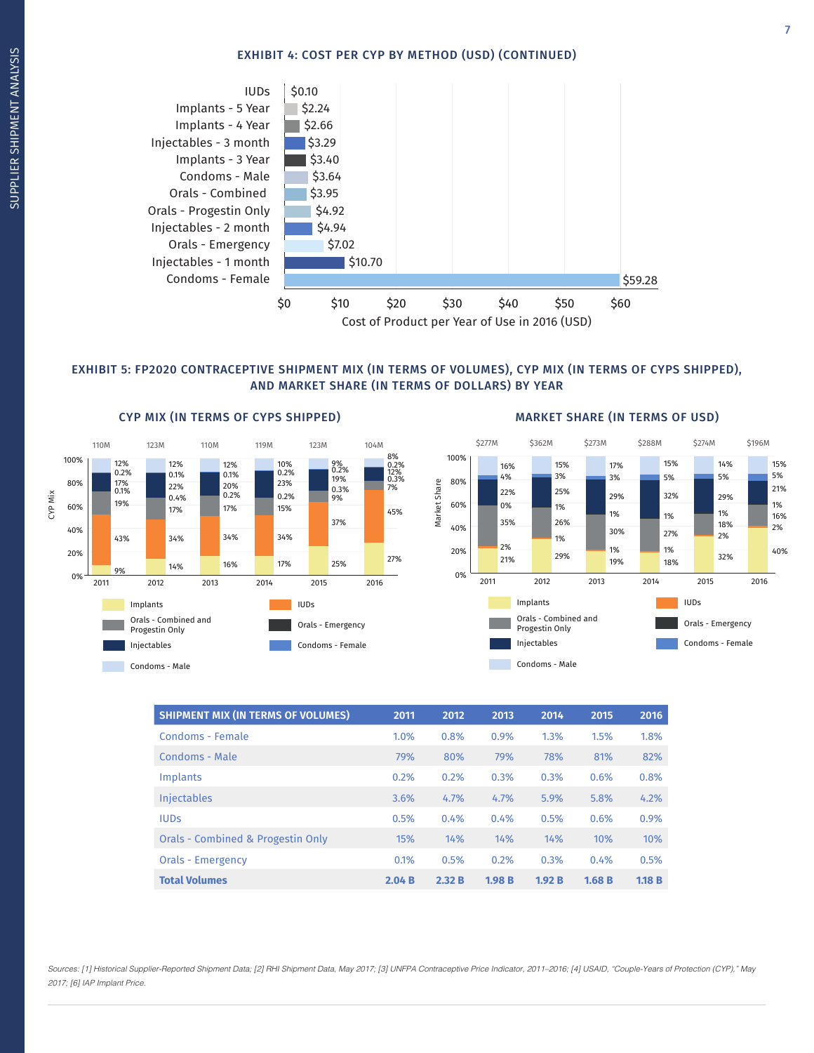### EXHIBIT 4: COST PER CYP BY METHOD (USD) (CONTINUED)



### EXHIBIT 5: FP2020 CONTRACEPTIVE SHIPMENT MIX (IN TERMS OF VOLUMES), CYP MIX (IN TERMS OF CYPS SHIPPED), AND MARKET SHARE (IN TERMS OF DOLLARS) BY YEAR

Market Share

Market Share



#### \$277M \$362M \$273M \$288M \$274M 15% 17% 15% 14% 16%



| <b>SHIPMENT MIX (IN TERMS OF VOLUMES)</b> | 2011  | 2012  | 2013  | 2014  | 2015  | 2016  |
|-------------------------------------------|-------|-------|-------|-------|-------|-------|
| Condoms - Female                          | 1.0%  | 0.8%  | 0.9%  | 1.3%  | 1.5%  | 1.8%  |
| Condoms - Male                            | 79%   | 80%   | 79%   | 78%   | 81%   | 82%   |
| Implants                                  | 0.2%  | 0.2%  | 0.3%  | 0.3%  | 0.6%  | 0.8%  |
| <b>Injectables</b>                        | 3.6%  | 4.7%  | 4.7%  | 5.9%  | 5.8%  | 4.2%  |
| <b>IUDS</b>                               | 0.5%  | 0.4%  | 0.4%  | 0.5%  | 0.6%  | 0.9%  |
| Orals - Combined & Progestin Only         | 15%   | 14%   | 14%   | 14%   | 10%   | 10%   |
| <b>Orals - Emergency</b>                  | 0.1%  | 0.5%  | 0.2%  | 0.3%  | 0.4%  | 0.5%  |
| <b>Total Volumes</b>                      | 2.04B | 2.32B | 1.98B | 1.92B | 1.68B | 1.18B |

Sources: [1] Historical Supplier-Reported Shipment Data; [2] RHI Shipment Data, May 2017; [3] UNFPA Contraceptive Price Indicator, 2011–2016; [4] USAID, "Couple-Years of Protection (CYP)," May 2017; [6] IAP Implant Price.

\$196M

7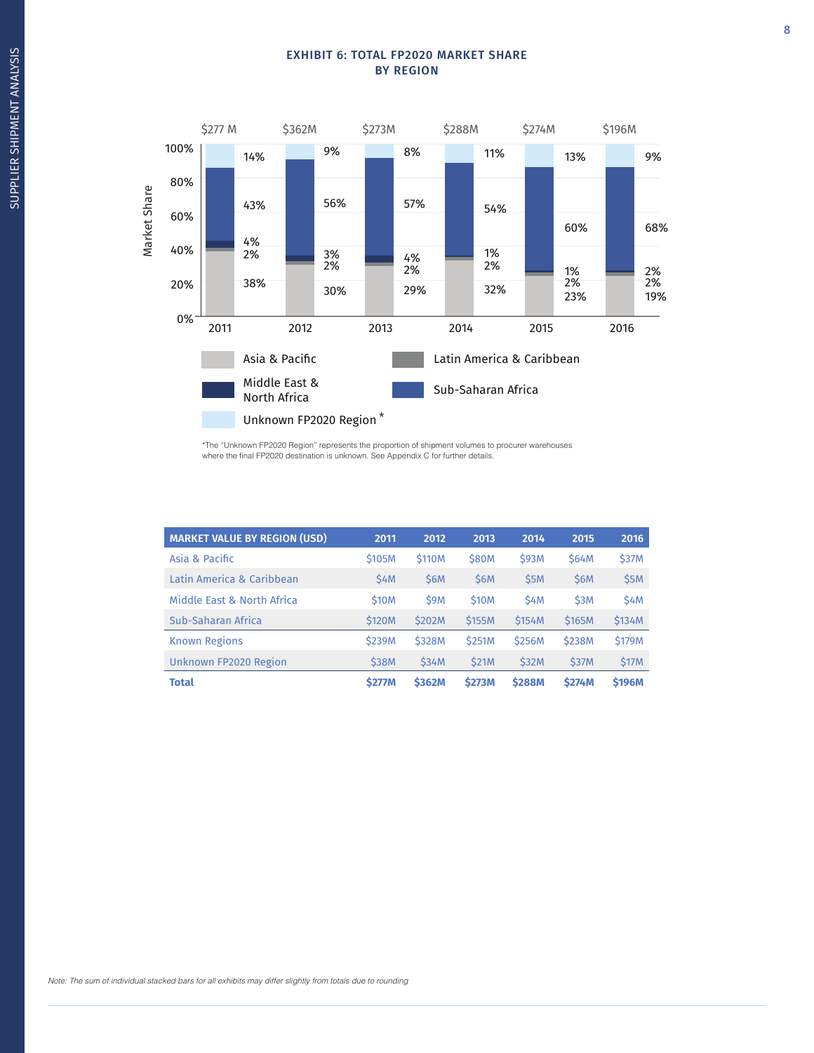### EXHIBIT 6: TOTAL FP2020 MARKET SHARE BY REGION



\*The "Unknown FP2020 Region" represents the proportion of shipment volumes to procurer warehouses where the final FP2020 destination is unknown. See Appendix C for further details.

| <b>MARKET VALUE BY REGION (USD)</b> | 2011          | 2012          | 2013          | 2014          | 2015          | 2016          |
|-------------------------------------|---------------|---------------|---------------|---------------|---------------|---------------|
| Asia & Pacific                      | \$105M        | <b>S110M</b>  | <b>\$80M</b>  | <b>\$93M</b>  | <b>\$64M</b>  | <b>\$37M</b>  |
| Latin America & Caribbean           | \$4M          | \$6M          | <b>S6M</b>    | \$5M          | \$6M          | <b>\$5M</b>   |
| Middle Fast & North Africa          | <b>\$10M</b>  | \$9M          | <b>S10M</b>   | \$4M          | \$3M          | <b>\$4M</b>   |
| Sub-Saharan Africa                  | <b>\$120M</b> | \$202M        | <b>\$155M</b> | \$154M        | \$165M        | \$134M        |
| <b>Known Regions</b>                | <b>\$239M</b> | <b>\$328M</b> | <b>\$251M</b> | <b>\$256M</b> | <b>\$238M</b> | <b>S179M</b>  |
| Unknown FP2020 Region               | <b>\$38M</b>  | <b>\$34M</b>  | <b>\$21M</b>  | <b>\$32M</b>  | <b>\$37M</b>  | \$17M         |
| <b>Total</b>                        | <b>\$277M</b> | <b>\$362M</b> | <b>\$273M</b> | <b>\$288M</b> | <b>\$274M</b> | <b>\$196M</b> |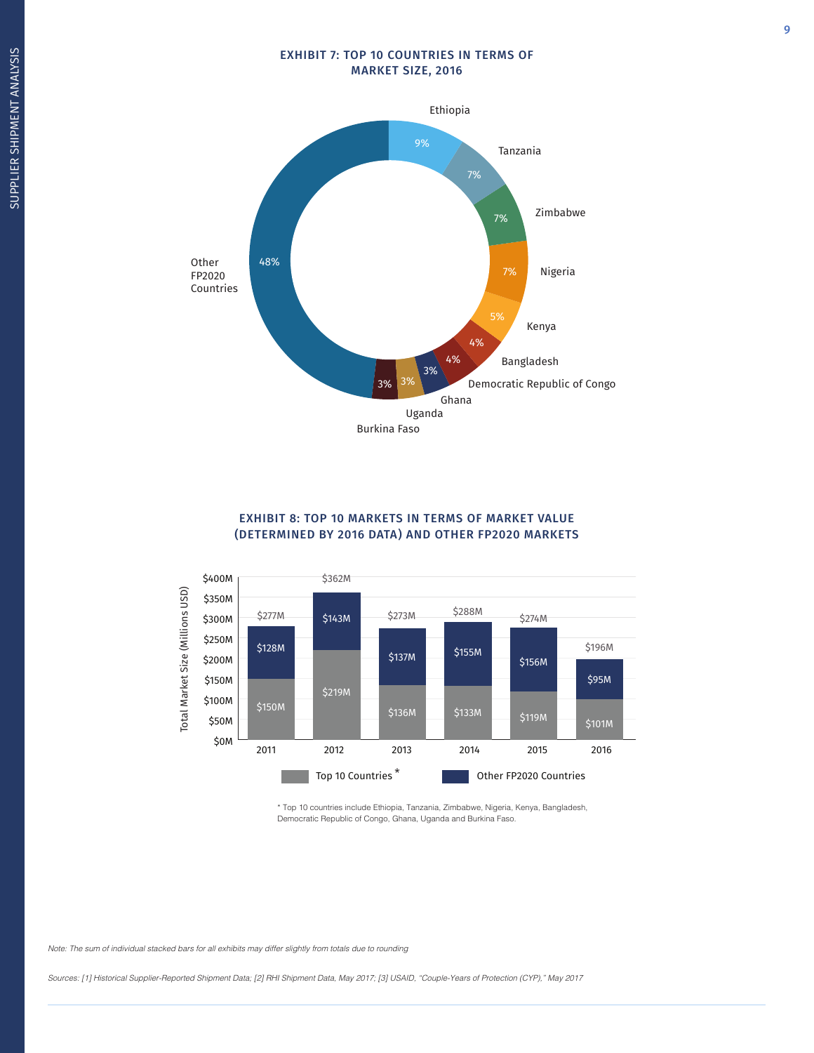### EXHIBIT 7: TOP 10 COUNTRIES IN TERMS OF MARKET SIZE, 2016



### EXHIBIT 8: TOP 10 MARKETS IN TERMS OF MARKET VALUE (DETERMINED BY 2016 DATA) AND OTHER FP2020 MARKETS



\* Top 10 countries include Ethiopia, Tanzania, Zimbabwe, Nigeria, Kenya, Bangladesh, Democratic Republic of Congo, Ghana, Uganda and Burkina Faso.

Sources: [1] Historical Supplier-Reported Shipment Data; [2] RHI Shipment Data, May 2017; [3] USAID, "Couple-Years of Protection (CYP)," May 2017

9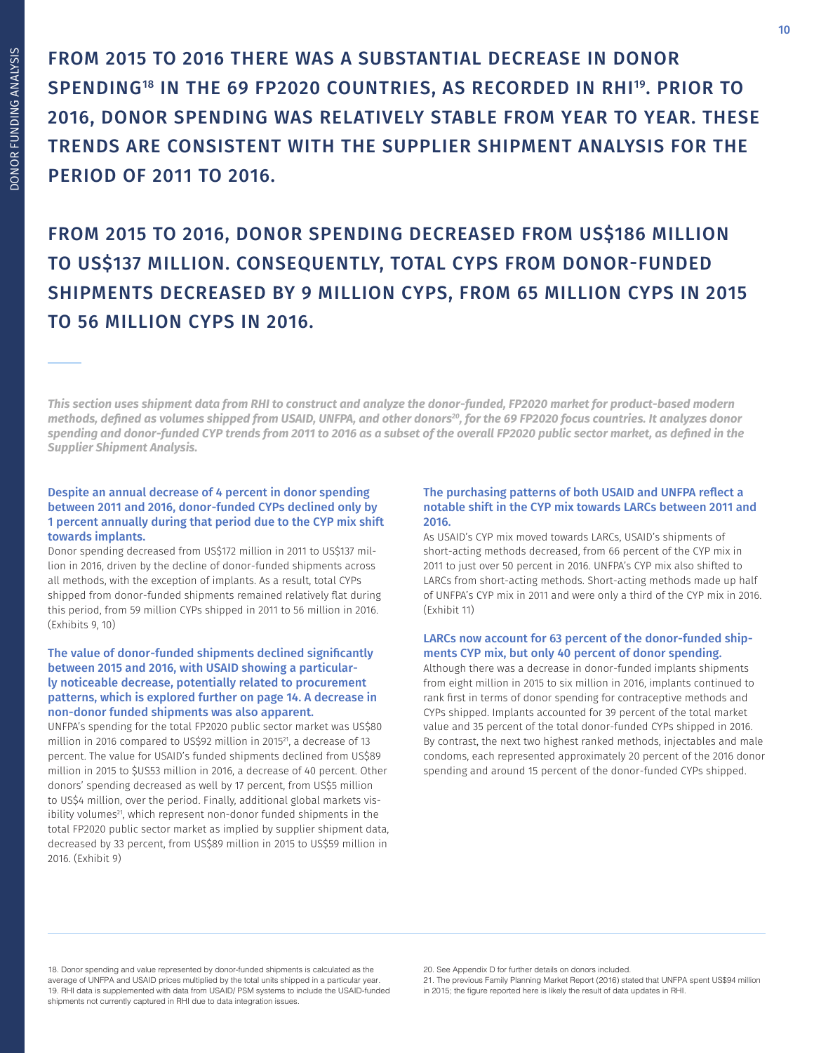FROM 2015 TO 2016 THERE WAS A SUBSTANTIAL DECREASE IN DONOR SPENDING<sup>18</sup> IN THE 69 FP2020 COUNTRIES, AS RECORDED IN RHI<sup>19</sup>. PRIOR TO 2016, DONOR SPENDING WAS RELATIVELY STABLE FROM YEAR TO YEAR. THESE TRENDS ARE CONSISTENT WITH THE SUPPLIER SHIPMENT ANALYSIS FOR THE PERIOD OF 2011 TO 2016.

FROM 2015 TO 2016, DONOR SPENDING DECREASED FROM US\$186 MILLION TO US\$137 MILLION. CONSEQUENTLY, TOTAL CYPS FROM DONOR-FUNDED SHIPMENTS DECREASED BY 9 MILLION CYPS, FROM 65 MILLION CYPS IN 2015 TO 56 MILLION CYPS IN 2016.

*This section uses shipment data from RHI to construct and analyze the donor-funded, FP2020 market for product-based modern methods, defined as volumes shipped from USAID, UNFPA, and other donors<sup>20</sup>, for the 69 FP2020 focus countries. It analyzes donor spending and donor-funded CYP trends from 2011 to 2016 as a subset of the overall FP2020 public sector market, as defined in the Supplier Shipment Analysis.*

### Despite an annual decrease of 4 percent in donor spending between 2011 and 2016, donor-funded CYPs declined only by 1 percent annually during that period due to the CYP mix shift towards implants.

Donor spending decreased from US\$172 million in 2011 to US\$137 million in 2016, driven by the decline of donor-funded shipments across all methods, with the exception of implants. As a result, total CYPs shipped from donor-funded shipments remained relatively flat during this period, from 59 million CYPs shipped in 2011 to 56 million in 2016. (Exhibits 9, 10)

### The value of donor-funded shipments declined significantly between 2015 and 2016, with USAID showing a particularly noticeable decrease, potentially related to procurement patterns, which is explored further on page 14. A decrease in non-donor funded shipments was also apparent.

UNFPA's spending for the total FP2020 public sector market was US\$80 million in 2016 compared to US\$92 million in 2015<sup>21</sup>, a decrease of 13 percent. The value for USAID's funded shipments declined from US\$89 million in 2015 to \$US53 million in 2016, a decrease of 40 percent. Other donors' spending decreased as well by 17 percent, from US\$5 million to US\$4 million, over the period. Finally, additional global markets visibility volumes<sup>21</sup>, which represent non-donor funded shipments in the total FP2020 public sector market as implied by supplier shipment data, decreased by 33 percent, from US\$89 million in 2015 to US\$59 million in 2016. (Exhibit 9)

### The purchasing patterns of both USAID and UNFPA reflect a notable shift in the CYP mix towards LARCs between 2011 and 2016.

As USAID's CYP mix moved towards LARCs, USAID's shipments of short-acting methods decreased, from 66 percent of the CYP mix in 2011 to just over 50 percent in 2016. UNFPA's CYP mix also shifted to LARCs from short-acting methods. Short-acting methods made up half of UNFPA's CYP mix in 2011 and were only a third of the CYP mix in 2016. (Exhibit 11)

### LARCs now account for 63 percent of the donor-funded shipments CYP mix, but only 40 percent of donor spending.

Although there was a decrease in donor-funded implants shipments from eight million in 2015 to six million in 2016, implants continued to rank first in terms of donor spending for contraceptive methods and CYPs shipped. Implants accounted for 39 percent of the total market value and 35 percent of the total donor-funded CYPs shipped in 2016. By contrast, the next two highest ranked methods, injectables and male condoms, each represented approximately 20 percent of the 2016 donor spending and around 15 percent of the donor-funded CYPs shipped.

18. Donor spending and value represented by donor-funded shipments is calculated as the average of UNFPA and USAID prices multiplied by the total units shipped in a particular year. 19. RHI data is supplemented with data from USAID/ PSM systems to include the USAID-funded shipments not currently captured in RHI due to data integration issues.

21. The previous Family Planning Market Report (2016) stated that UNFPA spent US\$94 million in 2015; the figure reported here is likely the result of data updates in RHI.

<sup>20.</sup> See Appendix D for further details on donors included.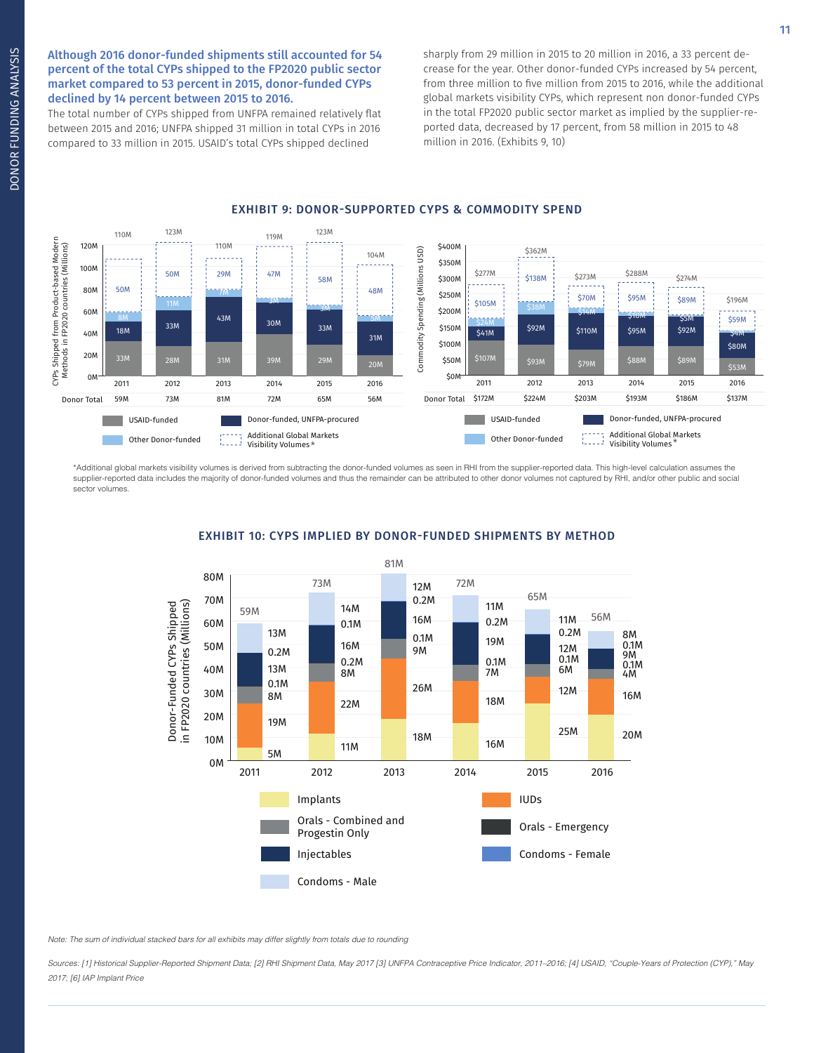Although 2016 donor-funded shipments still accounted for 54 percent of the total CYPs shipped to the FP2020 public sector market compared to 53 percent in 2015, donor-funded CYPs declined by 14 percent between 2015 to 2016.

The total number of CYPs shipped from UNFPA remained relatively flat between 2015 and 2016; UNFPA shipped 31 million in total CYPs in 2016 compared to 33 million in 2015. USAID's total CYPs shipped declined

sharply from 29 million in 2015 to 20 million in 2016, a 33 percent decrease for the year. Other donor-funded CYPs increased by 54 percent, from three million to five million from 2015 to 2016, while the additional global markets visibility CYPs, which represent non donor-funded CYPs in the total FP2020 public sector market as implied by the supplier-reported data, decreased by 17 percent, from 58 million in 2015 to 48 million in 2016. (Exhibits 9, 10)

#### 110M 123M 119M 123M CYPs Shipped from Product-based Modern : Shipped from Product-based Modern<br>ethods in FP2020 countries (Millions) 120M 110M \$400M Methods in FP2020 countries (Millions) Commodity Spending (Millions USD) \$362M USD) 104M \$350M 100M Commodity Spending (Millions 50M 47M \$277M \$273M \$288M \$274M 29M \$138M 58M \$300M 80M 50M 48M \$250M \$70M \$95M \$89M \$196M 3M \$105M 60M 3M \$200M \$14M 43M \$10M \$59M 8M 5M 1M \$5M 30M \$24M 33M 33M \$150M \$92M \$92M 18M \$110M \$95M 40M \$41M \$4M 31M \$100M \$80M 20M \$88M 33M 28M 31M 39M 29M \$50M \$93M 20M \$79M \$89M CYPs S<br>Metl 0M \$0M 2016 2011 2012 2013 2014 2015 2016 2011 2012 2013 2014 2015 Donor Total Donor Total 59M 73M 81M 72M 65M 56M \$172M \$224M \$203M \$193M \$186M \$137M USAID-funded Donor-funded, UNFPA-procured USAID-funded **Donor-funded, UNFPA-procured** ٠ Additional Global Markets Additional Global Markets Other Donor-funded Other Donor-funded Constitutional Global N<br>Visibility Volumes Visibility Volumes

EXHIBIT 9: DONOR-SUPPORTED CYPS & COMMODITY SPEND

\*Additional global markets visibility volumes is derived from subtracting the donor-funded volumes as seen in RHI from the supplier-reported data. This high-level calculation assumes the supplier-reported data includes the majority of donor-funded volumes and thus the remainder can be attributed to other donor volumes not captured by RHI, and/or other public and social sector volumes.



### EXHIBIT 10: CYPS IMPLIED BY DONOR-FUNDED SHIPMENTS BY METHOD

Note: The sum of individual stacked bars for all exhibits may differ slightly from totals due to rounding

Sources: [1] Historical Supplier-Reported Shipment Data; [2] RHI Shipment Data, May 2017 [3] UNFPA Contraceptive Price Indicator, 2011–2016; [4] USAID, "Couple-Years of Protection (CYP)," May 2017; [6] IAP Implant Price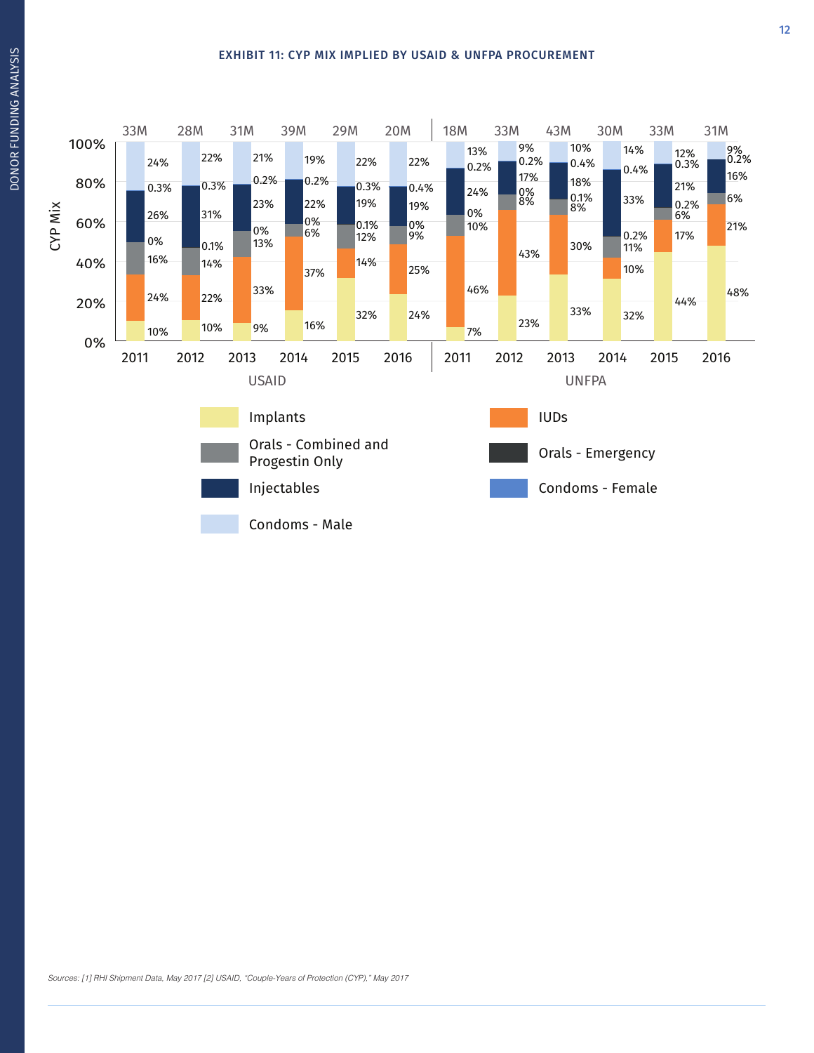### EXHIBIT 11: CYP MIX IMPLIED BY USAID & UNFPA PROCUREMENT

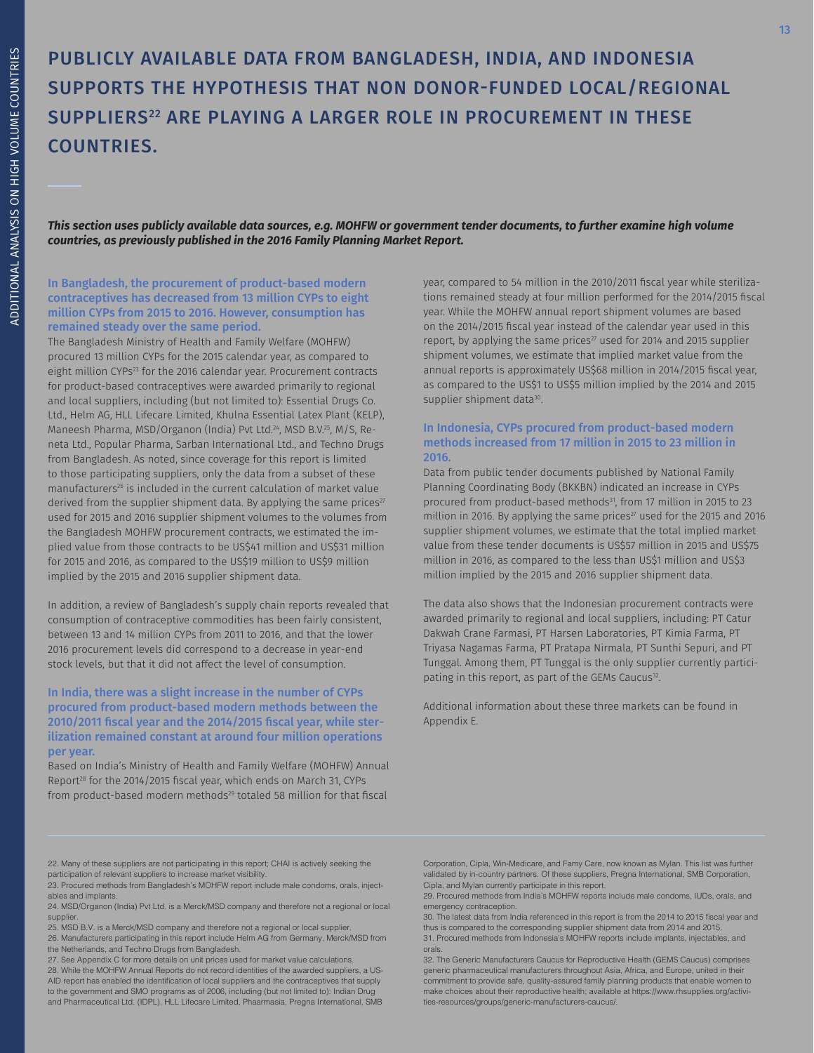# PUBLICLY AVAILABLE DATA FROM BANGLADESH, INDIA, AND INDONESIA SUPPORTS THE HYPOTHESIS THAT NON DONOR-FUNDED LOCAL/REGIONAL SUPPLIERS<sup>22</sup> ARE PLAYING A LARGER ROLE IN PROCUREMENT IN THESE COUNTRIES.

*This section uses publicly available data sources, e.g. MOHFW or government tender documents, to further examine high volume countries, as previously published in the 2016 Family Planning Market Report.* 

### In Bangladesh, the procurement of product-based modern contraceptives has decreased from 13 million CYPs to eight million CYPs from 2015 to 2016. However, consumption has remained steady over the same period.

The Bangladesh Ministry of Health and Family Welfare (MOHFW) procured 13 million CYPs for the 2015 calendar year, as compared to eight million CYPs<sup>23</sup> for the 2016 calendar year. Procurement contracts for product-based contraceptives were awarded primarily to regional and local suppliers, including (but not limited to): Essential Drugs Co. Ltd., Helm AG, HLL Lifecare Limited, Khulna Essential Latex Plant (KELP), Maneesh Pharma, MSD/Organon (India) Pvt Ltd.24, MSD B.V.25, M/S, Reneta Ltd., Popular Pharma, Sarban International Ltd., and Techno Drugs from Bangladesh. As noted, since coverage for this report is limited to those participating suppliers, only the data from a subset of these manufacturers<sup>26</sup> is included in the current calculation of market value derived from the supplier shipment data. By applying the same prices<sup>27</sup> used for 2015 and 2016 supplier shipment volumes to the volumes from the Bangladesh MOHFW procurement contracts, we estimated the implied value from those contracts to be US\$41 million and US\$31 million for 2015 and 2016, as compared to the US\$19 million to US\$9 million implied by the 2015 and 2016 supplier shipment data.

In addition, a review of Bangladesh's supply chain reports revealed that consumption of contraceptive commodities has been fairly consistent, between 13 and 14 million CYPs from 2011 to 2016, and that the lower 2016 procurement levels did correspond to a decrease in year-end stock levels, but that it did not affect the level of consumption.

### In India, there was a slight increase in the number of CYPs procured from product-based modern methods between the 2010/2011 fiscal year and the 2014/2015 fiscal year, while sterilization remained constant at around four million operations per year.

Based on India's Ministry of Health and Family Welfare (MOHFW) Annual Report<sup>28</sup> for the 2014/2015 fiscal year, which ends on March 31, CYPs from product-based modern methods<sup>29</sup> totaled 58 million for that fiscal

year, compared to 54 million in the 2010/2011 fiscal year while sterilizations remained steady at four million performed for the 2014/2015 fiscal year. While the MOHFW annual report shipment volumes are based on the 2014/2015 fiscal year instead of the calendar year used in this report, by applying the same prices<sup>27</sup> used for 2014 and 2015 supplier shipment volumes, we estimate that implied market value from the annual reports is approximately US\$68 million in 2014/2015 fiscal year, as compared to the US\$1 to US\$5 million implied by the 2014 and 2015 supplier shipment data<sup>30</sup>.

### In Indonesia, CYPs procured from product-based modern methods increased from 17 million in 2015 to 23 million in 2016.

Data from public tender documents published by National Family Planning Coordinating Body (BKKBN) indicated an increase in CYPs procured from product-based methods<sup>31</sup>, from 17 million in 2015 to 23 million in 2016. By applying the same prices<sup>27</sup> used for the 2015 and 2016 supplier shipment volumes, we estimate that the total implied market value from these tender documents is US\$57 million in 2015 and US\$75 million in 2016, as compared to the less than US\$1 million and US\$3 million implied by the 2015 and 2016 supplier shipment data.

The data also shows that the Indonesian procurement contracts were awarded primarily to regional and local suppliers, including: PT Catur Dakwah Crane Farmasi, PT Harsen Laboratories, PT Kimia Farma, PT Triyasa Nagamas Farma, PT Pratapa Nirmala, PT Sunthi Sepuri, and PT Tunggal. Among them, PT Tunggal is the only supplier currently participating in this report, as part of the GEMs Caucus<sup>32</sup>.

Additional information about these three markets can be found in Appendix E.

22. Many of these suppliers are not participating in this report; CHAI is actively seeking the participation of relevant suppliers to increase market visibility.

23. Procured methods from Bangladesh's MOHFW report include male condoms, orals, injectables and implants.

24. MSD/Organon (India) Pvt Ltd. is a Merck/MSD company and therefore not a regional or local supplier

25. MSD B.V. is a Merck/MSD company and therefore not a regional or local supplier.

26. Manufacturers participating in this report include Helm AG from Germany, Merck/MSD from the Netherlands, and Techno Drugs from Bangladesh.

27. See Appendix C for more details on unit prices used for market value calculations.

28. While the MOHFW Annual Reports do not record identities of the awarded suppliers, a US-AID report has enabled the identification of local suppliers and the contraceptives that supply to the government and SMO programs as of 2006, including (but not limited to): Indian Drug and Pharmaceutical Ltd. (IDPL), HLL Lifecare Limited, Phaarmasia, Pregna International, SMB Corporation, Cipla, Win-Medicare, and Famy Care, now known as Mylan. This list was further validated by in-country partners. Of these suppliers, Pregna International, SMB Corporation,

Cipla, and Mylan currently participate in this report. 29. Procured methods from India's MOHFW reports include male condoms, IUDs, orals, and emergency contraception.

30. The latest data from India referenced in this report is from the 2014 to 2015 fiscal year and thus is compared to the corresponding supplier shipment data from 2014 and 2015. 31. Procured methods from Indonesia's MOHFW reports include implants, injectables, and

32. The Generic Manufacturers Caucus for Reproductive Health (GEMS Caucus) comprises generic pharmaceutical manufacturers throughout Asia, Africa, and Europe, united in their commitment to provide safe, quality-assured family planning products that enable women to make choices about their reproductive health; available at https://www.rhsupplies.org/activities-resources/groups/generic-manufacturers-caucus/.

orals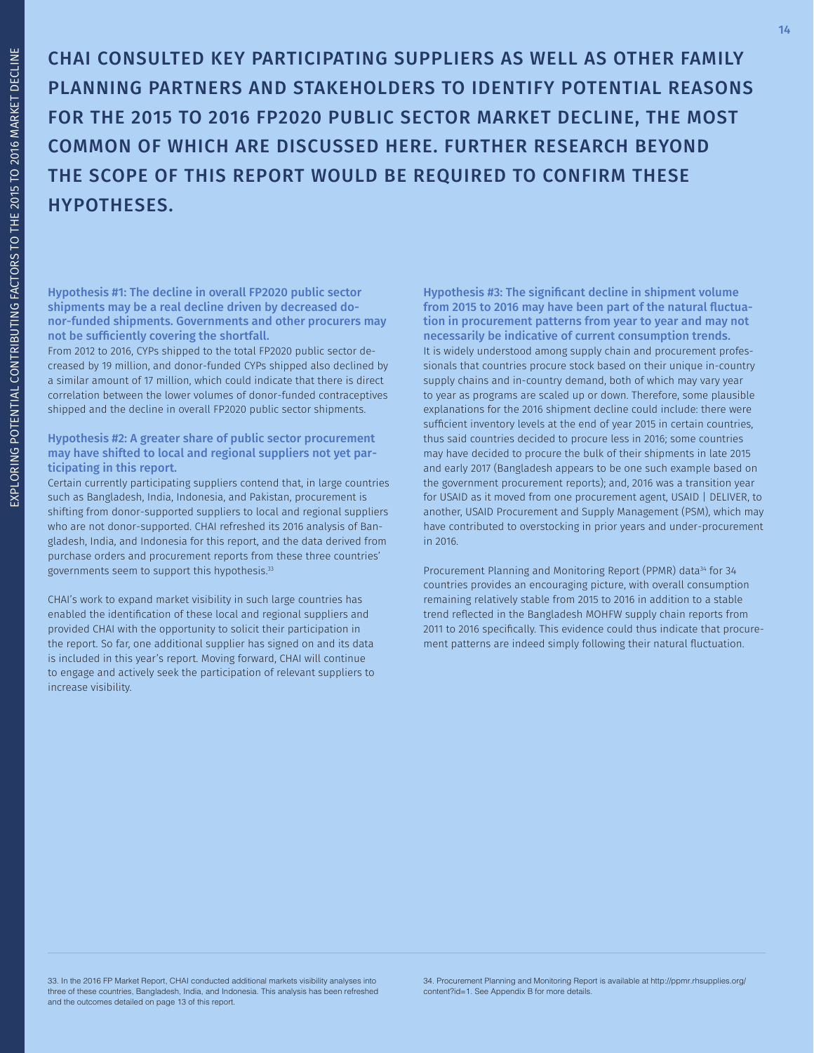CHAI CONSULTED KEY PARTICIPATING SUPPLIERS AS WELL AS OTHER FAMILY PLANNING PARTNERS AND STAKEHOLDERS TO IDENTIFY POTENTIAL REASONS FOR THE 2015 TO 2016 FP2020 PUBLIC SECTOR MARKET DECLINE, THE MOST COMMON OF WHICH ARE DISCUSSED HERE. FURTHER RESEARCH BEYOND THE SCOPE OF THIS REPORT WOULD BE REQUIRED TO CONFIRM THESE HYPOTHESES.

Hypothesis #1: The decline in overall FP2020 public sector shipments may be a real decline driven by decreased donor-funded shipments. Governments and other procurers may not be sufficiently covering the shortfall.

From 2012 to 2016, CYPs shipped to the total FP2020 public sector decreased by 19 million, and donor-funded CYPs shipped also declined by a similar amount of 17 million, which could indicate that there is direct correlation between the lower volumes of donor-funded contraceptives shipped and the decline in overall FP2020 public sector shipments.

### Hypothesis #2: A greater share of public sector procurement may have shifted to local and regional suppliers not yet participating in this report.

Certain currently participating suppliers contend that, in large countries such as Bangladesh, India, Indonesia, and Pakistan, procurement is shifting from donor-supported suppliers to local and regional suppliers who are not donor-supported. CHAI refreshed its 2016 analysis of Bangladesh, India, and Indonesia for this report, and the data derived from purchase orders and procurement reports from these three countries' governments seem to support this hypothesis.33

CHAI's work to expand market visibility in such large countries has enabled the identification of these local and regional suppliers and provided CHAI with the opportunity to solicit their participation in the report. So far, one additional supplier has signed on and its data is included in this year's report. Moving forward, CHAI will continue to engage and actively seek the participation of relevant suppliers to increase visibility.

Hypothesis #3: The significant decline in shipment volume from 2015 to 2016 may have been part of the natural fluctuation in procurement patterns from year to year and may not necessarily be indicative of current consumption trends. It is widely understood among supply chain and procurement professionals that countries procure stock based on their unique in-country supply chains and in-country demand, both of which may vary year to year as programs are scaled up or down. Therefore, some plausible explanations for the 2016 shipment decline could include: there were sufficient inventory levels at the end of year 2015 in certain countries, thus said countries decided to procure less in 2016; some countries may have decided to procure the bulk of their shipments in late 2015 and early 2017 (Bangladesh appears to be one such example based on the government procurement reports); and, 2016 was a transition year for USAID as it moved from one procurement agent, USAID | DELIVER, to another, USAID Procurement and Supply Management (PSM), which may have contributed to overstocking in prior years and under-procurement in 2016.

Procurement Planning and Monitoring Report (PPMR) data<sup>34</sup> for 34 countries provides an encouraging picture, with overall consumption remaining relatively stable from 2015 to 2016 in addition to a stable trend reflected in the Bangladesh MOHFW supply chain reports from 2011 to 2016 specifically. This evidence could thus indicate that procurement patterns are indeed simply following their natural fluctuation.

33. In the 2016 FP Market Report, CHAI conducted additional markets visibility analyses into three of these countries, Bangladesh, India, and Indonesia. This analysis has been refreshed and the outcomes detailed on page 13 of this report.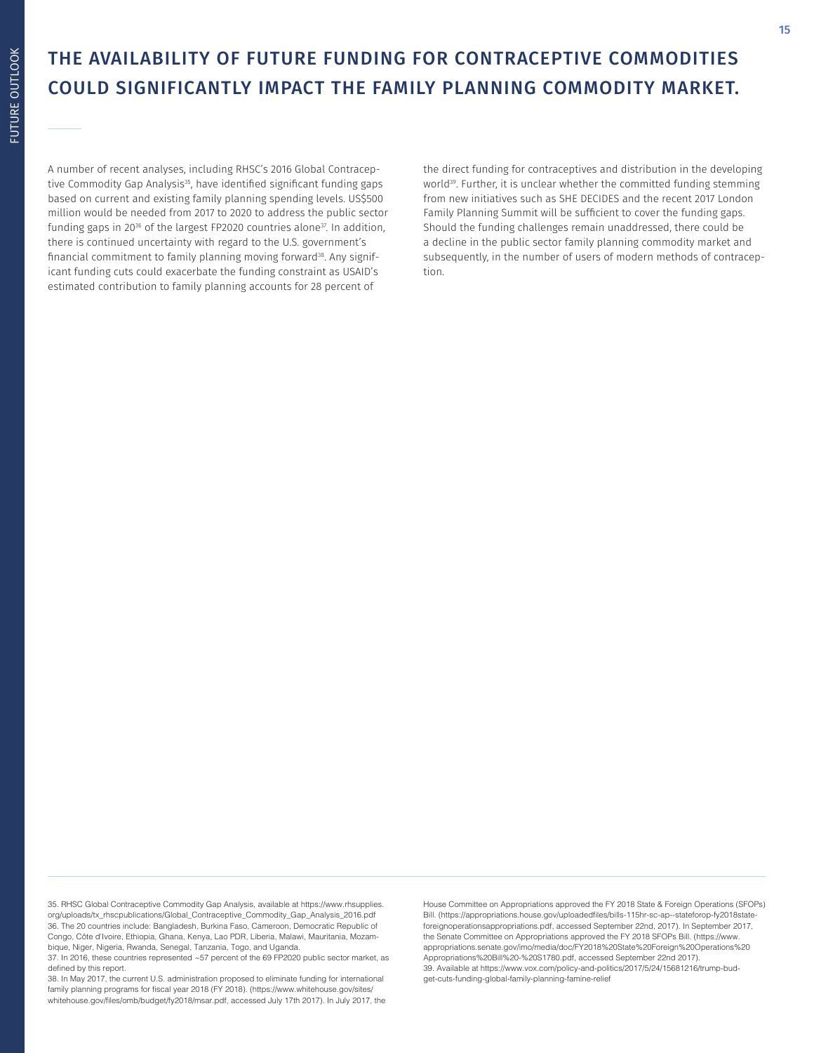## THE AVAILABILITY OF FUTURE FUNDING FOR CONTRACEPTIVE COMMODITIES COULD SIGNIFICANTLY IMPACT THE FAMILY PLANNING COMMODITY MARKET.

A number of recent analyses, including RHSC's 2016 Global Contraceptive Commodity Gap Analysis<sup>35</sup>, have identified significant funding gaps based on current and existing family planning spending levels. US\$500 million would be needed from 2017 to 2020 to address the public sector funding gaps in 20<sup>36</sup> of the largest FP2020 countries alone<sup>37</sup>. In addition, there is continued uncertainty with regard to the U.S. government's financial commitment to family planning moving forward<sup>38</sup>. Any significant funding cuts could exacerbate the funding constraint as USAID's estimated contribution to family planning accounts for 28 percent of

the direct funding for contraceptives and distribution in the developing world<sup>39</sup>. Further, it is unclear whether the committed funding stemming from new initiatives such as SHE DECIDES and the recent 2017 London Family Planning Summit will be sufficient to cover the funding gaps. Should the funding challenges remain unaddressed, there could be a decline in the public sector family planning commodity market and subsequently, in the number of users of modern methods of contraception.

35. RHSC Global Contraceptive Commodity Gap Analysis, available at https://www.rhsupplies. org/uploads/tx\_rhscpublications/Global\_Contraceptive\_Commodity\_Gap\_Analysis\_2016.pdf 36. The 20 countries include: Bangladesh, Burkina Faso, Cameroon, Democratic Republic of Congo, Côte d'Ivoire, Ethiopia, Ghana, Kenya, Lao PDR, Liberia, Malawi, Mauritania, Mozambique, Niger, Nigeria, Rwanda, Senegal, Tanzania, Togo, and Uganda.

37. In 2016, these countries represented ~57 percent of the 69 FP2020 public sector market, as defined by this report.

38. In May 2017, the current U.S. administration proposed to eliminate funding for international family planning programs for fiscal year 2018 (FY 2018). (https://www.whitehouse.gov/sites/ whitehouse.gov/files/omb/budget/fy2018/msar.pdf, accessed July 17th 2017). In July 2017, the House Committee on Appropriations approved the FY 2018 State & Foreign Operations (SFOPs) Bill. (https://appropriations.house.gov/uploadedfiles/bills-115hr-sc-ap--stateforop-fy2018stateforeignoperationsappropriations.pdf, accessed September 22nd, 2017). In September 2017, the Senate Committee on Appropriations approved the FY 2018 SFOPs Bill. (https://www. appropriations.senate.gov/imo/media/doc/FY2018%20State%20Foreign%20Operations%20 Appropriations%20Bill%20-%20S1780.pdf, accessed September 22nd 2017). 39. Available at https://www.vox.com/policy-and-politics/2017/5/24/15681216/trump-budget-cuts-funding-global-family-planning-famine-relief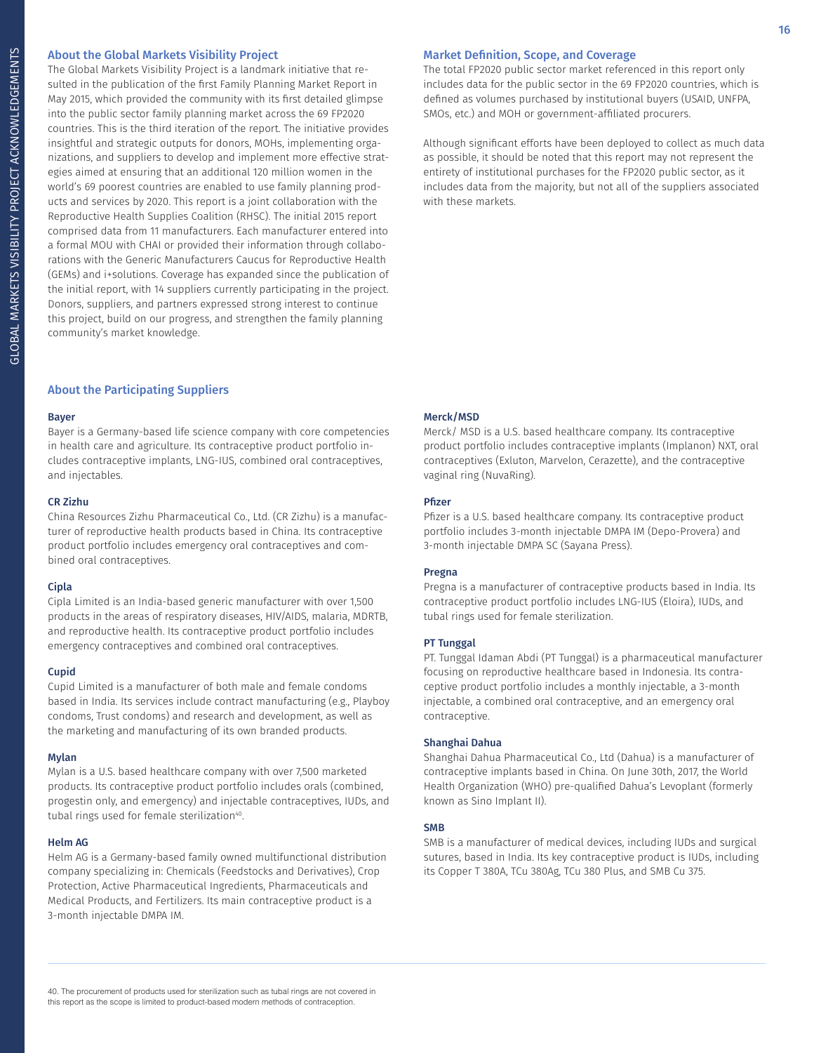### About the Global Markets Visibility Project

The Global Markets Visibility Project is a landmark initiative that resulted in the publication of the first Family Planning Market Report in May 2015, which provided the community with its first detailed glimpse into the public sector family planning market across the 69 FP2020 countries. This is the third iteration of the report. The initiative provides insightful and strategic outputs for donors, MOHs, implementing organizations, and suppliers to develop and implement more effective strategies aimed at ensuring that an additional 120 million women in the world's 69 poorest countries are enabled to use family planning products and services by 2020. This report is a joint collaboration with the Reproductive Health Supplies Coalition (RHSC). The initial 2015 report comprised data from 11 manufacturers. Each manufacturer entered into a formal MOU with CHAI or provided their information through collaborations with the Generic Manufacturers Caucus for Reproductive Health (GEMs) and i+solutions. Coverage has expanded since the publication of the initial report, with 14 suppliers currently participating in the project. Donors, suppliers, and partners expressed strong interest to continue this project, build on our progress, and strengthen the family planning community's market knowledge.

### About the Participating Suppliers

#### Bayer

Bayer is a Germany-based life science company with core competencies in health care and agriculture. Its contraceptive product portfolio includes contraceptive implants, LNG-IUS, combined oral contraceptives, and injectables.

#### CR Zizhu

China Resources Zizhu Pharmaceutical Co., Ltd. (CR Zizhu) is a manufacturer of reproductive health products based in China. Its contraceptive product portfolio includes emergency oral contraceptives and combined oral contraceptives.

#### Cipla

Cipla Limited is an India-based generic manufacturer with over 1,500 products in the areas of respiratory diseases, HIV/AIDS, malaria, MDRTB, and reproductive health. Its contraceptive product portfolio includes emergency contraceptives and combined oral contraceptives.

#### Cupid

Cupid Limited is a manufacturer of both male and female condoms based in India. Its services include contract manufacturing (e.g., Playboy condoms, Trust condoms) and research and development, as well as the marketing and manufacturing of its own branded products.

#### Mylan

Mylan is a U.S. based healthcare company with over 7,500 marketed products. Its contraceptive product portfolio includes orals (combined, progestin only, and emergency) and injectable contraceptives, IUDs, and tubal rings used for female sterilization<sup>40</sup>.

#### Helm AG

Helm AG is a Germany-based family owned multifunctional distribution company specializing in: Chemicals (Feedstocks and Derivatives), Crop Protection, Active Pharmaceutical Ingredients, Pharmaceuticals and Medical Products, and Fertilizers. Its main contraceptive product is a 3-month injectable DMPA IM.

### Market Definition, Scope, and Coverage

The total FP2020 public sector market referenced in this report only includes data for the public sector in the 69 FP2020 countries, which is defined as volumes purchased by institutional buyers (USAID, UNFPA, SMOs, etc.) and MOH or government-affiliated procurers.

Although significant efforts have been deployed to collect as much data as possible, it should be noted that this report may not represent the entirety of institutional purchases for the FP2020 public sector, as it includes data from the majority, but not all of the suppliers associated with these markets.

### Merck/MSD

Merck/ MSD is a U.S. based healthcare company. Its contraceptive product portfolio includes contraceptive implants (Implanon) NXT, oral contraceptives (Exluton, Marvelon, Cerazette), and the contraceptive vaginal ring (NuvaRing).

#### Pfizer

Pfizer is a U.S. based healthcare company. Its contraceptive product portfolio includes 3-month injectable DMPA IM (Depo-Provera) and 3-month injectable DMPA SC (Sayana Press).

#### Pregna

Pregna is a manufacturer of contraceptive products based in India. Its contraceptive product portfolio includes LNG-IUS (Eloira), IUDs, and tubal rings used for female sterilization.

### PT Tunggal

PT. Tunggal Idaman Abdi (PT Tunggal) is a pharmaceutical manufacturer focusing on reproductive healthcare based in Indonesia. Its contraceptive product portfolio includes a monthly injectable, a 3-month injectable, a combined oral contraceptive, and an emergency oral contraceptive.

#### Shanghai Dahua

Shanghai Dahua Pharmaceutical Co., Ltd (Dahua) is a manufacturer of contraceptive implants based in China. On June 30th, 2017, the World Health Organization (WHO) pre-qualified Dahua's Levoplant (formerly known as Sino Implant II).

#### SMB

SMB is a manufacturer of medical devices, including IUDs and surgical sutures, based in India. Its key contraceptive product is IUDs, including its Copper T 380A, TCu 380Ag, TCu 380 Plus, and SMB Cu 375.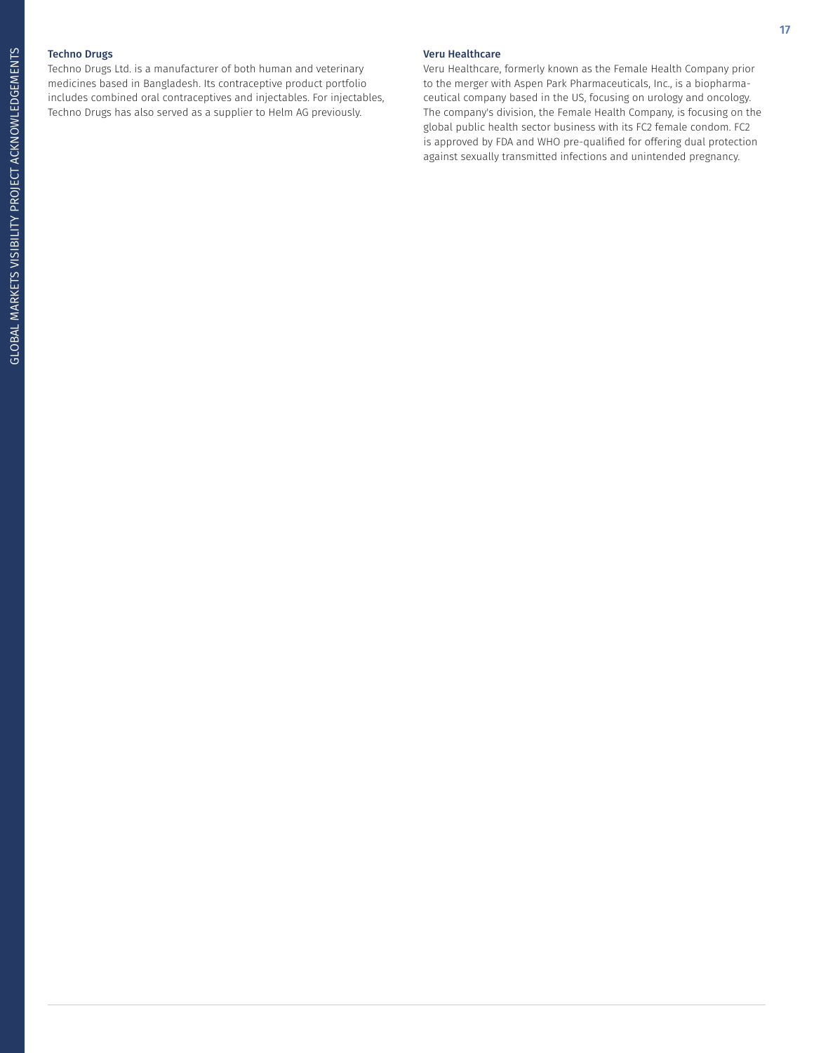### Techno Drugs

Techno Drugs Ltd. is a manufacturer of both human and veterinary medicines based in Bangladesh. Its contraceptive product portfolio includes combined oral contraceptives and injectables. For injectables, Techno Drugs has also served as a supplier to Helm AG previously.

### Veru Healthcare

Veru Healthcare, formerly known as the Female Health Company prior to the merger with Aspen Park Pharmaceuticals, Inc., is a biopharmaceutical company based in the US, focusing on urology and oncology. The company's division, the Female Health Company, is focusing on the global public health sector business with its FC2 female condom. FC2 is approved by FDA and WHO pre-qualified for offering dual protection against sexually transmitted infections and unintended pregnancy.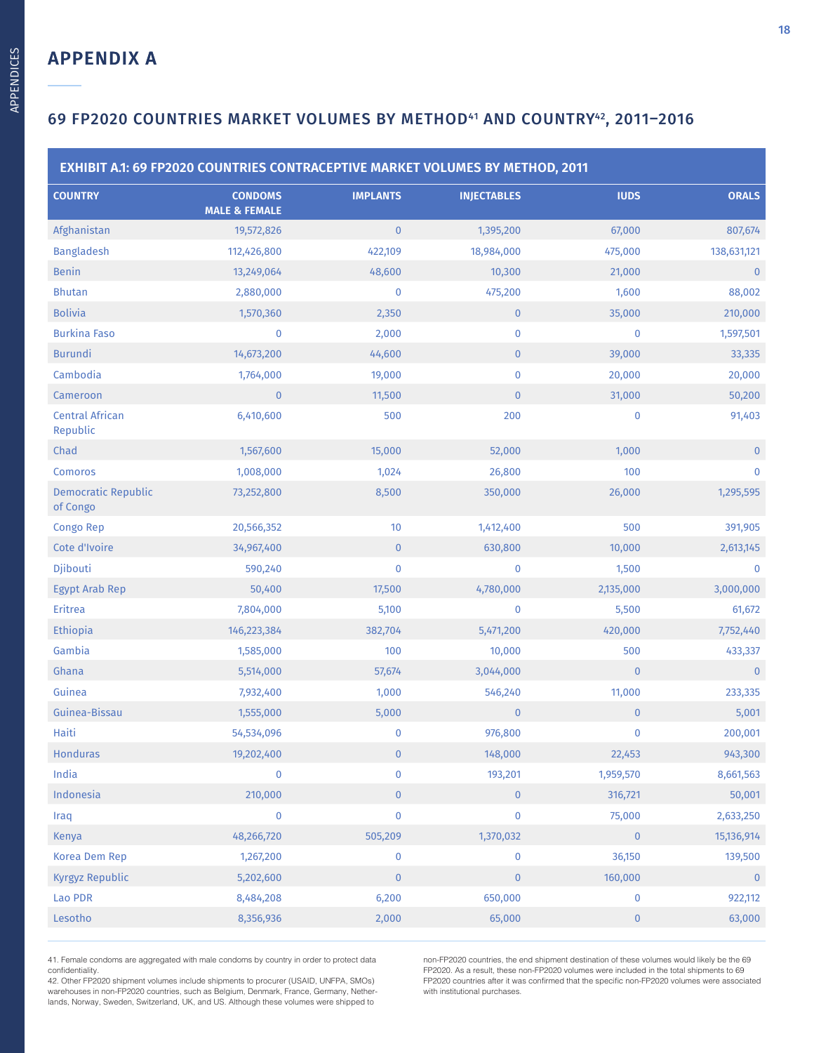**APPENDICES** APPENDICES

| EXHIBIT A.1: 69 FP2020 COUNTRIES CONTRACEPTIVE MARKET VOLUMES BY METHOD, 2011 |                                            |                 |                    |              |              |  |  |
|-------------------------------------------------------------------------------|--------------------------------------------|-----------------|--------------------|--------------|--------------|--|--|
| <b>COUNTRY</b>                                                                | <b>CONDOMS</b><br><b>MALE &amp; FEMALE</b> | <b>IMPLANTS</b> | <b>INJECTABLES</b> | <b>IUDS</b>  | <b>ORALS</b> |  |  |
| Afghanistan                                                                   | 19,572,826                                 | $\mathbf{0}$    | 1,395,200          | 67,000       | 807,674      |  |  |
| <b>Bangladesh</b>                                                             | 112,426,800                                | 422,109         | 18,984,000         | 475,000      | 138,631,121  |  |  |
| <b>Benin</b>                                                                  | 13,249,064                                 | 48,600          | 10,300             | 21,000       | $\mathbf 0$  |  |  |
| <b>Bhutan</b>                                                                 | 2,880,000                                  | $\bf{0}$        | 475,200            | 1,600        | 88,002       |  |  |
| <b>Bolivia</b>                                                                | 1,570,360                                  | 2,350           | $\mathbf 0$        | 35,000       | 210,000      |  |  |
| <b>Burkina Faso</b>                                                           | $\pmb{0}$                                  | 2,000           | $\bf{0}$           | $\bf{0}$     | 1,597,501    |  |  |
| <b>Burundi</b>                                                                | 14,673,200                                 | 44,600          | $\overline{0}$     | 39,000       | 33,335       |  |  |
| Cambodia                                                                      | 1,764,000                                  | 19,000          | $\bf{0}$           | 20,000       | 20,000       |  |  |
| Cameroon                                                                      | $\mathbf 0$                                | 11,500          | $\mathbf{0}$       | 31,000       | 50,200       |  |  |
| <b>Central African</b><br>Republic                                            | 6,410,600                                  | 500             | 200                | $\mathbf 0$  | 91,403       |  |  |
| Chad                                                                          | 1,567,600                                  | 15,000          | 52,000             | 1,000        | $\mathbf{0}$ |  |  |
| Comoros                                                                       | 1,008,000                                  | 1,024           | 26,800             | 100          | $\bf{0}$     |  |  |
| <b>Democratic Republic</b><br>of Congo                                        | 73,252,800                                 | 8,500           | 350,000            | 26,000       | 1,295,595    |  |  |
| Congo Rep                                                                     | 20,566,352                                 | 10              | 1,412,400          | 500          | 391,905      |  |  |
| Cote d'Ivoire                                                                 | 34,967,400                                 | $\pmb{0}$       | 630,800            | 10,000       | 2,613,145    |  |  |
| Djibouti                                                                      | 590,240                                    | $\pmb{0}$       | $\pmb{0}$          | 1,500        | $\bf{0}$     |  |  |
| <b>Egypt Arab Rep</b>                                                         | 50,400                                     | 17,500          | 4,780,000          | 2,135,000    | 3,000,000    |  |  |
| Eritrea                                                                       | 7,804,000                                  | 5,100           | $\pmb{0}$          | 5,500        | 61,672       |  |  |
| Ethiopia                                                                      | 146,223,384                                | 382,704         | 5,471,200          | 420,000      | 7,752,440    |  |  |
| Gambia                                                                        | 1,585,000                                  | 100             | 10,000             | 500          | 433,337      |  |  |
| Ghana                                                                         | 5,514,000                                  | 57,674          | 3,044,000          | $\mathbf{0}$ | $\pmb{0}$    |  |  |
| Guinea                                                                        | 7,932,400                                  | 1,000           | 546,240            | 11,000       | 233,335      |  |  |
| Guinea-Bissau                                                                 | 1,555,000                                  | 5,000           | $\pmb{0}$          | $\pmb{0}$    | 5,001        |  |  |
| Haiti                                                                         | 54,534,096                                 | 0               | 976,800            | $\pmb{0}$    | 200,001      |  |  |
| <b>Honduras</b>                                                               | 19,202,400                                 | $\mathbf 0$     | 148,000            | 22,453       | 943,300      |  |  |
| India                                                                         | $\pmb{0}$                                  | $\pmb{0}$       | 193,201            | 1,959,570    | 8,661,563    |  |  |
| Indonesia                                                                     | 210,000                                    | $\pmb{0}$       | $\mathbf 0$        | 316,721      | 50,001       |  |  |
| Iraq                                                                          | $\pmb{0}$                                  | $\pmb{0}$       | $\pmb{0}$          | 75,000       | 2,633,250    |  |  |
| Kenya                                                                         | 48,266,720                                 | 505,209         | 1,370,032          | $\pmb{0}$    | 15,136,914   |  |  |
| Korea Dem Rep                                                                 | 1,267,200                                  | $\pmb{0}$       | $\pmb{0}$          | 36,150       | 139,500      |  |  |
| Kyrgyz Republic                                                               | 5,202,600                                  | $\pmb{0}$       | $\pmb{0}$          | 160,000      | $\mathbf{0}$ |  |  |
| Lao PDR                                                                       | 8,484,208                                  | 6,200           | 650,000            | $\pmb{0}$    | 922,112      |  |  |
| Lesotho                                                                       | 8,356,936                                  | 2,000           | 65,000             | $\pmb{0}$    | 63,000       |  |  |
|                                                                               |                                            |                 |                    |              |              |  |  |

41. Female condoms are aggregated with male condoms by country in order to protect data confidentiality.

42. Other FP2020 shipment volumes include shipments to procurer (USAID, UNFPA, SMOs) warehouses in non-FP2020 countries, such as Belgium, Denmark, France, Germany, Netherlands, Norway, Sweden, Switzerland, UK, and US. Although these volumes were shipped to

non-FP2020 countries, the end shipment destination of these volumes would likely be the 69 FP2020. As a result, these non-FP2020 volumes were included in the total shipments to 69 FP2020 countries after it was confirmed that the specific non-FP2020 volumes were associated with institutional purchases.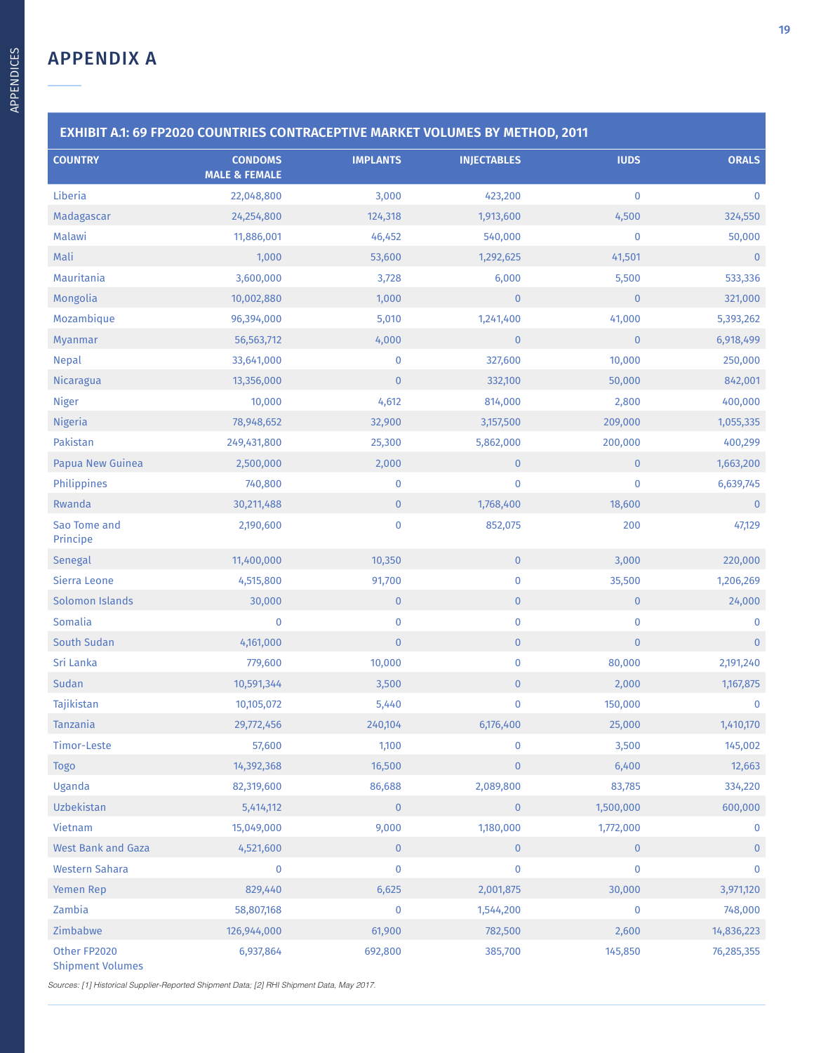| EXHIBIT A.1: 69 FP2020 COUNTRIES CONTRACEPTIVE MARKET VOLUMES BY METHOD, 2011 |                                            |                 |                    |              |                |  |  |
|-------------------------------------------------------------------------------|--------------------------------------------|-----------------|--------------------|--------------|----------------|--|--|
| <b>COUNTRY</b>                                                                | <b>CONDOMS</b><br><b>MALE &amp; FEMALE</b> | <b>IMPLANTS</b> | <b>INJECTABLES</b> | <b>IUDS</b>  | <b>ORALS</b>   |  |  |
| Liberia                                                                       | 22,048,800                                 | 3,000           | 423,200            | $\pmb{0}$    | $\pmb{0}$      |  |  |
| Madagascar                                                                    | 24,254,800                                 | 124,318         | 1,913,600          | 4,500        | 324,550        |  |  |
| Malawi                                                                        | 11,886,001                                 | 46,452          | 540,000            | $\pmb{0}$    | 50,000         |  |  |
| Mali                                                                          | 1,000                                      | 53,600          | 1,292,625          | 41,501       | $\pmb{0}$      |  |  |
| Mauritania                                                                    | 3,600,000                                  | 3,728           | 6,000              | 5,500        | 533,336        |  |  |
| Mongolia                                                                      | 10,002,880                                 | 1,000           | $\mathbf{0}$       | $\mathbf{0}$ | 321,000        |  |  |
| Mozambique                                                                    | 96,394,000                                 | 5,010           | 1,241,400          | 41,000       | 5,393,262      |  |  |
| Myanmar                                                                       | 56, 563, 712                               | 4,000           | $\pmb{0}$          | $\mathbf 0$  | 6,918,499      |  |  |
| <b>Nepal</b>                                                                  | 33,641,000                                 | $\mathbf 0$     | 327,600            | 10,000       | 250,000        |  |  |
| Nicaragua                                                                     | 13,356,000                                 | $\mathbf 0$     | 332,100            | 50,000       | 842,001        |  |  |
| <b>Niger</b>                                                                  | 10,000                                     | 4,612           | 814,000            | 2,800        | 400,000        |  |  |
| <b>Nigeria</b>                                                                | 78,948,652                                 | 32,900          | 3,157,500          | 209,000      | 1,055,335      |  |  |
| Pakistan                                                                      | 249,431,800                                | 25,300          | 5,862,000          | 200,000      | 400,299        |  |  |
| Papua New Guinea                                                              | 2,500,000                                  | 2,000           | $\mathbf 0$        | $\mathbf{0}$ | 1,663,200      |  |  |
| Philippines                                                                   | 740,800                                    | $\bf{0}$        | $\pmb{0}$          | $\pmb{0}$    | 6,639,745      |  |  |
| Rwanda                                                                        | 30,211,488                                 | $\mathbf 0$     | 1,768,400          | 18,600       | $\pmb{0}$      |  |  |
| Sao Tome and<br>Principe                                                      | 2,190,600                                  | $\pmb{0}$       | 852,075            | 200          | 47,129         |  |  |
| Senegal                                                                       | 11,400,000                                 | 10,350          | $\mathbf 0$        | 3,000        | 220,000        |  |  |
| Sierra Leone                                                                  | 4,515,800                                  | 91,700          | $\pmb{0}$          | 35,500       | 1,206,269      |  |  |
| Solomon Islands                                                               | 30,000                                     | $\mathbf 0$     | $\overline{0}$     | $\mathbf 0$  | 24,000         |  |  |
| Somalia                                                                       | $\bf{0}$                                   | $\pmb{0}$       | $\pmb{0}$          | $\bf{0}$     | 0              |  |  |
| South Sudan                                                                   | 4,161,000                                  | $\mathbf{0}$    | $\mathbf{0}$       | $\pmb{0}$    | $\overline{0}$ |  |  |
| Sri Lanka                                                                     | 779,600                                    | 10,000          | $\bf{0}$           | 80,000       | 2,191,240      |  |  |
| Sudan                                                                         | 10,591,344                                 | 3,500           | $\mathbf 0$        | 2,000        | 1,167,875      |  |  |
| Tajikistan                                                                    | 10,105,072                                 | 5,440           | $\pmb{0}$          | 150,000      | 0              |  |  |
| Tanzania                                                                      | 29,772,456                                 | 240,104         | 6,176,400          | 25,000       | 1,410,170      |  |  |
| Timor-Leste                                                                   | 57,600                                     | 1,100           | $\pmb{0}$          | 3,500        | 145,002        |  |  |
| <b>Togo</b>                                                                   | 14,392,368                                 | 16,500          | $\mathbf{0}$       | 6,400        | 12,663         |  |  |
| Uganda                                                                        | 82,319,600                                 | 86,688          | 2,089,800          | 83,785       | 334,220        |  |  |
| Uzbekistan                                                                    | 5,414,112                                  | $\mathbf 0$     | $\mathbf 0$        | 1,500,000    | 600,000        |  |  |
| Vietnam                                                                       | 15,049,000                                 | 9,000           | 1,180,000          | 1,772,000    | $\mathbf 0$    |  |  |
| <b>West Bank and Gaza</b>                                                     | 4,521,600                                  | $\mathbf 0$     | $\pmb{0}$          | $\mathbf 0$  | $\pmb{0}$      |  |  |
| <b>Western Sahara</b>                                                         | 0                                          | $\pmb{0}$       | $\pmb{0}$          | $\bf{0}$     | $\mathbf 0$    |  |  |
| Yemen Rep                                                                     | 829,440                                    | 6,625           | 2,001,875          | 30,000       | 3,971,120      |  |  |
| Zambia                                                                        | 58,807,168                                 | $\mathbf 0$     | 1,544,200          | $\mathbf 0$  | 748,000        |  |  |
| Zimbabwe                                                                      | 126,944,000                                | 61,900          | 782,500            | 2,600        | 14,836,223     |  |  |
| Other FP2020                                                                  | 6,937,864                                  | 692,800         | 385,700            | 145,850      | 76,285,355     |  |  |

Shipment Volumes

Sources: [1] Historical Supplier-Reported Shipment Data; [2] RHI Shipment Data, May 2017.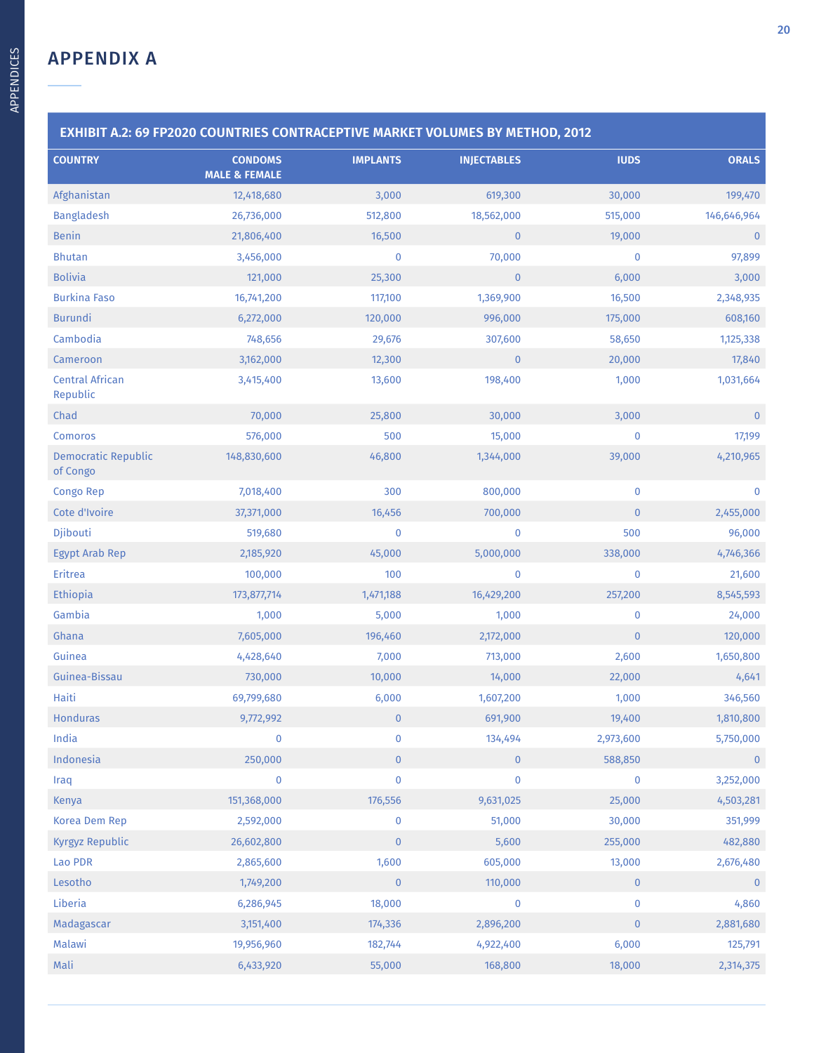| EXHIBIT A.2: 69 FP2020 COUNTRIES CONTRACEPTIVE MARKET VOLUMES BY METHOD, 2012 |                                            |                 |                    |              |                |  |  |
|-------------------------------------------------------------------------------|--------------------------------------------|-----------------|--------------------|--------------|----------------|--|--|
| <b>COUNTRY</b>                                                                | <b>CONDOMS</b><br><b>MALE &amp; FEMALE</b> | <b>IMPLANTS</b> | <b>INJECTABLES</b> | <b>IUDS</b>  | <b>ORALS</b>   |  |  |
| Afghanistan                                                                   | 12,418,680                                 | 3,000           | 619,300            | 30,000       | 199,470        |  |  |
| <b>Bangladesh</b>                                                             | 26,736,000                                 | 512,800         | 18,562,000         | 515,000      | 146,646,964    |  |  |
| <b>Benin</b>                                                                  | 21,806,400                                 | 16,500          | $\pmb{0}$          | 19,000       | $\overline{0}$ |  |  |
| <b>Bhutan</b>                                                                 | 3,456,000                                  | $\bf{0}$        | 70,000             | $\bf{0}$     | 97,899         |  |  |
| <b>Bolivia</b>                                                                | 121,000                                    | 25,300          | $\mathbf{0}$       | 6,000        | 3,000          |  |  |
| <b>Burkina Faso</b>                                                           | 16,741,200                                 | 117,100         | 1,369,900          | 16,500       | 2,348,935      |  |  |
| <b>Burundi</b>                                                                | 6,272,000                                  | 120,000         | 996,000            | 175,000      | 608,160        |  |  |
| Cambodia                                                                      | 748,656                                    | 29,676          | 307,600            | 58,650       | 1,125,338      |  |  |
| Cameroon                                                                      | 3,162,000                                  | 12,300          | $\mathbf{0}$       | 20,000       | 17,840         |  |  |
| <b>Central African</b><br>Republic                                            | 3,415,400                                  | 13,600          | 198,400            | 1,000        | 1,031,664      |  |  |
| Chad                                                                          | 70,000                                     | 25,800          | 30,000             | 3,000        | $\mathbf{0}$   |  |  |
| Comoros                                                                       | 576,000                                    | 500             | 15,000             | $\mathbf 0$  | 17,199         |  |  |
| <b>Democratic Republic</b><br>of Congo                                        | 148,830,600                                | 46,800          | 1,344,000          | 39,000       | 4,210,965      |  |  |
| <b>Congo Rep</b>                                                              | 7,018,400                                  | 300             | 800,000            | $\mathbf 0$  | $\mathbf 0$    |  |  |
| Cote d'Ivoire                                                                 | 37,371,000                                 | 16,456          | 700,000            | $\mathbf{0}$ | 2,455,000      |  |  |
| Djibouti                                                                      | 519,680                                    | $\bf{0}$        | $\pmb{0}$          | 500          | 96,000         |  |  |
| <b>Egypt Arab Rep</b>                                                         | 2,185,920                                  | 45,000          | 5,000,000          | 338,000      | 4,746,366      |  |  |
| Eritrea                                                                       | 100,000                                    | 100             | $\mathbf 0$        | $\mathbf 0$  | 21,600         |  |  |
| Ethiopia                                                                      | 173,877,714                                | 1,471,188       | 16,429,200         | 257,200      | 8,545,593      |  |  |
| Gambia                                                                        | 1,000                                      | 5,000           | 1,000              | $\mathbf 0$  | 24,000         |  |  |
| Ghana                                                                         | 7,605,000                                  | 196,460         | 2,172,000          | $\mathbf{0}$ | 120,000        |  |  |
| Guinea                                                                        | 4,428,640                                  | 7,000           | 713,000            | 2,600        | 1,650,800      |  |  |
| Guinea-Bissau                                                                 | 730,000                                    | 10,000          | 14,000             | 22,000       | 4,641          |  |  |
| Haiti                                                                         | 69,799,680                                 | 6,000           | 1,607,200          | 1,000        | 346,560        |  |  |
| <b>Honduras</b>                                                               | 9,772,992                                  | $\overline{0}$  | 691,900            | 19,400       | 1,810,800      |  |  |
| India                                                                         | $\pmb{0}$                                  | 0               | 134,494            | 2,973,600    | 5,750,000      |  |  |
| Indonesia                                                                     | 250,000                                    | $\pmb{0}$       | $\overline{0}$     | 588,850      | $\overline{0}$ |  |  |
| Iraq                                                                          | $\pmb{0}$                                  | 0               | 0                  | $\mathbf 0$  | 3,252,000      |  |  |
| Kenya                                                                         | 151,368,000                                | 176,556         | 9,631,025          | 25,000       | 4,503,281      |  |  |
| Korea Dem Rep                                                                 | 2,592,000                                  | $\pmb{0}$       | 51,000             | 30,000       | 351,999        |  |  |
| <b>Kyrgyz Republic</b>                                                        | 26,602,800                                 | $\pmb{0}$       | 5,600              | 255,000      | 482,880        |  |  |
| Lao PDR                                                                       | 2,865,600                                  | 1,600           | 605,000            | 13,000       | 2,676,480      |  |  |
| Lesotho                                                                       | 1,749,200                                  | $\pmb{0}$       | 110,000            | $\mathbf 0$  | $\overline{0}$ |  |  |
| Liberia                                                                       | 6,286,945                                  | 18,000          | 0                  | $\pmb{0}$    | 4,860          |  |  |
| Madagascar                                                                    | 3,151,400                                  | 174,336         | 2,896,200          | $\mathbf 0$  | 2,881,680      |  |  |
| Malawi                                                                        | 19,956,960                                 | 182,744         | 4,922,400          | 6,000        | 125,791        |  |  |
| Mali                                                                          | 6,433,920                                  | 55,000          | 168,800            | 18,000       | 2,314,375      |  |  |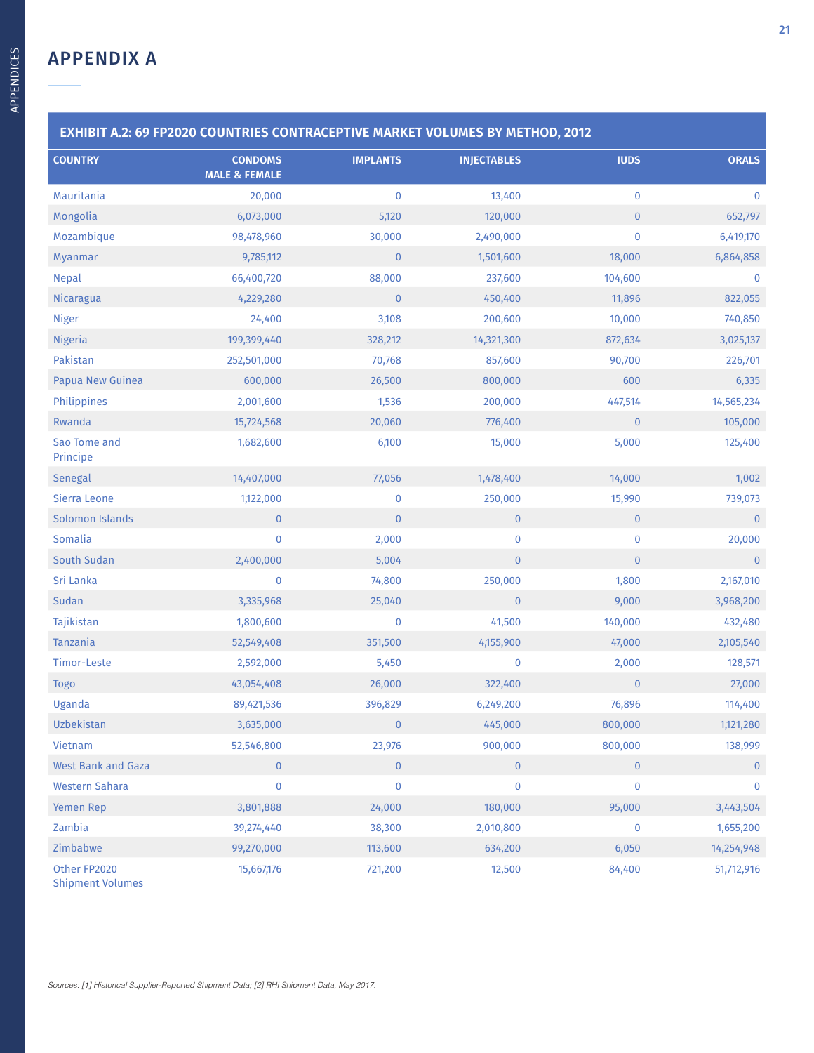| <b>COUNTRY</b>            | <b>CONDOMS</b><br><b>MALE &amp; FEMALE</b> | <b>IMPLANTS</b>         | <b>INJECTABLES</b> | <b>IUDS</b>    | <b>ORALS</b> |
|---------------------------|--------------------------------------------|-------------------------|--------------------|----------------|--------------|
| Mauritania                | 20,000                                     | $\pmb{0}$               | 13,400             | $\pmb{0}$      | $\mathbf 0$  |
| Mongolia                  | 6,073,000                                  | 5,120                   | 120,000            | $\mathbf 0$    | 652,797      |
| Mozambique                | 98,478,960                                 | 30,000                  | 2,490,000          | $\pmb{0}$      | 6,419,170    |
| Myanmar                   | 9,785,112                                  | $\mathbf{0}$            | 1,501,600          | 18,000         | 6,864,858    |
| <b>Nepal</b>              | 66,400,720                                 | 88,000                  | 237,600            | 104,600        | $\mathbf 0$  |
| <b>Nicaragua</b>          | 4,229,280                                  | $\pmb{0}$               | 450,400            | 11,896         | 822,055      |
| <b>Niger</b>              | 24,400                                     | 3,108                   | 200,600            | 10,000         | 740,850      |
| <b>Nigeria</b>            | 199,399,440                                | 328,212                 | 14,321,300         | 872,634        | 3,025,137    |
| Pakistan                  | 252,501,000                                | 70,768                  | 857,600            | 90,700         | 226,701      |
| Papua New Guinea          | 600,000                                    | 26,500                  | 800,000            | 600            | 6,335        |
| Philippines               | 2,001,600                                  | 1,536                   | 200,000            | 447,514        | 14,565,234   |
| Rwanda                    | 15,724,568                                 | 20,060                  | 776,400            | $\overline{0}$ | 105,000      |
| Sao Tome and<br>Principe  | 1,682,600                                  | 6,100                   | 15,000             | 5,000          | 125,400      |
| Senegal                   | 14,407,000                                 | 77,056                  | 1,478,400          | 14,000         | 1,002        |
| Sierra Leone              | 1,122,000                                  | $\pmb{0}$               | 250,000            | 15,990         | 739,073      |
| Solomon Islands           | $\pmb{0}$                                  | $\mathbf{0}$            | $\mathbf{0}$       | $\mathbf{0}$   | $\pmb{0}$    |
| Somalia                   | $\pmb{0}$                                  | 2,000                   | 0                  | $\bf{0}$       | 20,000       |
| South Sudan               | 2,400,000                                  | 5,004                   | $\overline{0}$     | $\pmb{0}$      | $\mathbf{0}$ |
| Sri Lanka                 | $\pmb{0}$                                  | 74,800                  | 250,000            | 1,800          | 2,167,010    |
| Sudan                     | 3,335,968                                  | 25,040                  | $\mathbf{0}$       | 9,000          | 3,968,200    |
| Tajikistan                | 1,800,600                                  | $\pmb{0}$               | 41,500             | 140,000        | 432,480      |
| Tanzania                  | 52,549,408                                 | 351,500                 | 4,155,900          | 47,000         | 2,105,540    |
| Timor-Leste               | 2,592,000                                  | 5,450                   | 0                  | 2,000          | 128,571      |
| <b>Togo</b>               | 43,054,408                                 | 26,000                  | 322,400            | $\overline{0}$ | 27,000       |
| Uganda                    | 89,421,536                                 | 396,829                 | 6,249,200          | 76,896         | 114,400      |
| Uzbekistan                | 3,635,000                                  | $\overline{\mathbf{0}}$ | 445,000            | 800,000        | 1,121,280    |
| Vietnam                   | 52,546,800                                 | 23,976                  | 900,000            | 800,000        | 138,999      |
| <b>West Bank and Gaza</b> | $\pmb{0}$                                  | $\pmb{0}$               | $\overline{0}$     | $\mathbf{0}$   | $\mathbf{0}$ |
| <b>Western Sahara</b>     | $\pmb{0}$                                  | $\mathbf 0$             | 0                  | $\mathbf 0$    | $\mathbf 0$  |
| Yemen Rep                 | 3,801,888                                  | 24,000                  | 180,000            | 95,000         | 3,443,504    |
| Zambia                    | 39,274,440                                 | 38,300                  | 2,010,800          | $\pmb{0}$      | 1,655,200    |
| Zimbabwe                  | 99,270,000                                 | 113,600                 | 634,200            | 6,050          | 14,254,948   |
| Other FP2020              | 15,667,176                                 | 721,200                 | 12,500             | 84,400         | 51,712,916   |

Shipment Volumes

Sources: [1] Historical Supplier-Reported Shipment Data; [2] RHI Shipment Data, May 2017.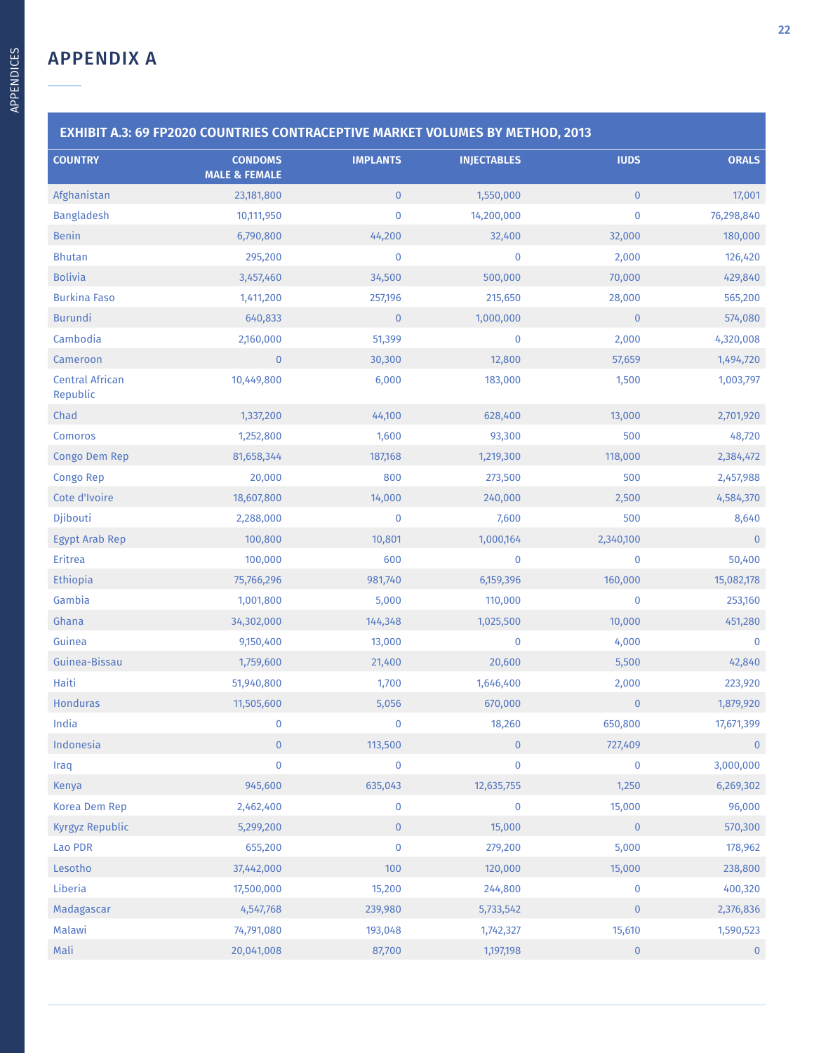**COUNTRY** 

| <b>EXHIBIT A.3: 69 FP2020 COUNTRIES CONTRACEPTIVE MARKET VOLUMES BY METHOD, 2013</b> |                                            |                 |                    |              |              |  |  |
|--------------------------------------------------------------------------------------|--------------------------------------------|-----------------|--------------------|--------------|--------------|--|--|
| <b>COUNTRY</b>                                                                       | <b>CONDOMS</b><br><b>MALE &amp; FEMALE</b> | <b>IMPLANTS</b> | <b>INJECTABLES</b> | <b>IUDS</b>  | <b>ORALS</b> |  |  |
| Afghanistan                                                                          | 23,181,800                                 | $\mathbf{0}$    | 1,550,000          | $\mathbf{0}$ | 17,001       |  |  |
| <b>Bangladesh</b>                                                                    | 10,111,950                                 | 0               | 14,200,000         | $\mathbf 0$  | 76,298,840   |  |  |
| <b>Benin</b>                                                                         | 6,790,800                                  | 44,200          | 32,400             | 32,000       | 180,000      |  |  |
| <b>Bhutan</b>                                                                        | 295,200                                    | 0               | 0                  | 2,000        | 126,420      |  |  |
|                                                                                      |                                            |                 |                    |              |              |  |  |

| <b>Benin</b>                       | 6,790,800      | 44,200    | 32,400       | 32,000       | 180,000     |
|------------------------------------|----------------|-----------|--------------|--------------|-------------|
| <b>Bhutan</b>                      | 295,200        | $\pmb{0}$ | $\pmb{0}$    | 2,000        | 126,420     |
| <b>Bolivia</b>                     | 3,457,460      | 34,500    | 500,000      | 70,000       | 429,840     |
| <b>Burkina Faso</b>                | 1,411,200      | 257,196   | 215,650      | 28,000       | 565,200     |
| <b>Burundi</b>                     | 640,833        | $\pmb{0}$ | 1,000,000    | $\pmb{0}$    | 574,080     |
| Cambodia                           | 2,160,000      | 51,399    | $\bf{0}$     | 2,000        | 4,320,008   |
| Cameroon                           | $\pmb{0}$      | 30,300    | 12,800       | 57,659       | 1,494,720   |
| <b>Central African</b><br>Republic | 10,449,800     | 6,000     | 183,000      | 1,500        | 1,003,797   |
| Chad                               | 1,337,200      | 44,100    | 628,400      | 13,000       | 2,701,920   |
| Comoros                            | 1,252,800      | 1,600     | 93,300       | 500          | 48,720      |
| Congo Dem Rep                      | 81,658,344     | 187,168   | 1,219,300    | 118,000      | 2,384,472   |
| Congo Rep                          | 20,000         | 800       | 273,500      | 500          | 2,457,988   |
| Cote d'Ivoire                      | 18,607,800     | 14,000    | 240,000      | 2,500        | 4,584,370   |
| Djibouti                           | 2,288,000      | $\pmb{0}$ | 7,600        | 500          | 8,640       |
| <b>Egypt Arab Rep</b>              | 100,800        | 10,801    | 1,000,164    | 2,340,100    | $\bf{0}$    |
| Eritrea                            | 100,000        | 600       | $\pmb{0}$    | $\pmb{0}$    | 50,400      |
| Ethiopia                           | 75,766,296     | 981,740   | 6,159,396    | 160,000      | 15,082,178  |
| Gambia                             | 1,001,800      | 5,000     | 110,000      | $\pmb{0}$    | 253,160     |
| Ghana                              | 34,302,000     | 144,348   | 1,025,500    | 10,000       | 451,280     |
| Guinea                             | 9,150,400      | 13,000    | $\bf{0}$     | 4,000        | $\mathbf 0$ |
| Guinea-Bissau                      | 1,759,600      | 21,400    | 20,600       | 5,500        | 42,840      |
| Haiti                              | 51,940,800     | 1,700     | 1,646,400    | 2,000        | 223,920     |
| <b>Honduras</b>                    | 11,505,600     | 5,056     | 670,000      | $\mathbf 0$  | 1,879,920   |
| India                              | $\mathbf 0$    | $\pmb{0}$ | 18,260       | 650,800      | 17,671,399  |
| Indonesia                          | $\overline{0}$ | 113,500   | $\mathbf{0}$ | 727,409      | $\mathbf 0$ |
| Iraq                               | $\pmb{0}$      | $\pmb{0}$ | $\pmb{0}$    | $\pmb{0}$    | 3,000,000   |
| Kenya                              | 945,600        | 635,043   | 12,635,755   | 1,250        | 6,269,302   |
| Korea Dem Rep                      | 2,462,400      | $\pmb{0}$ | $\bf{0}$     | 15,000       | 96,000      |
| Kyrgyz Republic                    | 5,299,200      | $\pmb{0}$ | 15,000       | $\mathbf{0}$ | 570,300     |
| Lao PDR                            | 655,200        | $\pmb{0}$ | 279,200      | 5,000        | 178,962     |
| Lesotho                            | 37,442,000     | 100       | 120,000      | 15,000       | 238,800     |
| Liberia                            | 17,500,000     | 15,200    | 244,800      | $\bf{0}$     | 400,320     |
| Madagascar                         | 4,547,768      | 239,980   | 5,733,542    | $\pmb{0}$    | 2,376,836   |
| Malawi                             | 74,791,080     | 193,048   | 1,742,327    | 15,610       | 1,590,523   |
| Mali                               | 20,041,008     | 87,700    | 1,197,198    | $\pmb{0}$    | $\pmb{0}$   |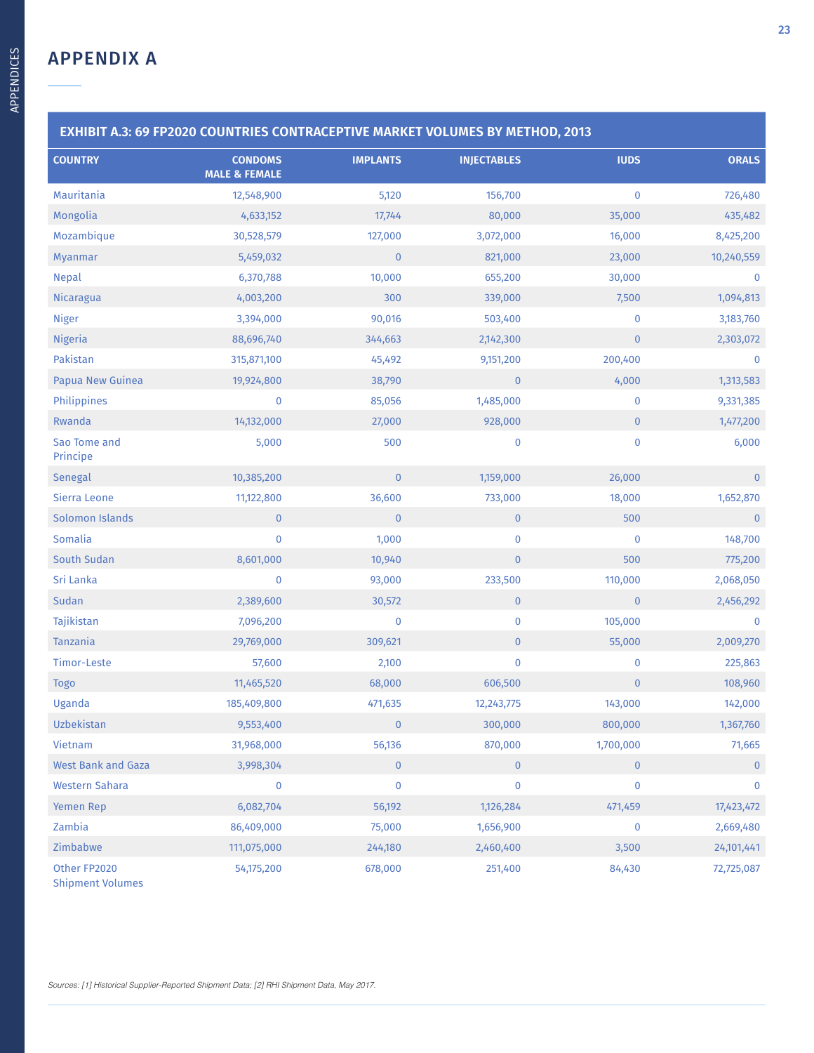| <b>EXHIBIT A.3: 69 FP2020 COUNTRIES CONTRACEPTIVE MARKET VOLUMES BY METHOD, 2013</b> |                                            |                 |                    |              |                |  |  |
|--------------------------------------------------------------------------------------|--------------------------------------------|-----------------|--------------------|--------------|----------------|--|--|
| <b>COUNTRY</b>                                                                       | <b>CONDOMS</b><br><b>MALE &amp; FEMALE</b> | <b>IMPLANTS</b> | <b>INJECTABLES</b> | <b>IUDS</b>  | <b>ORALS</b>   |  |  |
| Mauritania                                                                           | 12,548,900                                 | 5,120           | 156,700            | $\pmb{0}$    | 726,480        |  |  |
| Mongolia                                                                             | 4,633,152                                  | 17,744          | 80,000             | 35,000       | 435,482        |  |  |
| Mozambique                                                                           | 30,528,579                                 | 127,000         | 3,072,000          | 16,000       | 8,425,200      |  |  |
| Myanmar                                                                              | 5,459,032                                  | $\bf 0$         | 821,000            | 23,000       | 10,240,559     |  |  |
| <b>Nepal</b>                                                                         | 6,370,788                                  | 10,000          | 655,200            | 30,000       | $\mathbf 0$    |  |  |
| Nicaragua                                                                            | 4,003,200                                  | 300             | 339,000            | 7,500        | 1,094,813      |  |  |
| <b>Niger</b>                                                                         | 3,394,000                                  | 90,016          | 503,400            | $\pmb{0}$    | 3,183,760      |  |  |
| <b>Nigeria</b>                                                                       | 88,696,740                                 | 344,663         | 2,142,300          | $\pmb{0}$    | 2,303,072      |  |  |
| Pakistan                                                                             | 315,871,100                                | 45,492          | 9,151,200          | 200,400      | $\mathbf 0$    |  |  |
| Papua New Guinea                                                                     | 19,924,800                                 | 38,790          | $\bf{0}$           | 4,000        | 1,313,583      |  |  |
| Philippines                                                                          | $\pmb{0}$                                  | 85,056          | 1,485,000          | $\pmb{0}$    | 9,331,385      |  |  |
| Rwanda                                                                               | 14,132,000                                 | 27,000          | 928,000            | $\pmb{0}$    | 1,477,200      |  |  |
| Sao Tome and<br>Principe                                                             | 5,000                                      | 500             | 0                  | $\pmb{0}$    | 6,000          |  |  |
| Senegal                                                                              | 10,385,200                                 | $\mathbf 0$     | 1,159,000          | 26,000       | $\mathbf{0}$   |  |  |
| Sierra Leone                                                                         | 11,122,800                                 | 36,600          | 733,000            | 18,000       | 1,652,870      |  |  |
| Solomon Islands                                                                      | $\mathbf{0}$                               | $\bf 0$         | $\mathbf 0$        | 500          | $\overline{0}$ |  |  |
| Somalia                                                                              | $\pmb{0}$                                  | 1,000           | $\mathbf 0$        | $\pmb{0}$    | 148,700        |  |  |
| South Sudan                                                                          | 8,601,000                                  | 10,940          | $\pmb{0}$          | 500          | 775,200        |  |  |
| Sri Lanka                                                                            | $\pmb{0}$                                  | 93,000          | 233,500            | 110,000      | 2,068,050      |  |  |
| Sudan                                                                                | 2,389,600                                  | 30,572          | $\pmb{0}$          | $\pmb{0}$    | 2,456,292      |  |  |
| Tajikistan                                                                           | 7,096,200                                  | $\pmb{0}$       | $\bf{0}$           | 105,000      | $\mathbf 0$    |  |  |
| Tanzania                                                                             | 29,769,000                                 | 309,621         | $\mathbf 0$        | 55,000       | 2,009,270      |  |  |
| Timor-Leste                                                                          | 57,600                                     | 2,100           | 0                  | $\pmb{0}$    | 225,863        |  |  |
| <b>Togo</b>                                                                          | 11,465,520                                 | 68,000          | 606,500            | $\pmb{0}$    | 108,960        |  |  |
| Uganda                                                                               | 185,409,800                                | 471,635         | 12,243,775         | 143,000      | 142,000        |  |  |
| Uzbekistan                                                                           | 9,553,400                                  | $\mathbf{0}$    | 300,000            | 800,000      | 1,367,760      |  |  |
| Vietnam                                                                              | 31,968,000                                 | 56,136          | 870,000            | 1,700,000    | 71,665         |  |  |
| <b>West Bank and Gaza</b>                                                            | 3,998,304                                  | $\overline{0}$  | $\overline{0}$     | $\mathbf{0}$ | $\mathbf{0}$   |  |  |
| <b>Western Sahara</b>                                                                | $\bf{0}$                                   | $\bf{0}$        | 0                  | $\pmb{0}$    | $\pmb{0}$      |  |  |
| Yemen Rep                                                                            | 6,082,704                                  | 56,192          | 1,126,284          | 471,459      | 17,423,472     |  |  |
| Zambia                                                                               | 86,409,000                                 | 75,000          | 1,656,900          | $\pmb{0}$    | 2,669,480      |  |  |
| Zimbabwe                                                                             | 111,075,000                                | 244,180         | 2,460,400          | 3,500        | 24,101,441     |  |  |
| Other FP2020<br><b>Shipment Volumes</b>                                              | 54,175,200                                 | 678,000         | 251,400            | 84,430       | 72,725,087     |  |  |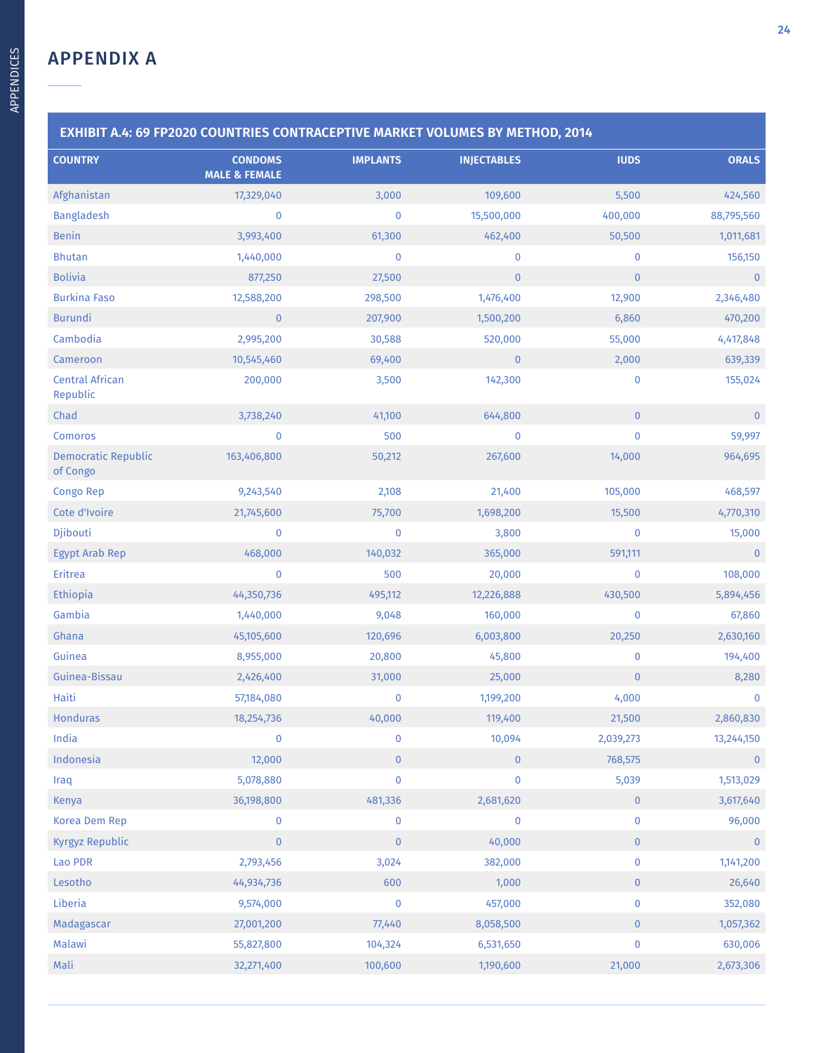|                                        | EXHIBIT A.4: 69 FP2020 COUNTRIES CONTRACEPTIVE MARKET VOLUMES BY METHOD, 2014 |                 |                    |              |                |
|----------------------------------------|-------------------------------------------------------------------------------|-----------------|--------------------|--------------|----------------|
| <b>COUNTRY</b>                         | <b>CONDOMS</b><br><b>MALE &amp; FEMALE</b>                                    | <b>IMPLANTS</b> | <b>INJECTABLES</b> | <b>IUDS</b>  | <b>ORALS</b>   |
| Afghanistan                            | 17,329,040                                                                    | 3,000           | 109,600            | 5,500        | 424,560        |
| <b>Bangladesh</b>                      | $\bf{0}$                                                                      | 0               | 15,500,000         | 400,000      | 88,795,560     |
| <b>Benin</b>                           | 3,993,400                                                                     | 61,300          | 462,400            | 50,500       | 1,011,681      |
| <b>Bhutan</b>                          | 1,440,000                                                                     | 0               | $\mathbf 0$        | $\bf{0}$     | 156,150        |
| <b>Bolivia</b>                         | 877,250                                                                       | 27,500          | $\mathbf{0}$       | $\mathbf{0}$ | $\mathbf 0$    |
| <b>Burkina Faso</b>                    | 12,588,200                                                                    | 298,500         | 1,476,400          | 12,900       | 2,346,480      |
| <b>Burundi</b>                         | $\mathbf{0}$                                                                  | 207,900         | 1,500,200          | 6,860        | 470,200        |
| Cambodia                               | 2,995,200                                                                     | 30,588          | 520,000            | 55,000       | 4,417,848      |
| Cameroon                               | 10,545,460                                                                    | 69,400          | $\mathbf 0$        | 2,000        | 639,339        |
| <b>Central African</b><br>Republic     | 200,000                                                                       | 3,500           | 142,300            | $\bf{0}$     | 155,024        |
| Chad                                   | 3,738,240                                                                     | 41,100          | 644,800            | $\mathbf{0}$ | $\mathbf{0}$   |
| <b>Comoros</b>                         | $\bf{0}$                                                                      | 500             | $\bf{0}$           | $\pmb{0}$    | 59,997         |
| <b>Democratic Republic</b><br>of Congo | 163,406,800                                                                   | 50,212          | 267,600            | 14,000       | 964,695        |
| Congo Rep                              | 9,243,540                                                                     | 2,108           | 21,400             | 105,000      | 468,597        |
| Cote d'Ivoire                          | 21,745,600                                                                    | 75,700          | 1,698,200          | 15,500       | 4,770,310      |
| Djibouti                               | $\mathbf 0$                                                                   | 0               | 3,800              | $\bf{0}$     | 15,000         |
| <b>Egypt Arab Rep</b>                  | 468,000                                                                       | 140,032         | 365,000            | 591,111      | $\overline{0}$ |
| Eritrea                                | $\mathbf 0$                                                                   | 500             | 20,000             | $\bf{0}$     | 108,000        |
| <b>Ethiopia</b>                        | 44,350,736                                                                    | 495,112         | 12,226,888         | 430,500      | 5,894,456      |
| Gambia                                 | 1,440,000                                                                     | 9,048           | 160,000            | $\bf{0}$     | 67,860         |
| Ghana                                  | 45,105,600                                                                    | 120,696         | 6,003,800          | 20,250       | 2,630,160      |
| Guinea                                 | 8,955,000                                                                     | 20,800          | 45,800             | $\bf{0}$     | 194,400        |
| Guinea-Bissau                          | 2,426,400                                                                     | 31,000          | 25,000             | $\pmb{0}$    | 8,280          |
| Haiti                                  | 57,184,080                                                                    | 0               | 1,199,200          | 4,000        | $\bf{0}$       |
| <b>Honduras</b>                        | 18,254,736                                                                    | 40,000          | 119,400            | 21,500       | 2,860,830      |
| India                                  | $\pmb{0}$                                                                     | 0               | 10,094             | 2,039,273    | 13,244,150     |
| Indonesia                              | 12,000                                                                        | $\pmb{0}$       | $\mathbf{0}$       | 768,575      | $\mathbf{0}$   |
| Iraq                                   | 5,078,880                                                                     | 0               | $\bf{0}$           | 5,039        | 1,513,029      |
| Kenya                                  | 36,198,800                                                                    | 481,336         | 2,681,620          | $\pmb{0}$    | 3,617,640      |
| Korea Dem Rep                          | $\bf{0}$                                                                      | 0               | $\bf{0}$           | $\bf{0}$     | 96,000         |
| Kyrgyz Republic                        | $\pmb{0}$                                                                     | $\pmb{0}$       | 40,000             | $\pmb{0}$    | $\mathbf 0$    |
| Lao PDR                                | 2,793,456                                                                     | 3,024           | 382,000            | $\pmb{0}$    | 1,141,200      |
| Lesotho                                | 44,934,736                                                                    | 600             | 1,000              | $\mathbf 0$  | 26,640         |
| Liberia                                | 9,574,000                                                                     | 0               | 457,000            | $\pmb{0}$    | 352,080        |
| Madagascar                             | 27,001,200                                                                    | 77,440          | 8,058,500          | $\pmb{0}$    | 1,057,362      |
| Malawi                                 | 55,827,800                                                                    | 104,324         | 6,531,650          | $\pmb{0}$    | 630,006        |
| Mali                                   | 32,271,400                                                                    | 100,600         | 1,190,600          | 21,000       | 2,673,306      |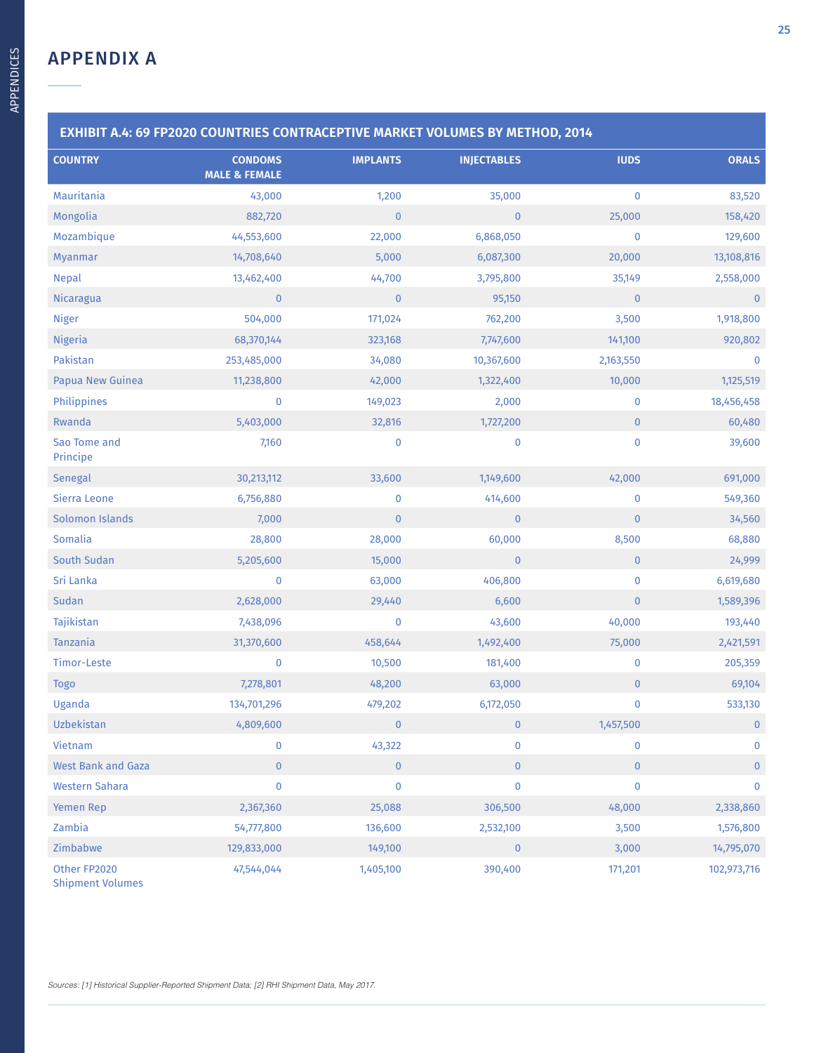| <b>COUNTRY</b>                          | <b>CONDOMS</b><br><b>MALE &amp; FEMALE</b> | <b>IMPLANTS</b> | <b>INJECTABLES</b> | <b>IUDS</b>  | <b>ORALS</b> |
|-----------------------------------------|--------------------------------------------|-----------------|--------------------|--------------|--------------|
| Mauritania                              | 43,000                                     | 1,200           | 35,000             | $\pmb{0}$    | 83,520       |
| Mongolia                                | 882,720                                    | $\pmb{0}$       | $\overline{0}$     | 25,000       | 158,420      |
| Mozambique                              | 44,553,600                                 | 22,000          | 6,868,050          | $\pmb{0}$    | 129,600      |
| Myanmar                                 | 14,708,640                                 | 5,000           | 6,087,300          | 20,000       | 13,108,816   |
| <b>Nepal</b>                            | 13,462,400                                 | 44,700          | 3,795,800          | 35,149       | 2,558,000    |
| Nicaragua                               | $\mathbf{0}$                               | $\mathbf{0}$    | 95,150             | $\mathbf{0}$ | $\pmb{0}$    |
| <b>Niger</b>                            | 504,000                                    | 171,024         | 762,200            | 3,500        | 1,918,800    |
| <b>Nigeria</b>                          | 68,370,144                                 | 323,168         | 7,747,600          | 141,100      | 920,802      |
| Pakistan                                | 253,485,000                                | 34,080          | 10,367,600         | 2,163,550    | 0            |
| Papua New Guinea                        | 11,238,800                                 | 42,000          | 1,322,400          | 10,000       | 1,125,519    |
| Philippines                             | $\pmb{0}$                                  | 149,023         | 2,000              | $\bf{0}$     | 18,456,458   |
| Rwanda                                  | 5,403,000                                  | 32,816          | 1,727,200          | $\mathbf{0}$ | 60,480       |
| Sao Tome and<br>Principe                | 7,160                                      | $\pmb{0}$       | 0                  | $\pmb{0}$    | 39,600       |
| Senegal                                 | 30,213,112                                 | 33,600          | 1,149,600          | 42,000       | 691,000      |
| Sierra Leone                            | 6,756,880                                  | $\pmb{0}$       | 414,600            | $\pmb{0}$    | 549,360      |
| <b>Solomon Islands</b>                  | 7,000                                      | $\pmb{0}$       | $\overline{0}$     | $\pmb{0}$    | 34,560       |
| Somalia                                 | 28,800                                     | 28,000          | 60,000             | 8,500        | 68,880       |
| <b>South Sudan</b>                      | 5,205,600                                  | 15,000          | $\mathbf{0}$       | $\pmb{0}$    | 24,999       |
| Sri Lanka                               | $\pmb{0}$                                  | 63,000          | 406,800            | $\bf{0}$     | 6,619,680    |
| <b>Sudan</b>                            | 2,628,000                                  | 29,440          | 6,600              | $\mathbf{0}$ | 1,589,396    |
| Tajikistan                              | 7,438,096                                  | $\pmb{0}$       | 43,600             | 40,000       | 193,440      |
| <b>Tanzania</b>                         | 31,370,600                                 | 458,644         | 1,492,400          | 75,000       | 2,421,591    |
| Timor-Leste                             | 0                                          | 10,500          | 181,400            | 0            | 205,359      |
| Togo                                    | 7,278,801                                  | 48,200          | 63,000             | $\mathbf{0}$ | 69,104       |
| Uganda                                  | 134,701,296                                | 479,202         | 6,172,050          | $\bf{0}$     | 533,130      |
| Uzbekistan                              | 4,809,600                                  |                 |                    | 1,457,500    |              |
| Vietnam                                 | $\mathbf 0$                                | 43,322          | 0                  | $\mathbf 0$  | 0            |
| <b>West Bank and Gaza</b>               | $\mathbf{0}$                               | $\mathbf{0}$    | $\overline{0}$     | $\mathbf{0}$ | $\mathbf{0}$ |
| <b>Western Sahara</b>                   | $\pmb{0}$                                  | $\pmb{0}$       | $\mathbf 0$        | $\pmb{0}$    | 0            |
| <b>Yemen Rep</b>                        | 2,367,360                                  | 25,088          | 306,500            | 48,000       | 2,338,860    |
| Zambia                                  | 54,777,800                                 | 136,600         | 2,532,100          | 3,500        | 1,576,800    |
| Zimbabwe                                | 129,833,000                                | 149,100         | $\mathbf{0}$       | 3,000        | 14,795,070   |
| Other FP2020<br><b>Shipment Volumes</b> | 47,544,044                                 | 1,405,100       | 390,400            | 171,201      | 102,973,716  |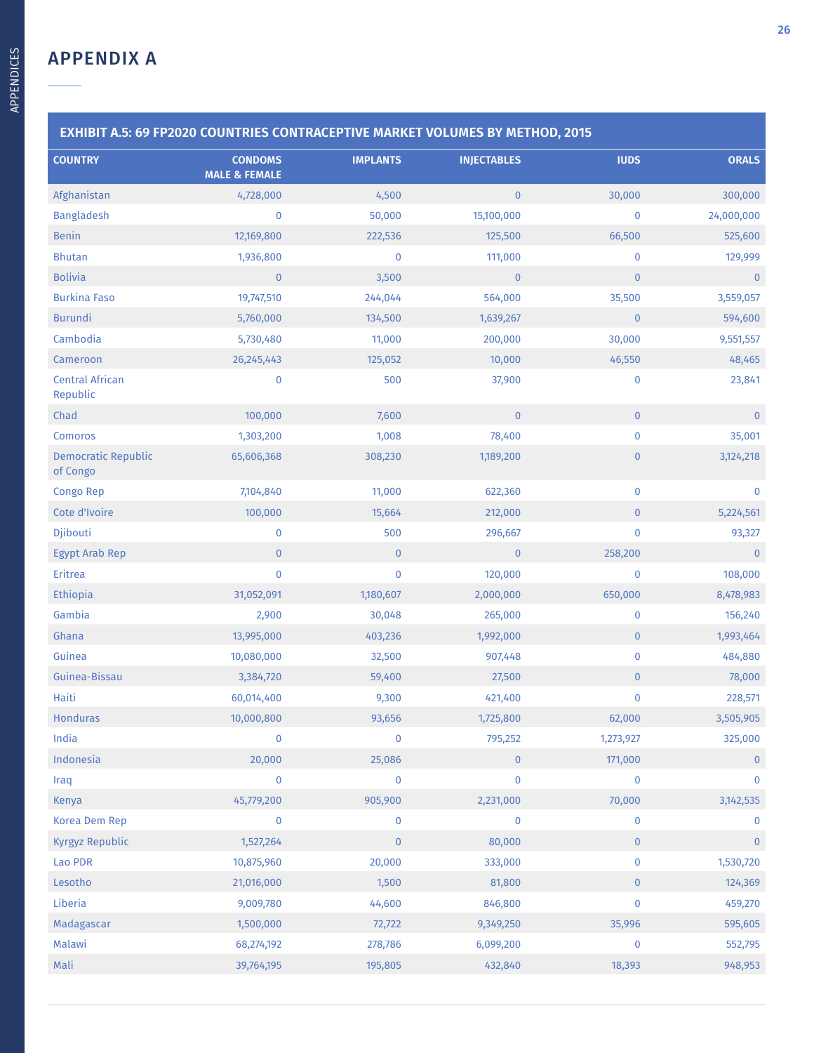| <b>COUNTRY</b>                         | <b>CONDOMS</b>           | <b>IMPLANTS</b> | <b>INJECTABLES</b> | <b>IUDS</b>  | <b>ORALS</b> |
|----------------------------------------|--------------------------|-----------------|--------------------|--------------|--------------|
|                                        | <b>MALE &amp; FEMALE</b> |                 |                    |              |              |
| Afghanistan                            | 4,728,000                | 4,500           | $\overline{0}$     | 30,000       | 300,000      |
| <b>Bangladesh</b>                      | $\bf{0}$                 | 50,000          | 15,100,000         | $\pmb{0}$    | 24,000,000   |
| <b>Benin</b>                           | 12,169,800               | 222,536         | 125,500            | 66,500       | 525,600      |
| <b>Bhutan</b>                          | 1,936,800                | 0               | 111,000            | $\bf{0}$     | 129,999      |
| <b>Bolivia</b>                         | $\mathbf 0$              | 3,500           | $\mathbf{0}$       | $\mathbf{0}$ | $\pmb{0}$    |
| <b>Burkina Faso</b>                    | 19,747,510               | 244,044         | 564,000            | 35,500       | 3,559,057    |
| <b>Burundi</b>                         | 5,760,000                | 134,500         | 1,639,267          | $\bf{0}$     | 594,600      |
| Cambodia                               | 5,730,480                | 11,000          | 200,000            | 30,000       | 9,551,557    |
| Cameroon                               | 26, 245, 443             | 125,052         | 10,000             | 46,550       | 48,465       |
| <b>Central African</b><br>Republic     | $\bf{0}$                 | 500             | 37,900             | $\pmb{0}$    | 23,841       |
| Chad                                   | 100,000                  | 7,600           | $\mathbf{0}$       | $\mathbf{0}$ | $\mathbf{0}$ |
| <b>Comoros</b>                         | 1,303,200                | 1,008           | 78,400             | $\pmb{0}$    | 35,001       |
| <b>Democratic Republic</b><br>of Congo | 65,606,368               | 308,230         | 1,189,200          | $\pmb{0}$    | 3,124,218    |
| Congo Rep                              | 7,104,840                | 11,000          | 622,360            | $\pmb{0}$    | 0            |
| Cote d'Ivoire                          | 100,000                  | 15,664          | 212,000            | $\mathbf{0}$ | 5,224,561    |
| Djibouti                               | $\mathbf 0$              | 500             | 296,667            | $\pmb{0}$    | 93,327       |
| <b>Egypt Arab Rep</b>                  | $\overline{0}$           | $\mathbf{0}$    | $\mathbf{0}$       | 258,200      | $\mathbf{0}$ |
| Eritrea                                | $\mathbf{0}$             | 0               | 120,000            | $\pmb{0}$    | 108,000      |
| <b>Ethiopia</b>                        | 31,052,091               | 1,180,607       | 2,000,000          | 650,000      | 8,478,983    |
| Gambia                                 | 2,900                    | 30,048          | 265,000            | $\pmb{0}$    | 156,240      |
| Ghana                                  | 13,995,000               | 403,236         | 1,992,000          | $\mathbf{0}$ | 1,993,464    |
| Guinea                                 | 10,080,000               | 32,500          | 907,448            | $\pmb{0}$    | 484,880      |
| Guinea-Bissau                          | 3,384,720                | 59,400          | 27,500             | $\pmb{0}$    | 78,000       |
| Haiti                                  | 60,014,400               | 9,300           | 421,400            | $\pmb{0}$    | 228,571      |
| <b>Honduras</b>                        | 10,000,800               | 93,656          | 1,725,800          | 62,000       | 3,505,905    |
| India                                  | $\bf{0}$                 | $\pmb{0}$       | 795,252            | 1,273,927    | 325,000      |
| Indonesia                              | 20,000                   | 25,086          | $\mathbf{0}$       | 171,000      | $\mathbf{0}$ |
| Iraq                                   | $\bf{0}$                 | 0               | $\bf{0}$           | $\pmb{0}$    | 0            |
| <b>Kenya</b>                           | 45,779,200               | 905,900         | 2,231,000          | 70,000       | 3, 142, 535  |
| Korea Dem Rep                          | $\bf{0}$                 | 0               | $\bf{0}$           | 0            | 0            |
| <b>Kyrgyz Republic</b>                 | 1,527,264                | $\pmb{0}$       | 80,000             | $\mathbf{0}$ | $\pmb{0}$    |
| Lao PDR                                | 10,875,960               | 20,000          | 333,000            | $\pmb{0}$    | 1,530,720    |
| Lesotho                                | 21,016,000               | 1,500           | 81,800             | $\bf{0}$     | 124,369      |
| Liberia                                | 9,009,780                | 44,600          | 846,800            | $\pmb{0}$    | 459,270      |
| Madagascar                             | 1,500,000                | 72,722          | 9,349,250          | 35,996       | 595,605      |
| Malawi                                 | 68,274,192               | 278,786         | 6,099,200          | $\pmb{0}$    | 552,795      |
| Mali                                   | 39,764,195               | 195,805         | 432,840            | 18,393       | 948,953      |
|                                        |                          |                 |                    |              |              |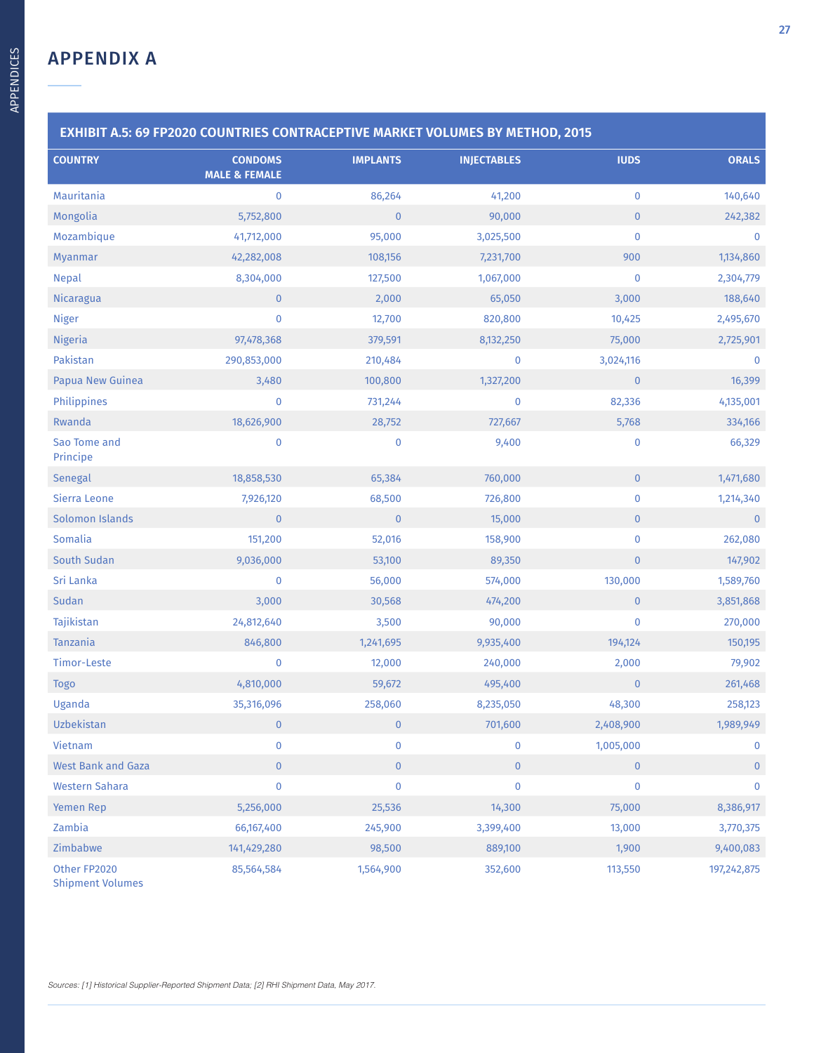| <b>EXHIBIT A.5: 69 FP2020 COUNTRIES CONTRACEPTIVE MARKET VOLUMES BY METHOD, 2015</b> |                                            |                 |                    |              |               |  |
|--------------------------------------------------------------------------------------|--------------------------------------------|-----------------|--------------------|--------------|---------------|--|
| <b>COUNTRY</b>                                                                       | <b>CONDOMS</b><br><b>MALE &amp; FEMALE</b> | <b>IMPLANTS</b> | <b>INJECTABLES</b> | <b>IUDS</b>  | <b>ORALS</b>  |  |
| Mauritania                                                                           | $\pmb{0}$                                  | 86,264          | 41,200             | $\pmb{0}$    | 140,640       |  |
| Mongolia                                                                             | 5,752,800                                  | $\pmb{0}$       | 90,000             | $\pmb{0}$    | 242,382       |  |
| Mozambique                                                                           | 41,712,000                                 | 95,000          | 3,025,500          | $\mathbf 0$  | $\pmb{0}$     |  |
| Myanmar                                                                              | 42,282,008                                 | 108,156         | 7,231,700          | 900          | 1,134,860     |  |
| <b>Nepal</b>                                                                         | 8,304,000                                  | 127,500         | 1,067,000          | $\pmb{0}$    | 2,304,779     |  |
| Nicaragua                                                                            | $\mathbf{0}$                               | 2,000           | 65,050             | 3,000        | 188,640       |  |
| <b>Niger</b>                                                                         | $\pmb{0}$                                  | 12,700          | 820,800            | 10,425       | 2,495,670     |  |
| <b>Nigeria</b>                                                                       | 97,478,368                                 | 379,591         | 8,132,250          | 75,000       | 2,725,901     |  |
| Pakistan                                                                             | 290,853,000                                | 210,484         | $\bf{0}$           | 3,024,116    | 0             |  |
| Papua New Guinea                                                                     | 3,480                                      | 100,800         | 1,327,200          | $\mathbf 0$  | 16,399        |  |
| Philippines                                                                          | $\mathbf 0$                                | 731,244         | $\pmb{0}$          | 82,336       | 4,135,001     |  |
| Rwanda                                                                               | 18,626,900                                 | 28,752          | 727,667            | 5,768        | 334,166       |  |
| Sao Tome and<br>Principe                                                             | 0                                          | $\pmb{0}$       | 9,400              | $\bf{0}$     | 66,329        |  |
| Senegal                                                                              | 18,858,530                                 | 65,384          | 760,000            | $\mathbf 0$  | 1,471,680     |  |
| Sierra Leone                                                                         | 7,926,120                                  | 68,500          | 726,800            | $\pmb{0}$    | 1,214,340     |  |
| Solomon Islands                                                                      | $\mathbf 0$                                | $\pmb{0}$       | 15,000             | $\pmb{0}$    | $\mathbf{0}$  |  |
| Somalia                                                                              | 151,200                                    | 52,016          | 158,900            | $\pmb{0}$    | 262,080       |  |
| South Sudan                                                                          | 9,036,000                                  | 53,100          | 89,350             | $\pmb{0}$    | 147,902       |  |
| Sri Lanka                                                                            | 0                                          | 56,000          | 574,000            | 130,000      | 1,589,760     |  |
| Sudan                                                                                | 3,000                                      | 30,568          | 474,200            | $\mathbf{0}$ | 3,851,868     |  |
| Tajikistan                                                                           | 24,812,640                                 | 3,500           | 90,000             | $\pmb{0}$    | 270,000       |  |
| Tanzania                                                                             | 846,800                                    | 1,241,695       | 9,935,400          | 194,124      | 150,195       |  |
| Timor-Leste                                                                          | 0                                          | 12,000          | 240,000            | 2,000        | 79,902        |  |
| <b>Togo</b>                                                                          | 4,810,000                                  | 59,672          | 495,400            | $\mathbf 0$  | 261,468       |  |
| Uganda                                                                               | 35,316,096                                 | 258,060         | 8,235,050          | 48,300       | 258,123       |  |
| Uzbekistan                                                                           | $\overline{\phantom{0}}$                   | $\mathbf{0}$    | 701,600            | 2,408,900    | 1,989,949     |  |
| Vietnam                                                                              | 0                                          | $\bf{0}$        | $\bf{0}$           | 1,005,000    | 0             |  |
| <b>West Bank and Gaza</b>                                                            | $\overline{0}$                             | $\pmb{0}$       | $\mathbf{0}$       | $\mathbf{0}$ | $\mathbf 0$   |  |
| <b>Western Sahara</b>                                                                | $\pmb{0}$                                  | $\pmb{0}$       | $\pmb{0}$          | $\mathbf 0$  | 0             |  |
| Yemen Rep                                                                            | 5,256,000                                  | 25,536          | 14,300             | 75,000       | 8,386,917     |  |
| Zambia                                                                               | 66,167,400                                 | 245,900         | 3,399,400          | 13,000       | 3,770,375     |  |
| Zimbabwe                                                                             | 141,429,280                                | 98,500          | 889,100            | 1,900        | 9,400,083     |  |
| Other FP2020<br><b>Shipment Volumes</b>                                              | 85,564,584                                 | 1,564,900       | 352,600            | 113,550      | 197, 242, 875 |  |

Sources: [1] Historical Supplier-Reported Shipment Data; [2] RHI Shipment Data, May 2017.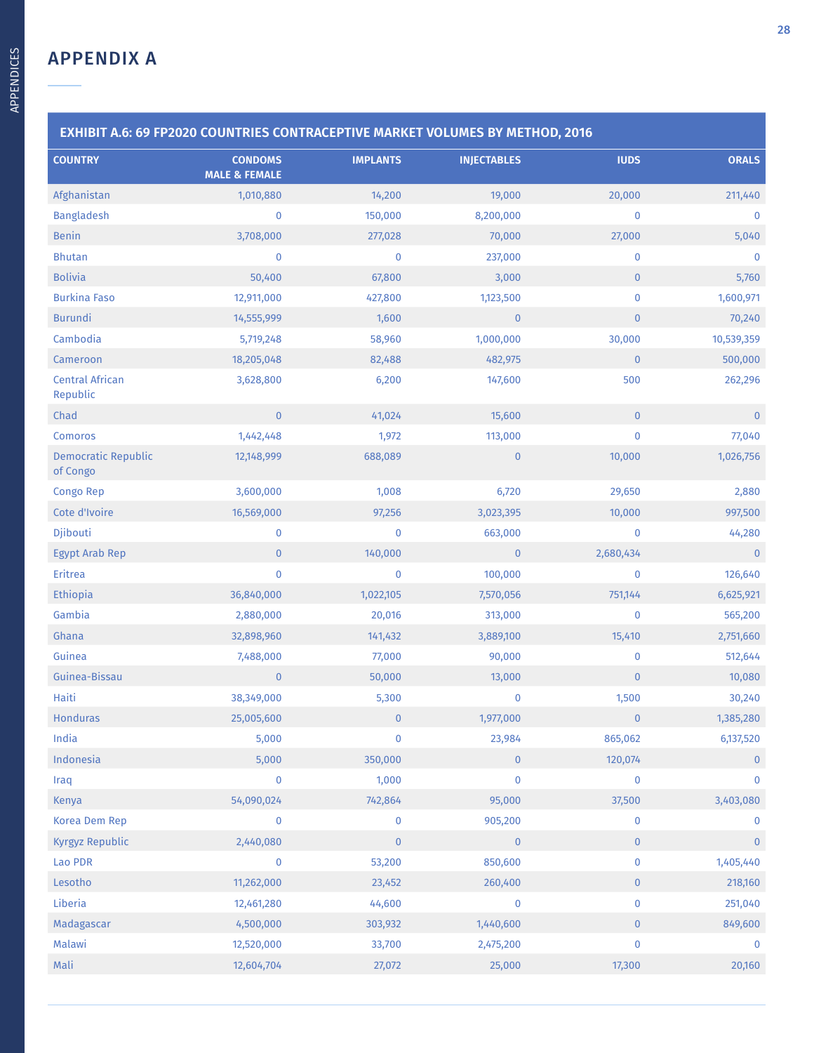| <b>COUNTRY</b>                         | <b>CONDOMS</b>           | <b>IMPLANTS</b> | <b>INJECTABLES</b> | <b>IUDS</b>  | <b>ORALS</b> |
|----------------------------------------|--------------------------|-----------------|--------------------|--------------|--------------|
|                                        | <b>MALE &amp; FEMALE</b> |                 |                    |              |              |
| Afghanistan                            | 1,010,880                | 14,200          | 19,000             | 20,000       | 211,440      |
| <b>Bangladesh</b>                      | $\mathbf 0$              | 150,000         | 8,200,000          | $\pmb{0}$    | $\bf{0}$     |
| <b>Benin</b>                           | 3,708,000                | 277,028         | 70,000             | 27,000       | 5,040        |
| <b>Bhutan</b>                          | $\mathbf{0}$             | 0               | 237,000            | 0            | $\mathbf 0$  |
| <b>Bolivia</b>                         | 50,400                   | 67,800          | 3,000              | $\mathbf{0}$ | 5,760        |
| <b>Burkina Faso</b>                    | 12,911,000               | 427,800         | 1,123,500          | $\pmb{0}$    | 1,600,971    |
| <b>Burundi</b>                         | 14,555,999               | 1,600           | $\mathbf{0}$       | $\mathbf{0}$ | 70,240       |
| Cambodia                               | 5,719,248                | 58,960          | 1,000,000          | 30,000       | 10,539,359   |
| Cameroon                               | 18,205,048               | 82,488          | 482,975            | $\pmb{0}$    | 500,000      |
| <b>Central African</b><br>Republic     | 3,628,800                | 6,200           | 147,600            | 500          | 262,296      |
| Chad                                   | $\overline{0}$           | 41,024          | 15,600             | $\mathbf{0}$ | $\mathbf{0}$ |
| <b>Comoros</b>                         | 1,442,448                | 1,972           | 113,000            | $\pmb{0}$    | 77,040       |
| <b>Democratic Republic</b><br>of Congo | 12,148,999               | 688,089         | $\bf{0}$           | 10,000       | 1,026,756    |
| Congo Rep                              | 3,600,000                | 1,008           | 6,720              | 29,650       | 2,880        |
| Cote d'Ivoire                          | 16,569,000               | 97,256          | 3,023,395          | 10,000       | 997,500      |
| Djibouti                               | $\mathbf 0$              | 0               | 663,000            | $\pmb{0}$    | 44,280       |
| <b>Egypt Arab Rep</b>                  | $\mathbf{0}$             | 140,000         | $\mathbf{0}$       | 2,680,434    | $\mathbf{0}$ |
| Eritrea                                | $\mathbf{0}$             | 0               | 100,000            | 0            | 126,640      |
| <b>Ethiopia</b>                        | 36,840,000               | 1,022,105       | 7,570,056          | 751,144      | 6,625,921    |
| Gambia                                 | 2,880,000                | 20,016          | 313,000            | $\pmb{0}$    | 565,200      |
| Ghana                                  | 32,898,960               | 141,432         | 3,889,100          | 15,410       | 2,751,660    |
| Guinea                                 | 7,488,000                | 77,000          | 90,000             | $\bf{0}$     | 512,644      |
| Guinea-Bissau                          | $\overline{0}$           | 50,000          | 13,000             | $\mathbf 0$  | 10,080       |
| Haiti                                  | 38,349,000               | 5,300           | $\bf{0}$           | 1,500        | 30,240       |
| <b>Honduras</b>                        | 25,005,600               | $\pmb{0}$       | 1,977,000          | $\mathbf{0}$ | 1,385,280    |
| India                                  | 5,000                    | $\pmb{0}$       | 23,984             | 865,062      | 6,137,520    |
| Indonesia                              | 5,000                    | 350,000         | $\mathbf{0}$       | 120,074      | $\mathbf{0}$ |
| Iraq                                   | $\mathbf 0$              | 1,000           | $\bf{0}$           | $\bf{0}$     | $\mathbf 0$  |
| Kenya                                  | 54,090,024               | 742,864         | 95,000             | 37,500       | 3,403,080    |
| Korea Dem Rep                          | $\mathbf 0$              | 0               | 905,200            | 0            | $\mathbf 0$  |
| Kyrgyz Republic                        | 2,440,080                | $\mathbf{0}$    | $\mathbf 0$        | $\pmb{0}$    | $\bf{0}$     |
| Lao PDR                                | $\mathbf 0$              | 53,200          | 850,600            | 0            | 1,405,440    |
| Lesotho                                | 11,262,000               | 23,452          | 260,400            | $\bf{0}$     | 218,160      |
| Liberia                                | 12,461,280               | 44,600          | $\bf{0}$           | 0            | 251,040      |
| Madagascar                             | 4,500,000                | 303,932         | 1,440,600          | $\bf{0}$     | 849,600      |
| Malawi                                 | 12,520,000               | 33,700          | 2,475,200          | $\bf{0}$     | $\bf{0}$     |
| Mali                                   | 12,604,704               | 27,072          | 25,000             | 17,300       | 20,160       |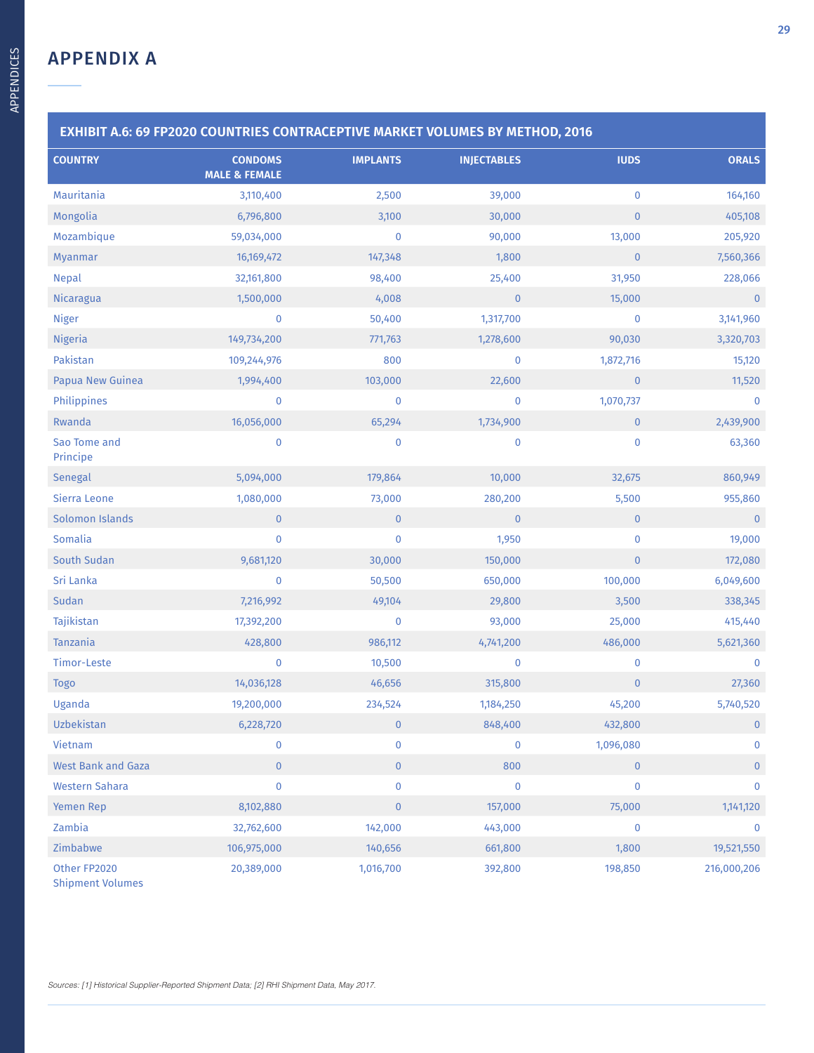| <b>EXHIBIT A.6: 69 FP2020 COUNTRIES CONTRACEPTIVE MARKET VOLUMES BY METHOD, 2016</b> |                                            |                 |                    |              |                |  |
|--------------------------------------------------------------------------------------|--------------------------------------------|-----------------|--------------------|--------------|----------------|--|
| <b>COUNTRY</b>                                                                       | <b>CONDOMS</b><br><b>MALE &amp; FEMALE</b> | <b>IMPLANTS</b> | <b>INJECTABLES</b> | <b>IUDS</b>  | <b>ORALS</b>   |  |
| Mauritania                                                                           | 3,110,400                                  | 2,500           | 39,000             | $\bf{0}$     | 164,160        |  |
| Mongolia                                                                             | 6,796,800                                  | 3,100           | 30,000             | $\pmb{0}$    | 405,108        |  |
| Mozambique                                                                           | 59,034,000                                 | $\mathbf 0$     | 90,000             | 13,000       | 205,920        |  |
| Myanmar                                                                              | 16,169,472                                 | 147,348         | 1,800              | $\mathbf 0$  | 7,560,366      |  |
| <b>Nepal</b>                                                                         | 32,161,800                                 | 98,400          | 25,400             | 31,950       | 228,066        |  |
| Nicaragua                                                                            | 1,500,000                                  | 4,008           | $\mathbf{0}$       | 15,000       | $\pmb{0}$      |  |
| <b>Niger</b>                                                                         | $\bf{0}$                                   | 50,400          | 1,317,700          | $\bf{0}$     | 3,141,960      |  |
| <b>Nigeria</b>                                                                       | 149,734,200                                | 771,763         | 1,278,600          | 90,030       | 3,320,703      |  |
| Pakistan                                                                             | 109,244,976                                | 800             | $\bf{0}$           | 1,872,716    | 15,120         |  |
| Papua New Guinea                                                                     | 1,994,400                                  | 103,000         | 22,600             | $\bf 0$      | 11,520         |  |
| Philippines                                                                          | 0                                          | $\pmb{0}$       | $\pmb{0}$          | 1,070,737    | $\pmb{0}$      |  |
| Rwanda                                                                               | 16,056,000                                 | 65,294          | 1,734,900          | $\mathbf{0}$ | 2,439,900      |  |
| Sao Tome and<br>Principe                                                             | 0                                          | $\pmb{0}$       | $\bf{0}$           | $\pmb{0}$    | 63,360         |  |
| Senegal                                                                              | 5,094,000                                  | 179,864         | 10,000             | 32,675       | 860,949        |  |
| Sierra Leone                                                                         | 1,080,000                                  | 73,000          | 280,200            | 5,500        | 955,860        |  |
| Solomon Islands                                                                      | $\overline{0}$                             | $\pmb{0}$       | $\overline{0}$     | $\mathbf{0}$ | $\mathbf{0}$   |  |
| Somalia                                                                              | $\pmb{0}$                                  | $\pmb{0}$       | 1,950              | $\pmb{0}$    | 19,000         |  |
| South Sudan                                                                          | 9,681,120                                  | 30,000          | 150,000            | $\pmb{0}$    | 172,080        |  |
| Sri Lanka                                                                            | 0                                          | 50,500          | 650,000            | 100,000      | 6,049,600      |  |
| Sudan                                                                                | 7,216,992                                  | 49,104          | 29,800             | 3,500        | 338,345        |  |
| Tajikistan                                                                           | 17,392,200                                 | $\pmb{0}$       | 93,000             | 25,000       | 415,440        |  |
| Tanzania                                                                             | 428,800                                    | 986,112         | 4,741,200          | 486,000      | 5,621,360      |  |
| Timor-Leste                                                                          | 0                                          | 10,500          | $\bf{0}$           | $\bf{0}$     | $\bf{0}$       |  |
| <b>Togo</b>                                                                          | 14,036,128                                 | 46,656          | 315,800            | $\bf 0$      | 27,360         |  |
| Uganda                                                                               | 19,200,000                                 | 234,524         | 1,184,250          | 45,200       | 5,740,520      |  |
| Uzbekistan                                                                           | 6,228,720                                  | $\mathbf{0}$    | 848,400            | 432,800      | $\overline{0}$ |  |
| Vietnam                                                                              | 0                                          | $\mathbf 0$     | 0                  | 1,096,080    | $\mathbf 0$    |  |
| <b>West Bank and Gaza</b>                                                            | $\overline{0}$                             | $\pmb{0}$       | 800                | $\mathbf{0}$ | $\overline{0}$ |  |
| <b>Western Sahara</b>                                                                | $\pmb{0}$                                  | $\pmb{0}$       | $\pmb{0}$          | $\pmb{0}$    | 0              |  |
| Yemen Rep                                                                            | 8,102,880                                  | $\pmb{0}$       | 157,000            | 75,000       | 1,141,120      |  |
| Zambia                                                                               | 32,762,600                                 | 142,000         | 443,000            | $\bf{0}$     | $\pmb{0}$      |  |
| Zimbabwe                                                                             | 106,975,000                                | 140,656         | 661,800            | 1,800        | 19,521,550     |  |
| Other FP2020<br><b>Shipment Volumes</b>                                              | 20,389,000                                 | 1,016,700       | 392,800            | 198,850      | 216,000,206    |  |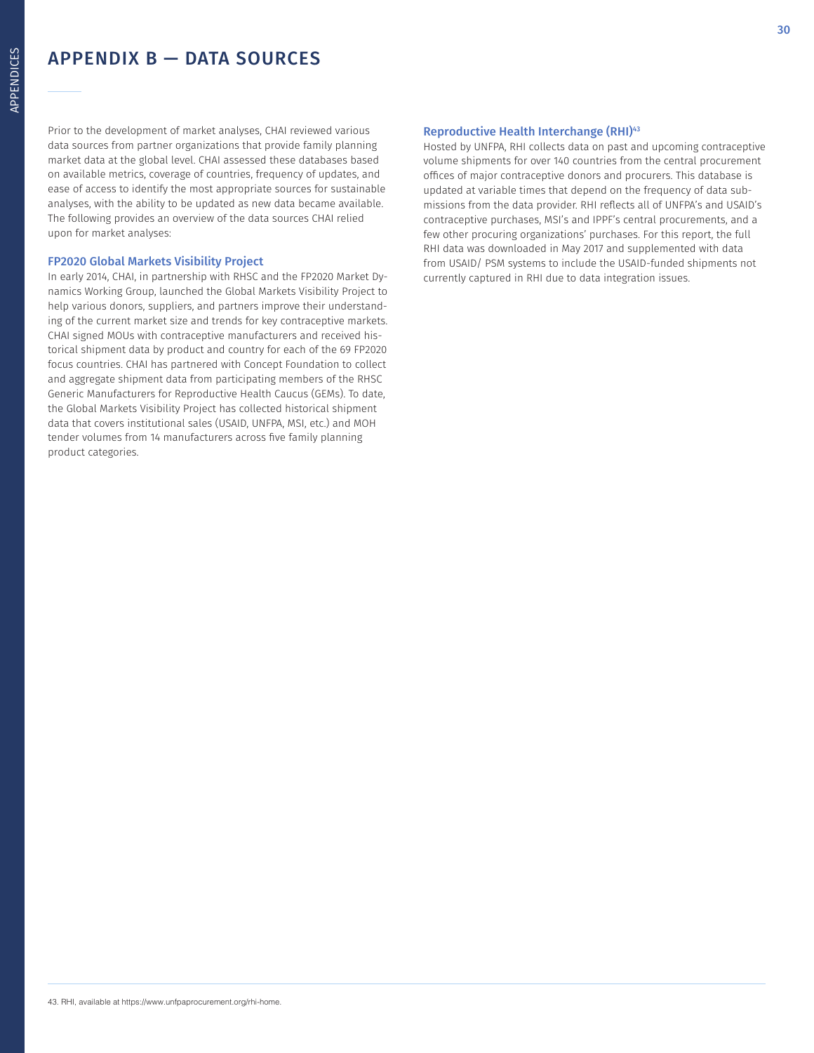### APPENDIX B — DATA SOURCES

Prior to the development of market analyses, CHAI reviewed various data sources from partner organizations that provide family planning market data at the global level. CHAI assessed these databases based on available metrics, coverage of countries, frequency of updates, and ease of access to identify the most appropriate sources for sustainable analyses, with the ability to be updated as new data became available. The following provides an overview of the data sources CHAI relied upon for market analyses:

### FP2020 Global Markets Visibility Project

In early 2014, CHAI, in partnership with RHSC and the FP2020 Market Dynamics Working Group, launched the Global Markets Visibility Project to help various donors, suppliers, and partners improve their understanding of the current market size and trends for key contraceptive markets. CHAI signed MOUs with contraceptive manufacturers and received historical shipment data by product and country for each of the 69 FP2020 focus countries. CHAI has partnered with Concept Foundation to collect and aggregate shipment data from participating members of the RHSC Generic Manufacturers for Reproductive Health Caucus (GEMs). To date, the Global Markets Visibility Project has collected historical shipment data that covers institutional sales (USAID, UNFPA, MSI, etc.) and MOH tender volumes from 14 manufacturers across five family planning product categories.

### Reproductive Health Interchange (RHI)43

Hosted by UNFPA, RHI collects data on past and upcoming contraceptive volume shipments for over 140 countries from the central procurement offices of major contraceptive donors and procurers. This database is updated at variable times that depend on the frequency of data submissions from the data provider. RHI reflects all of UNFPA's and USAID's contraceptive purchases, MSI's and IPPF's central procurements, and a few other procuring organizations' purchases. For this report, the full RHI data was downloaded in May 2017 and supplemented with data from USAID/ PSM systems to include the USAID-funded shipments not currently captured in RHI due to data integration issues.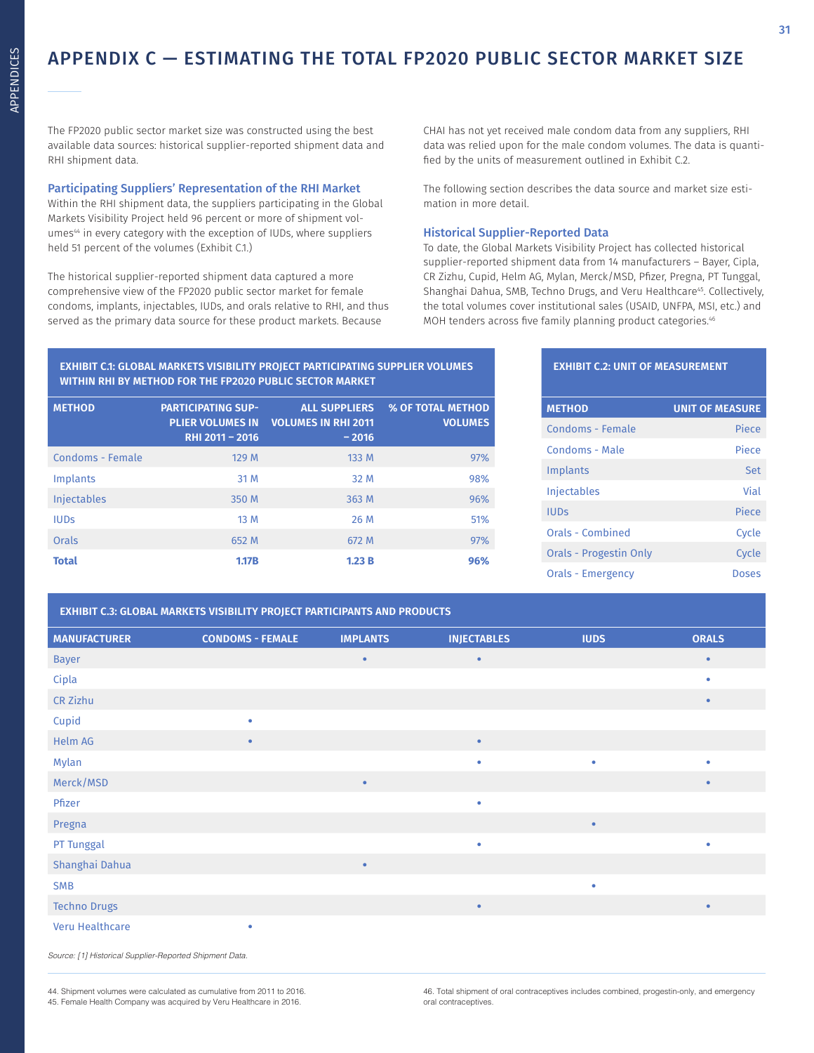### APPENDIX C — ESTIMATING THE TOTAL FP2020 PUBLIC SECTOR MARKET SIZE

The FP2020 public sector market size was constructed using the best available data sources: historical supplier-reported shipment data and RHI shipment data.

### Participating Suppliers' Representation of the RHI Market

Within the RHI shipment data, the suppliers participating in the Global Markets Visibility Project held 96 percent or more of shipment volumes<sup>44</sup> in every category with the exception of IUDs, where suppliers held 51 percent of the volumes (Exhibit C.1.)

The historical supplier-reported shipment data captured a more comprehensive view of the FP2020 public sector market for female condoms, implants, injectables, IUDs, and orals relative to RHI, and thus served as the primary data source for these product markets. Because

CHAI has not yet received male condom data from any suppliers, RHI data was relied upon for the male condom volumes. The data is quantified by the units of measurement outlined in Exhibit C.2.

The following section describes the data source and market size estimation in more detail.

### Historical Supplier-Reported Data

To date, the Global Markets Visibility Project has collected historical supplier-reported shipment data from 14 manufacturers – Bayer, Cipla, CR Zizhu, Cupid, Helm AG, Mylan, Merck/MSD, Pfizer, Pregna, PT Tunggal, Shanghai Dahua, SMB, Techno Drugs, and Veru Healthcare<sup>45</sup>. Collectively, the total volumes cover institutional sales (USAID, UNFPA, MSI, etc.) and MOH tenders across five family planning product categories.<sup>46</sup>

### **EXHIBIT C.1: GLOBAL MARKETS VISIBILITY PROJECT PARTICIPATING SUPPLIER VOLUMES WITHIN RHI BY METHOD FOR THE FP2020 PUBLIC SECTOR MARKET**

| <b>METHOD</b>      | <b>PARTICIPATING SUP-</b><br><b>PLIER VOLUMES IN</b><br>RHI 2011 - 2016 | <b>ALL SUPPLIERS</b><br><b>VOLUMES IN RHI 2011</b><br>$-2016$ | <b>% OF TOTAL METHOD</b><br><b>VOLUMES</b> |
|--------------------|-------------------------------------------------------------------------|---------------------------------------------------------------|--------------------------------------------|
| Condoms - Female   | 129 M                                                                   | 133 M                                                         | 97%                                        |
| Implants           | 31 M                                                                    | 32 M                                                          | 98%                                        |
| <b>Injectables</b> | 350 M                                                                   | 363 M                                                         | 96%                                        |
| <b>IUDS</b>        | 13 M                                                                    | 26 M                                                          | 51%                                        |
| Orals              | 652 M                                                                   | 672 M                                                         | 97%                                        |
| <b>Total</b>       | <b>1.17B</b>                                                            | 1.23B                                                         | 96%                                        |

### **EXHIBIT C.2: UNIT OF MEASUREMENT**

| <b>METHOD</b>                 | <b>UNIT OF MEASURE</b> |
|-------------------------------|------------------------|
| Condoms - Female              | Piece                  |
| Condoms - Male                | Piece                  |
| Implants                      | Set                    |
| <b>Injectables</b>            | Vial                   |
| <b>IUDs</b>                   | Piece                  |
| Orals - Combined              | Cycle                  |
| <b>Orals - Progestin Only</b> | Cycle                  |
| Orals - Emergency             | Doses                  |

### **EXHIBIT C.3: GLOBAL MARKETS VISIBILITY PROJECT PARTICIPANTS AND PRODUCTS**

| <b>MANUFACTURER</b> | <b>CONDOMS - FEMALE</b> | <b>IMPLANTS</b> | <b>INJECTABLES</b> | <b>IUDS</b> | <b>ORALS</b> |
|---------------------|-------------------------|-----------------|--------------------|-------------|--------------|
| <b>Bayer</b>        |                         | $\bullet$       | $\bullet$          |             | $\bullet$    |
| Cipla               |                         |                 |                    |             | $\bullet$    |
| CR Zizhu            |                         |                 |                    |             | $\bullet$    |
| Cupid               | ۰                       |                 |                    |             |              |
| Helm AG             | $\bullet$               |                 | $\bullet$          |             |              |
| Mylan               |                         |                 | ٠                  | $\bullet$   | $\bullet$    |
| Merck/MSD           |                         | $\bullet$       |                    |             | $\bullet$    |
| Pfizer              |                         |                 | ٠                  |             |              |
| Pregna              |                         |                 |                    | $\bullet$   |              |
| PT Tunggal          |                         |                 | ٠                  |             | $\bullet$    |
| Shanghai Dahua      |                         | $\bullet$       |                    |             |              |
| <b>SMB</b>          |                         |                 |                    | $\bullet$   |              |
| <b>Techno Drugs</b> |                         |                 | $\bullet$          |             | $\bullet$    |
| Veru Healthcare     | ۰                       |                 |                    |             |              |

Source: [1] Historical Supplier-Reported Shipment Data.

44. Shipment volumes were calculated as cumulative from 2011 to 2016. 45. Female Health Company was acquired by Veru Healthcare in 2016.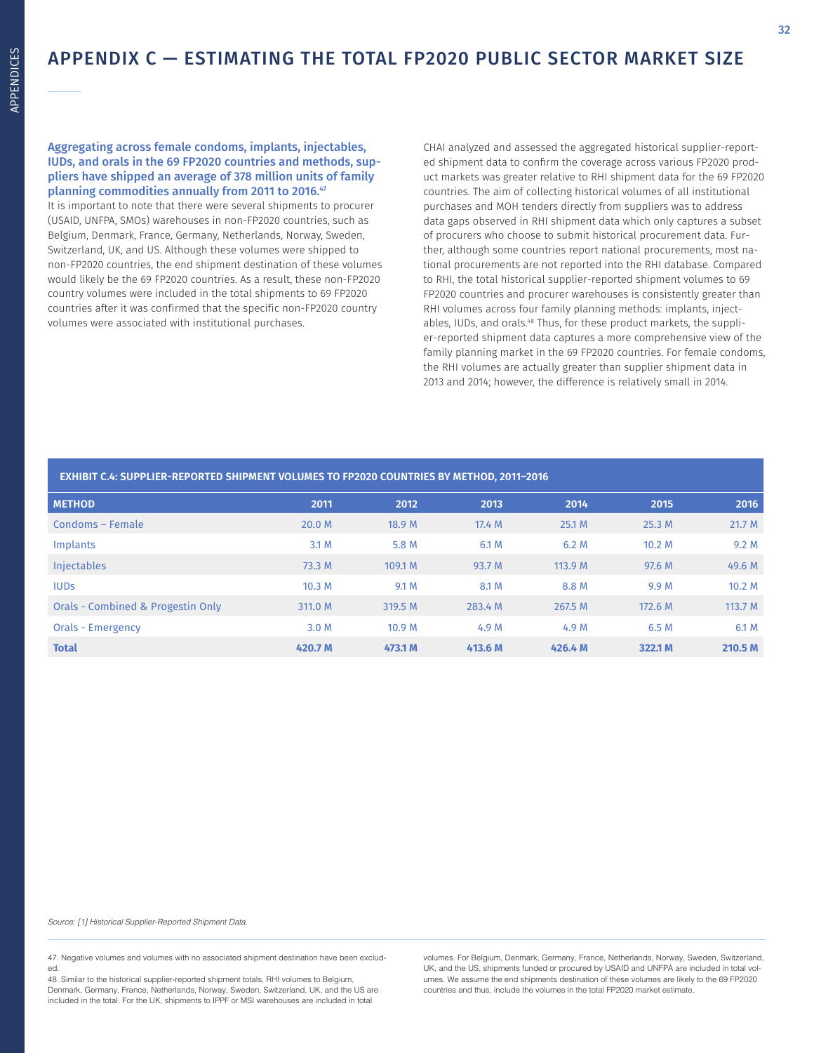### APPENDIX C — ESTIMATING THE TOTAL FP2020 PUBLIC SECTOR MARKET SIZE

### Aggregating across female condoms, implants, injectables, IUDs, and orals in the 69 FP2020 countries and methods, suppliers have shipped an average of 378 million units of family planning commodities annually from 2011 to 2016.<sup>47</sup>

It is important to note that there were several shipments to procurer (USAID, UNFPA, SMOs) warehouses in non-FP2020 countries, such as Belgium, Denmark, France, Germany, Netherlands, Norway, Sweden, Switzerland, UK, and US. Although these volumes were shipped to non-FP2020 countries, the end shipment destination of these volumes would likely be the 69 FP2020 countries. As a result, these non-FP2020 country volumes were included in the total shipments to 69 FP2020 countries after it was confirmed that the specific non-FP2020 country volumes were associated with institutional purchases.

CHAI analyzed and assessed the aggregated historical supplier-reported shipment data to confirm the coverage across various FP2020 product markets was greater relative to RHI shipment data for the 69 FP2020 countries. The aim of collecting historical volumes of all institutional purchases and MOH tenders directly from suppliers was to address data gaps observed in RHI shipment data which only captures a subset of procurers who choose to submit historical procurement data. Further, although some countries report national procurements, most national procurements are not reported into the RHI database. Compared to RHI, the total historical supplier-reported shipment volumes to 69 FP2020 countries and procurer warehouses is consistently greater than RHI volumes across four family planning methods: implants, injectables, IUDs, and orals.48 Thus, for these product markets, the supplier-reported shipment data captures a more comprehensive view of the family planning market in the 69 FP2020 countries. For female condoms, the RHI volumes are actually greater than supplier shipment data in 2013 and 2014; however, the difference is relatively small in 2014.

### **EXHIBIT C.4: SUPPLIER-REPORTED SHIPMENT VOLUMES TO FP2020 COUNTRIES BY METHOD, 2011–2016**

| <b>METHOD</b>                     | 2011              | 2012              | 2013    | 2014    | 2015              | 2016      |
|-----------------------------------|-------------------|-------------------|---------|---------|-------------------|-----------|
| Condoms - Female                  | 20.0 M            | 18.9 M            | 17.4 M  | 25.1 M  | 25.3M             | 21.7 M    |
| Implants                          | 3.1 M             | 5.8 M             | 6.1 M   | 6.2 M   | 10.2 <sub>M</sub> | 9.2M      |
| <b>Injectables</b>                | 73.3 M            | 109.1 M           | 93.7 M  | 113.9 M | 97.6 M            | 49.6 M    |
| <b>IUDS</b>                       | 10.3 <sub>M</sub> | 9.1 M             | 8.1 M   | 8.8 M   | 9.9 M             | 10.2 M    |
| Orals - Combined & Progestin Only | 311.0 M           | 319.5 M           | 283.4 M | 267.5 M | 172.6 M           | 113.7 $M$ |
| <b>Orals - Emergency</b>          | 3.0 M             | 10.9 <sub>M</sub> | 4.9 M   | 4.9 M   | 6.5 M             | 6.1 M     |
| <b>Total</b>                      | 420.7 M           | 473.1 M           | 413.6 M | 426.4 M | 322.1 M           | 210.5 M   |

Source: [1] Historical Supplier-Reported Shipment Data.

47. Negative volumes and volumes with no associated shipment destination have been excluded.

48. Similar to the historical supplier-reported shipment totals, RHI volumes to Belgium, Denmark, Germany, France, Netherlands, Norway, Sweden, Switzerland, UK, and the US are included in the total. For the UK, shipments to IPPF or MSI warehouses are included in total

volumes. For Belgium, Denmark, Germany, France, Netherlands, Norway, Sweden, Switzerland, UK, and the US, shipments funded or procured by USAID and UNFPA are included in total volumes. We assume the end shipments destination of these volumes are likely to the 69 FP2020 countries and thus, include the volumes in the total FP2020 market estimate.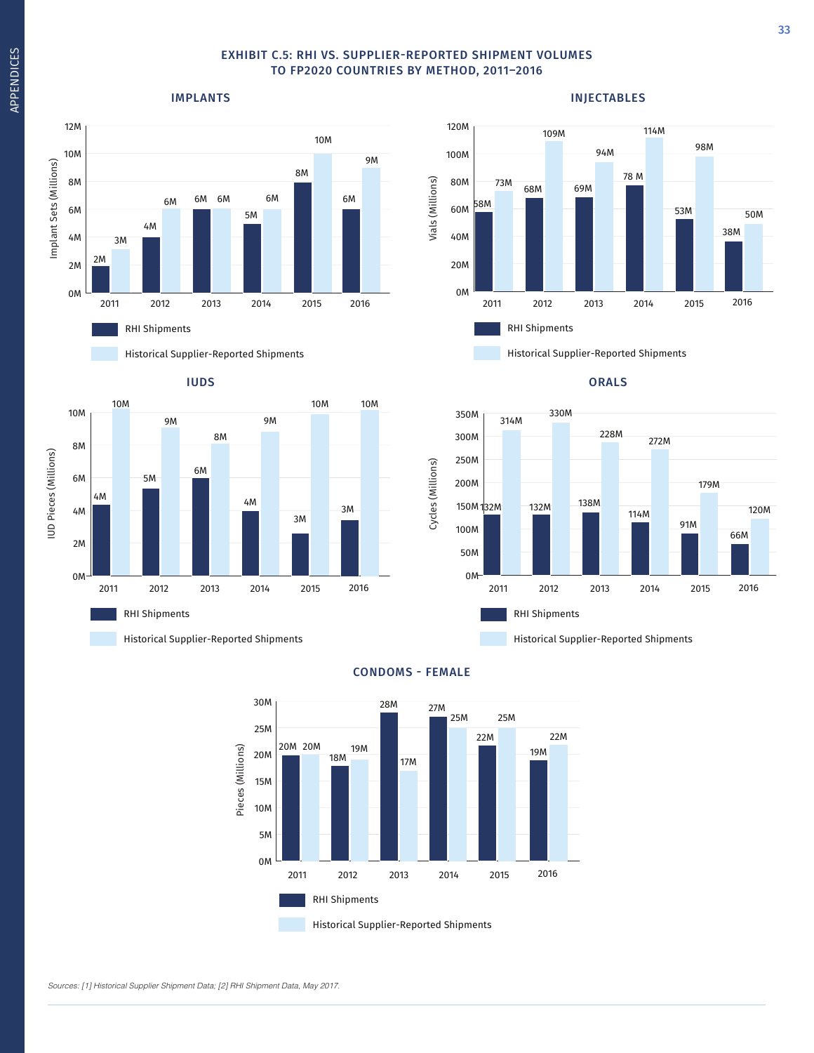### EXHIBIT C.5: RHI VS. SUPPLIER-REPORTED SHIPMENT VOLUMES TO FP2020 COUNTRIES BY METHOD, 2011–2016

100M

120M

### IMPLANTS



Historical Supplier-Reported Shipments





Historical Supplier-Reported Shipments

### ORALS



Historical Supplier-Reported Shipments



### CONDOMS - FEMALE

Sources: [1] Historical Supplier Shipment Data; [2] RHI Shipment Data, May 2017.

### INJECTABLES

94M 109M 114M

98M

2016

38M

50M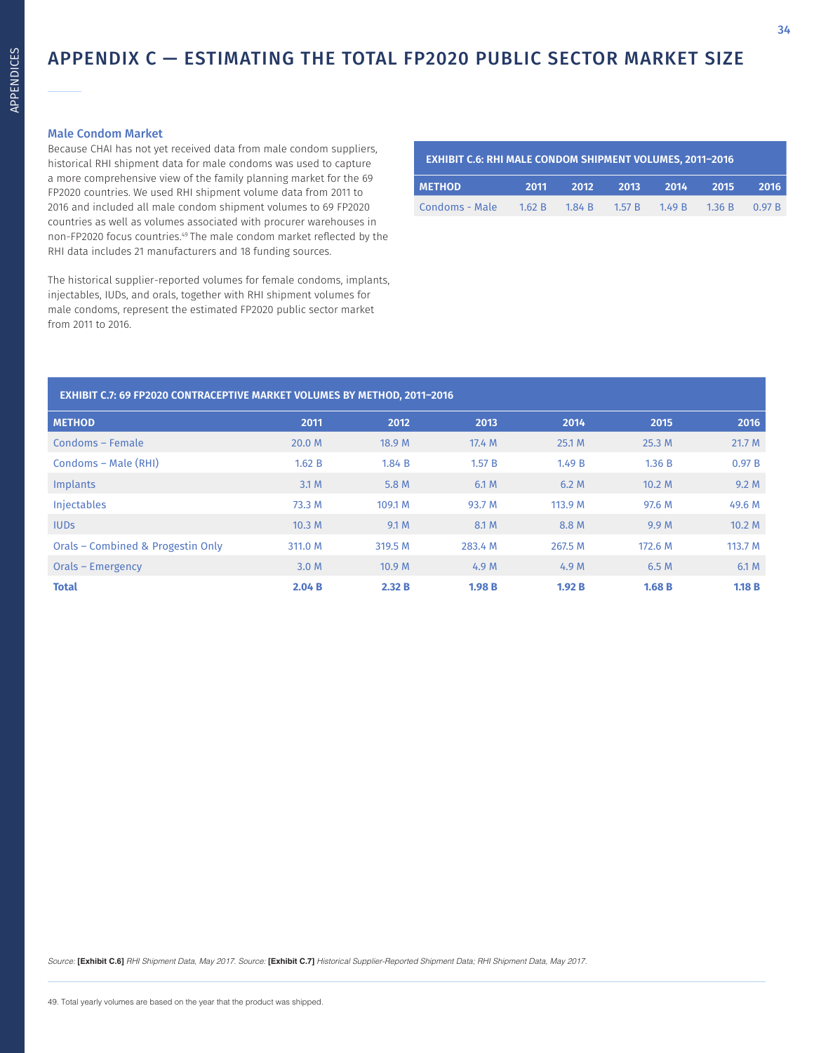### APPENDIX C — ESTIMATING THE TOTAL FP2020 PUBLIC SECTOR MARKET SIZE

### Male Condom Market

Because CHAI has not yet received data from male condom suppliers, historical RHI shipment data for male condoms was used to capture a more comprehensive view of the family planning market for the 69 FP2020 countries. We used RHI shipment volume data from 2011 to 2016 and included all male condom shipment volumes to 69 FP2020 countries as well as volumes associated with procurer warehouses in non-FP2020 focus countries.49 The male condom market reflected by the RHI data includes 21 manufacturers and 18 funding sources.

The historical supplier-reported volumes for female condoms, implants, injectables, IUDs, and orals, together with RHI shipment volumes for male condoms, represent the estimated FP2020 public sector market from 2011 to 2016.

| <b>EXHIBIT C.6: RHI MALE CONDOM SHIPMENT VOLUMES, 2011-2016</b> |      |                                    |      |      |      |             |
|-----------------------------------------------------------------|------|------------------------------------|------|------|------|-------------|
| <b>METHOD</b>                                                   | 2011 | 2012                               | 2013 | 2014 | 2015 | <b>2016</b> |
| Condoms - Male                                                  |      | 1.62 R 1.84 R 1.57 R 1.49 R 1.36 R |      |      |      | 0.97 B      |

### **EXHIBIT C.7: 69 FP2020 CONTRACEPTIVE MARKET VOLUMES BY METHOD, 2011–2016**

| <b>METHOD</b>                     | 2011              | 2012              | 2013    | 2014    | 2015             | 2016    |
|-----------------------------------|-------------------|-------------------|---------|---------|------------------|---------|
| Condoms - Female                  | 20.0 M            | 18.9 M            | 17.4 M  | 25.1 M  | 25.3 M           | 21.7 M  |
| Condoms – Male (RHI)              | 1.62 B            | 1.84 B            | 1.57 B  | 1.49 B  | 1.36 B           | 0.97B   |
| Implants                          | 3.1 M             | 5.8 M             | 6.1 M   | 6.2M    | 10.2 M           | 9.2M    |
| <b>Injectables</b>                | 73.3 M            | 109.1 M           | 93.7 M  | 113.9 M | 97.6 M           | 49.6 M  |
| <b>IUDS</b>                       | 10.3 <sub>M</sub> | 9.1 M             | 8.1 M   | 8.8 M   | 9.9 <sub>M</sub> | 10.2 M  |
| Orals – Combined & Progestin Only | 311.0 M           | 319.5 M           | 283.4 M | 267.5 M | 172.6 M          | 113.7 M |
| Orals – Emergency                 | 3.0 M             | 10.9 <sub>M</sub> | 4.9 M   | 4.9 M   | 6.5 M            | 6.1 M   |
| <b>Total</b>                      | 2.04B             | 2.32 B            | 1.98B   | 1.92B   | 1.68B            | 1.18B   |

Source: **[Exhibit C.6]** RHI Shipment Data, May 2017. Source: **[Exhibit C.7]** Historical Supplier-Reported Shipment Data; RHI Shipment Data, May 2017.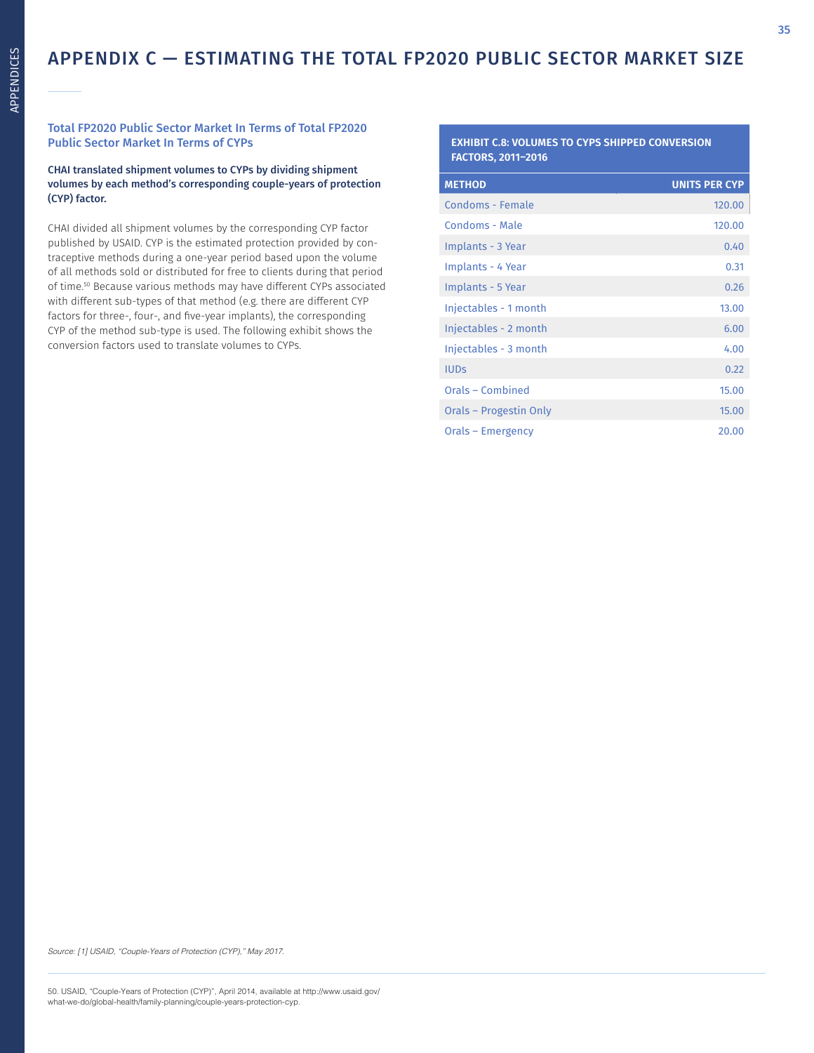### Total FP2020 Public Sector Market In Terms of Total FP2020 Public Sector Market In Terms of CYPs

CHAI translated shipment volumes to CYPs by dividing shipment volumes by each method's corresponding couple-years of protection (CYP) factor.

CHAI divided all shipment volumes by the corresponding CYP factor published by USAID. CYP is the estimated protection provided by contraceptive methods during a one-year period based upon the volume of all methods sold or distributed for free to clients during that period of time.50 Because various methods may have different CYPs associated with different sub-types of that method (e.g. there are different CYP factors for three-, four-, and five-year implants), the corresponding CYP of the method sub-type is used. The following exhibit shows the conversion factors used to translate volumes to CYPs.

### **EXHIBIT C.8: VOLUMES TO CYPS SHIPPED CONVERSION FACTORS, 2011–2016**

| <b>METHOD</b>          | <b>UNITS PER CYP</b> |
|------------------------|----------------------|
| Condoms - Female       | 120.00               |
| Condoms - Male         | 120.00               |
| Implants - 3 Year      | 0.40                 |
| Implants - 4 Year      | 0.31                 |
| Implants - 5 Year      | 0.26                 |
| Injectables - 1 month  | 13.00                |
| Injectables - 2 month  | 6.00                 |
| Injectables - 3 month  | 4.00                 |
| <b>IUDs</b>            | 0.22                 |
| Orals - Combined       | 15.00                |
| Orals - Progestin Only | 15.00                |
| Orals – Emergency      | 20.00                |

Source: [1] USAID, "Couple-Years of Protection (CYP)," May 2017.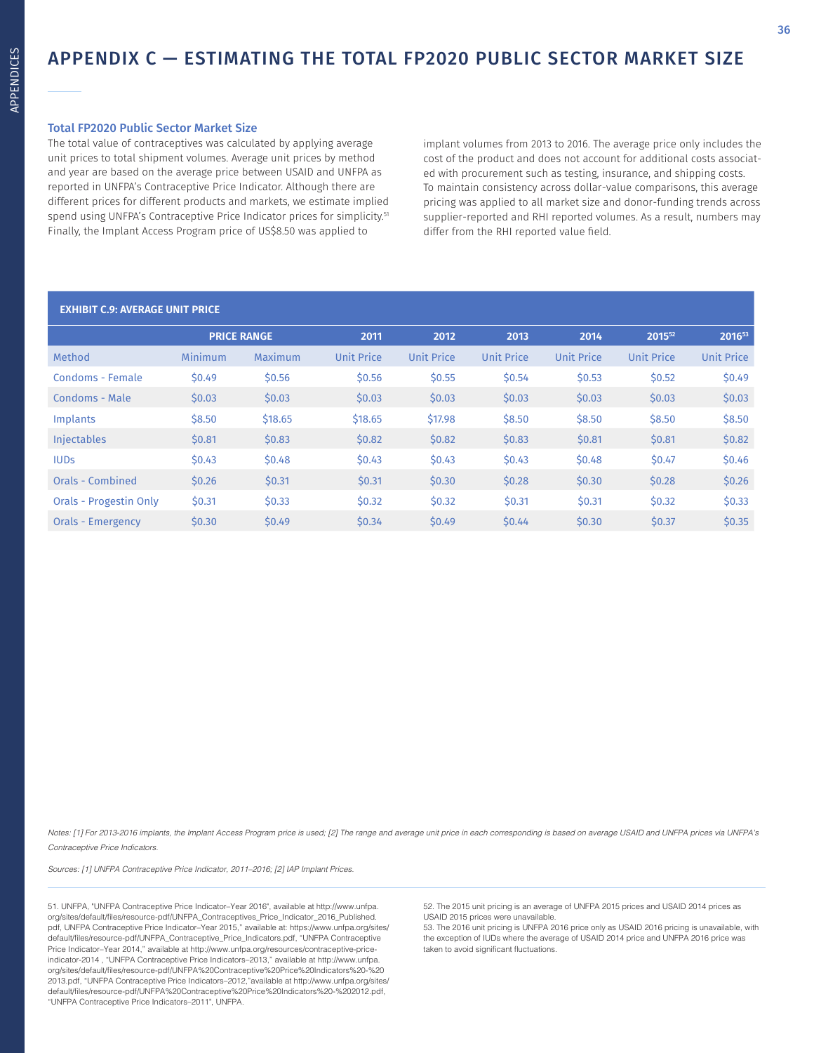### APPENDIX C — ESTIMATING THE TOTAL FP2020 PUBLIC SECTOR MARKET SIZE

### Total FP2020 Public Sector Market Size

The total value of contraceptives was calculated by applying average unit prices to total shipment volumes. Average unit prices by method and year are based on the average price between USAID and UNFPA as reported in UNFPA's Contraceptive Price Indicator. Although there are different prices for different products and markets, we estimate implied spend using UNFPA's Contraceptive Price Indicator prices for simplicity.<sup>51</sup> Finally, the Implant Access Program price of US\$8.50 was applied to

implant volumes from 2013 to 2016. The average price only includes the cost of the product and does not account for additional costs associated with procurement such as testing, insurance, and shipping costs. To maintain consistency across dollar-value comparisons, this average pricing was applied to all market size and donor-funding trends across supplier-reported and RHI reported volumes. As a result, numbers may differ from the RHI reported value field.

### **EXHIBIT C.9: AVERAGE UNIT PRICE**

|         |         | 2011               | 2012       | 2013       | 2014              | 201552            | 201653            |
|---------|---------|--------------------|------------|------------|-------------------|-------------------|-------------------|
| Minimum | Maximum | <b>Unit Price</b>  | Unit Price | Unit Price | <b>Unit Price</b> | <b>Unit Price</b> | <b>Unit Price</b> |
| \$0.49  | \$0.56  | \$0.56             | \$0.55     | \$0.54     | \$0.53            | \$0.52            | \$0.49            |
| \$0.03  | \$0.03  | \$0.03             | \$0.03     | \$0.03     | \$0.03            | \$0.03            | \$0.03\$          |
| \$8.50  | \$18.65 | \$18.65            | \$17.98    | \$8.50     | \$8.50            | \$8.50            | \$8.50            |
| \$0.81  | \$0.83  | \$0.82             | \$0.82     | \$0.83     | \$0.81            | \$0.81            | \$0.82            |
| \$0.43  | \$0.48  | \$0.43             | \$0.43     | \$0.43     | \$0.48            | \$0.47            | \$0.46            |
| \$0.26  | \$0.31  | \$0.31             | \$0.30     | \$0.28     | \$0.30            | \$0.28            | \$0.26            |
| \$0.31  | \$0.33  | \$0.32             | \$0.32     | \$0.31     | \$0.31            | \$0.32            | \$0.33            |
| \$0.30  | \$0.49  | \$0.34             | \$0.49     | \$0.44     | \$0.30            | \$0.37            | \$0.35            |
|         |         | <b>PRICE RANGE</b> |            |            |                   |                   |                   |

Notes: [1] For 2013-2016 implants, the Implant Access Program price is used; [2] The range and average unit price in each corresponding is based on average USAID and UNFPA prices via UNFPA's Contraceptive Price Indicators.

Sources: [1] UNFPA Contraceptive Price Indicator, 2011–2016; [2] IAP Implant Prices.

51. UNFPA, "UNFPA Contraceptive Price Indicator–Year 2016", available at http://www.unfpa. org/sites/default/files/resource-pdf/UNFPA\_Contraceptives\_Price\_Indicator\_2016\_Published. pdf, UNFPA Contraceptive Price Indicator–Year 2015," available at: https://www.unfpa.org/sites/ default/files/resource-pdf/UNFPA\_Contraceptive\_Price\_Indicators.pdf, "UNFPA Contraceptive Price Indicator–Year 2014," available at http://www.unfpa.org/resources/contraceptive-priceindicator-2014 , "UNFPA Contraceptive Price Indicators–2013," available at http://www.unfpa. org/sites/default/files/resource-pdf/UNFPA%20Contraceptive%20Price%20Indicators%20-%20 2013.pdf, "UNFPA Contraceptive Price Indicators–2012,"available at http://www.unfpa.org/sites/ default/files/resource-pdf/UNFPA%20Contraceptive%20Price%20Indicators%20-%202012.pdf, "UNFPA Contraceptive Price Indicators–2011", UNFPA.

52. The 2015 unit pricing is an average of UNFPA 2015 prices and USAID 2014 prices as USAID 2015 prices were unavailable.

53. The 2016 unit pricing is UNFPA 2016 price only as USAID 2016 pricing is unavailable, with the exception of IUDs where the average of USAID 2014 price and UNFPA 2016 price was taken to avoid significant fluctuations.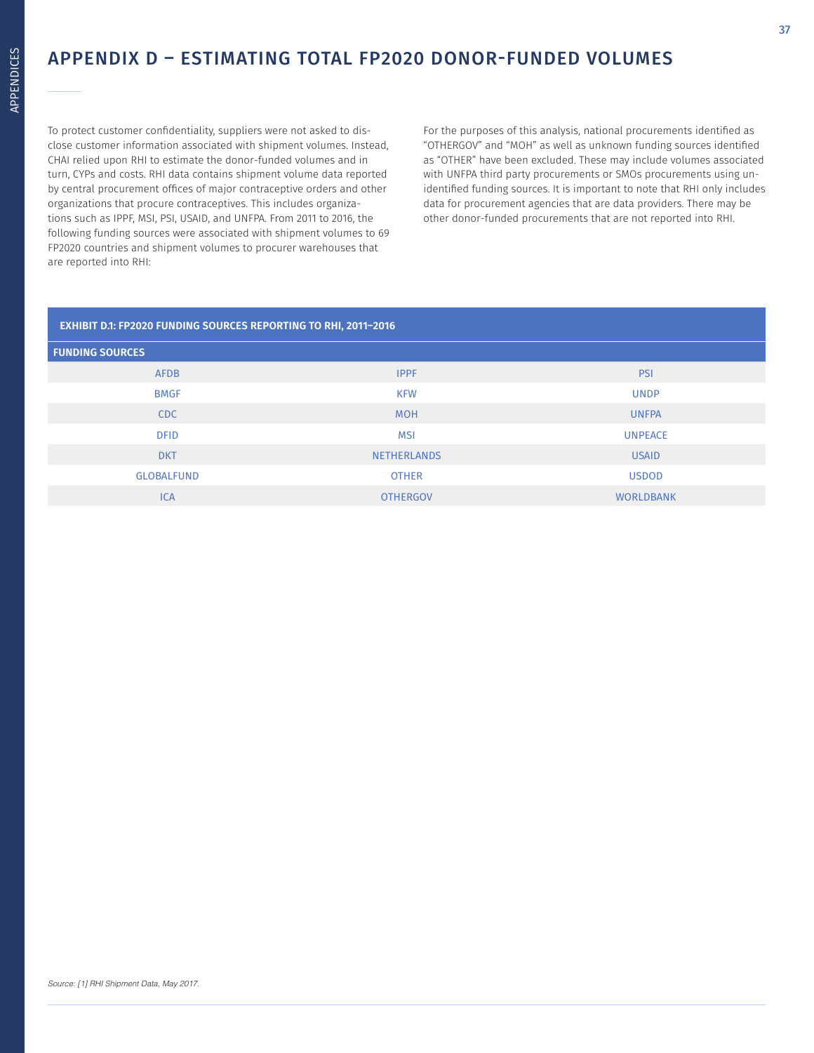### APPENDIX D – ESTIMATING TOTAL FP2020 DONOR-FUNDED VOLUMES

To protect customer confidentiality, suppliers were not asked to disclose customer information associated with shipment volumes. Instead, CHAI relied upon RHI to estimate the donor-funded volumes and in turn, CYPs and costs. RHI data contains shipment volume data reported by central procurement offices of major contraceptive orders and other organizations that procure contraceptives. This includes organizations such as IPPF, MSI, PSI, USAID, and UNFPA. From 2011 to 2016, the following funding sources were associated with shipment volumes to 69 FP2020 countries and shipment volumes to procurer warehouses that are reported into RHI:

For the purposes of this analysis, national procurements identified as "OTHERGOV" and "MOH" as well as unknown funding sources identified as "OTHER" have been excluded. These may include volumes associated with UNFPA third party procurements or SMOs procurements using unidentified funding sources. It is important to note that RHI only includes data for procurement agencies that are data providers. There may be other donor-funded procurements that are not reported into RHI.

| <b>EXHIBIT D.1: FP2020 FUNDING SOURCES REPORTING TO RHI, 2011-2016</b> |                    |                  |  |  |  |
|------------------------------------------------------------------------|--------------------|------------------|--|--|--|
| <b>FUNDING SOURCES</b>                                                 |                    |                  |  |  |  |
| <b>AFDB</b>                                                            | <b>IPPF</b>        | <b>PSI</b>       |  |  |  |
| <b>BMGF</b>                                                            | <b>KFW</b>         | <b>UNDP</b>      |  |  |  |
| CDC                                                                    | <b>MOH</b>         | <b>UNFPA</b>     |  |  |  |
| <b>DFID</b>                                                            | <b>MSI</b>         | <b>UNPEACE</b>   |  |  |  |
| <b>DKT</b>                                                             | <b>NETHERLANDS</b> | <b>USAID</b>     |  |  |  |
| <b>GLOBALFUND</b>                                                      | <b>OTHER</b>       | <b>USDOD</b>     |  |  |  |
| <b>ICA</b>                                                             | <b>OTHERGOV</b>    | <b>WORLDBANK</b> |  |  |  |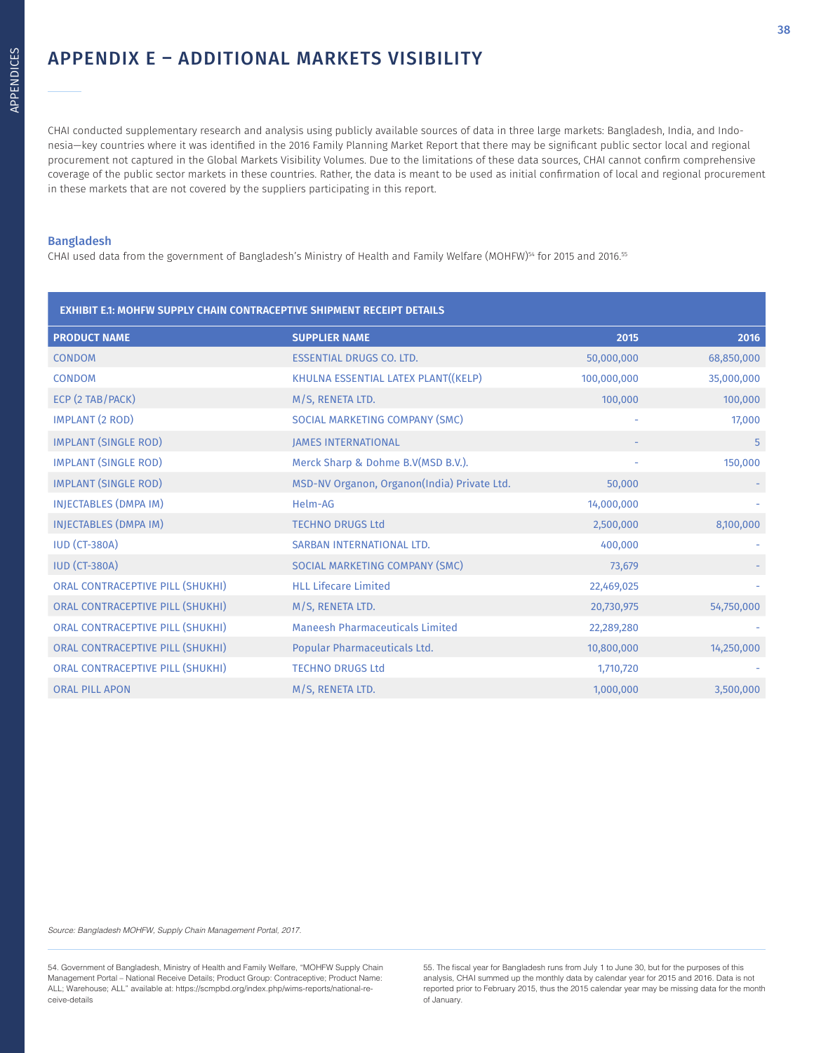### APPENDIX E – ADDITIONAL MARKETS VISIBILITY

CHAI conducted supplementary research and analysis using publicly available sources of data in three large markets: Bangladesh, India, and Indonesia—key countries where it was identified in the 2016 Family Planning Market Report that there may be significant public sector local and regional procurement not captured in the Global Markets Visibility Volumes. Due to the limitations of these data sources, CHAI cannot confirm comprehensive coverage of the public sector markets in these countries. Rather, the data is meant to be used as initial confirmation of local and regional procurement in these markets that are not covered by the suppliers participating in this report.

### Bangladesh

CHAI used data from the government of Bangladesh's Ministry of Health and Family Welfare (MOHFW)<sup>54</sup> for 2015 and 2016.<sup>55</sup>

| <b>EXHIBIT E.1: MOHFW SUPPLY CHAIN CONTRACEPTIVE SHIPMENT RECEIPT DETAILS</b> |                                             |             |            |  |  |
|-------------------------------------------------------------------------------|---------------------------------------------|-------------|------------|--|--|
| <b>PRODUCT NAME</b>                                                           | <b>SUPPLIER NAME</b>                        | 2015        | 2016       |  |  |
| <b>CONDOM</b>                                                                 | <b>ESSENTIAL DRUGS CO. LTD.</b>             | 50,000,000  | 68,850,000 |  |  |
| <b>CONDOM</b>                                                                 | KHULNA ESSENTIAL LATEX PLANT((KELP)         | 100,000,000 | 35,000,000 |  |  |
| ECP (2 TAB/PACK)                                                              | M/S, RENETA LTD.                            | 100,000     | 100,000    |  |  |
| <b>IMPLANT (2 ROD)</b>                                                        | SOCIAL MARKETING COMPANY (SMC)              |             | 17,000     |  |  |
| <b>IMPLANT (SINGLE ROD)</b>                                                   | <b>JAMES INTERNATIONAL</b>                  |             | 5          |  |  |
| <b>IMPLANT (SINGLE ROD)</b>                                                   | Merck Sharp & Dohme B.V(MSD B.V.).          |             | 150,000    |  |  |
| <b>IMPLANT (SINGLE ROD)</b>                                                   | MSD-NV Organon, Organon(India) Private Ltd. | 50,000      |            |  |  |
| INJECTABLES (DMPA IM)                                                         | Helm-AG                                     | 14,000,000  |            |  |  |
| INJECTABLES (DMPA IM)                                                         | <b>TECHNO DRUGS Ltd</b>                     | 2,500,000   | 8,100,000  |  |  |
| <b>IUD (CT-380A)</b>                                                          | SARBAN INTERNATIONAL LTD.                   | 400,000     |            |  |  |
| <b>IUD (CT-380A)</b>                                                          | SOCIAL MARKETING COMPANY (SMC)              | 73,679      |            |  |  |
| ORAL CONTRACEPTIVE PILL (SHUKHI)                                              | <b>HLL Lifecare Limited</b>                 | 22,469,025  |            |  |  |
| ORAL CONTRACEPTIVE PILL (SHUKHI)                                              | M/S, RENETA LTD.                            | 20,730,975  | 54,750,000 |  |  |
| ORAL CONTRACEPTIVE PILL (SHUKHI)                                              | <b>Maneesh Pharmaceuticals Limited</b>      | 22,289,280  |            |  |  |
| ORAL CONTRACEPTIVE PILL (SHUKHI)                                              | Popular Pharmaceuticals Ltd.                | 10,800,000  | 14,250,000 |  |  |
| ORAL CONTRACEPTIVE PILL (SHUKHI)                                              | <b>TECHNO DRUGS Ltd</b>                     | 1,710,720   |            |  |  |
| <b>ORAL PILL APON</b>                                                         | M/S, RENETA LTD.                            | 1,000,000   | 3,500,000  |  |  |

Source: Bangladesh MOHFW, Supply Chain Management Portal, 2017.

55. The fiscal year for Bangladesh runs from July 1 to June 30, but for the purposes of this analysis, CHAI summed up the monthly data by calendar year for 2015 and 2016. Data is not reported prior to February 2015, thus the 2015 calendar year may be missing data for the month of January.

<sup>54.</sup> Government of Bangladesh, Ministry of Health and Family Welfare, "MOHFW Supply Chain Management Portal – National Receive Details; Product Group: Contraceptive; Product Name: ALL; Warehouse; ALL" available at: https://scmpbd.org/index.php/wims-reports/national-receive-details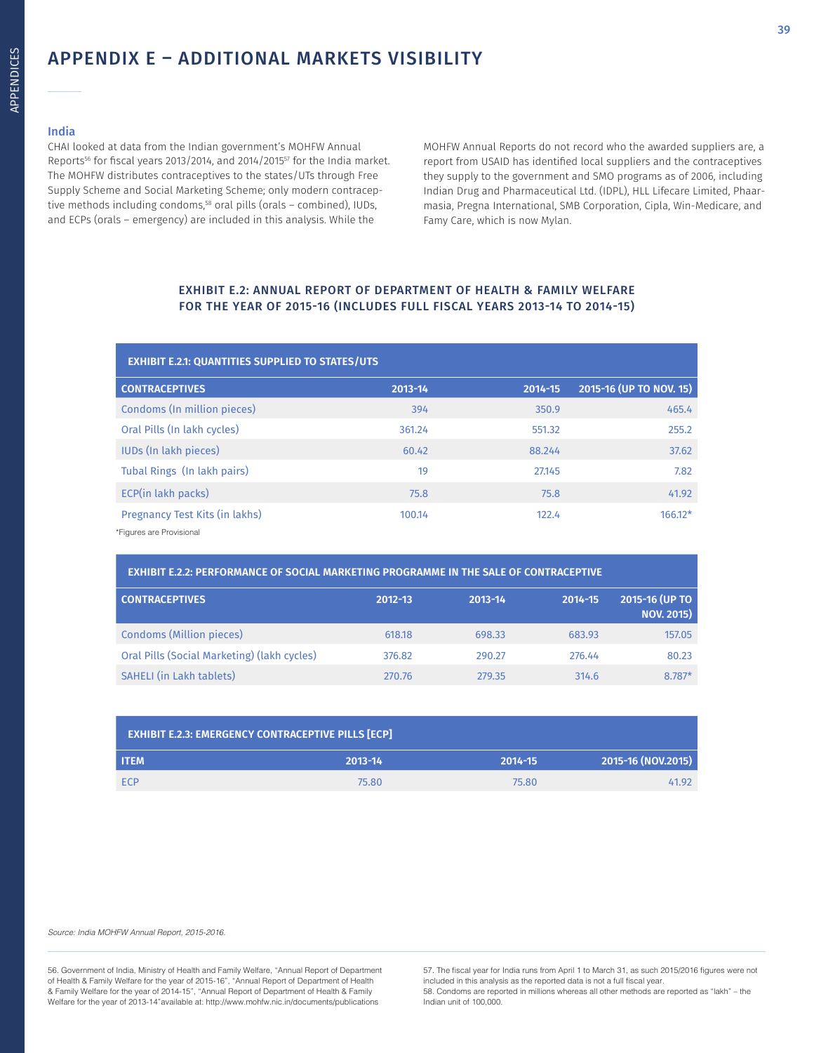### APPENDIX E – ADDITIONAL MARKETS VISIBILITY

### India

CHAI looked at data from the Indian government's MOHFW Annual Reports56 for fiscal years 2013/2014, and 2014/201557 for the India market. The MOHFW distributes contraceptives to the states/UTs through Free Supply Scheme and Social Marketing Scheme; only modern contraceptive methods including condoms,<sup>58</sup> oral pills (orals - combined), IUDs, and ECPs (orals – emergency) are included in this analysis. While the

MOHFW Annual Reports do not record who the awarded suppliers are, a report from USAID has identified local suppliers and the contraceptives they supply to the government and SMO programs as of 2006, including Indian Drug and Pharmaceutical Ltd. (IDPL), HLL Lifecare Limited, Phaarmasia, Pregna International, SMB Corporation, Cipla, Win-Medicare, and Famy Care, which is now Mylan.

### EXHIBIT E.2: ANNUAL REPORT OF DEPARTMENT OF HEALTH & FAMILY WELFARE FOR THE YEAR OF 2015-16 (INCLUDES FULL FISCAL YEARS 2013-14 TO 2014-15)

| <b>EXHIBIT E.2.1: QUANTITIES SUPPLIED TO STATES/UTS</b> |             |         |                         |  |  |
|---------------------------------------------------------|-------------|---------|-------------------------|--|--|
| <b>CONTRACEPTIVES</b>                                   | $2013 - 14$ | 2014-15 | 2015-16 (UP TO NOV. 15) |  |  |
| Condoms (In million pieces)                             | 394         | 350.9   | 465.4                   |  |  |
| Oral Pills (In lakh cycles)                             | 361.24      | 551.32  | 255.2                   |  |  |
| <b>IUDs (In lakh pieces)</b>                            | 60.42       | 88.244  | 37.62                   |  |  |
| Tubal Rings (In lakh pairs)                             | 19          | 27.145  | 7.82                    |  |  |
| ECP(in lakh packs)                                      | 75.8        | 75.8    | 41.92                   |  |  |
| Pregnancy Test Kits (in lakhs)                          | 100.14      | 122.4   | $166.12*$               |  |  |
| *Figures are Provisional                                |             |         |                         |  |  |

| <b>EXHIBIT E.2.2: PERFORMANCE OF SOCIAL MARKETING PROGRAMME IN THE SALE OF CONTRACEPTIVE</b> |             |         |             |                                     |  |
|----------------------------------------------------------------------------------------------|-------------|---------|-------------|-------------------------------------|--|
| <b>CONTRACEPTIVES</b>                                                                        | $2012 - 13$ | 2013-14 | $2014 - 15$ | 2015-16 (UP TO<br><b>NOV. 2015)</b> |  |
| Condoms (Million pieces)                                                                     | 618.18      | 698.33  | 683.93      | 157.05                              |  |
| Oral Pills (Social Marketing) (lakh cycles)                                                  | 376.82      | 290.27  | 276.44      | 80.23                               |  |
| SAHELI (in Lakh tablets)                                                                     | 270.76      | 279.35  | 314.6       | 8.787*                              |  |

| <b>EXHIBIT E.2.3: EMERGENCY CONTRACEPTIVE PILLS [ECP]</b> |         |         |                    |  |  |
|-----------------------------------------------------------|---------|---------|--------------------|--|--|
| <b>ITEM</b>                                               | 2013-14 | 2014-15 | 2015-16 (NOV.2015) |  |  |
| <b>FCP</b>                                                | 75.80   | 75.80   | 41.92              |  |  |

Source: India MOHFW Annual Report, 2015-2016.

56. Government of India, Ministry of Health and Family Welfare, "Annual Report of Department of Health & Family Welfare for the year of 2015-16", "Annual Report of Department of Health & Family Welfare for the year of 2014-15", "Annual Report of Department of Health & Family Welfare for the year of 2013-14"available at: http://www.mohfw.nic.in/documents/publications

57. The fiscal year for India runs from April 1 to March 31, as such 2015/2016 figures were not included in this analysis as the reported data is not a full fiscal year. 58. Condoms are reported in millions whereas all other methods are reported as "lakh" – the Indian unit of 100,000.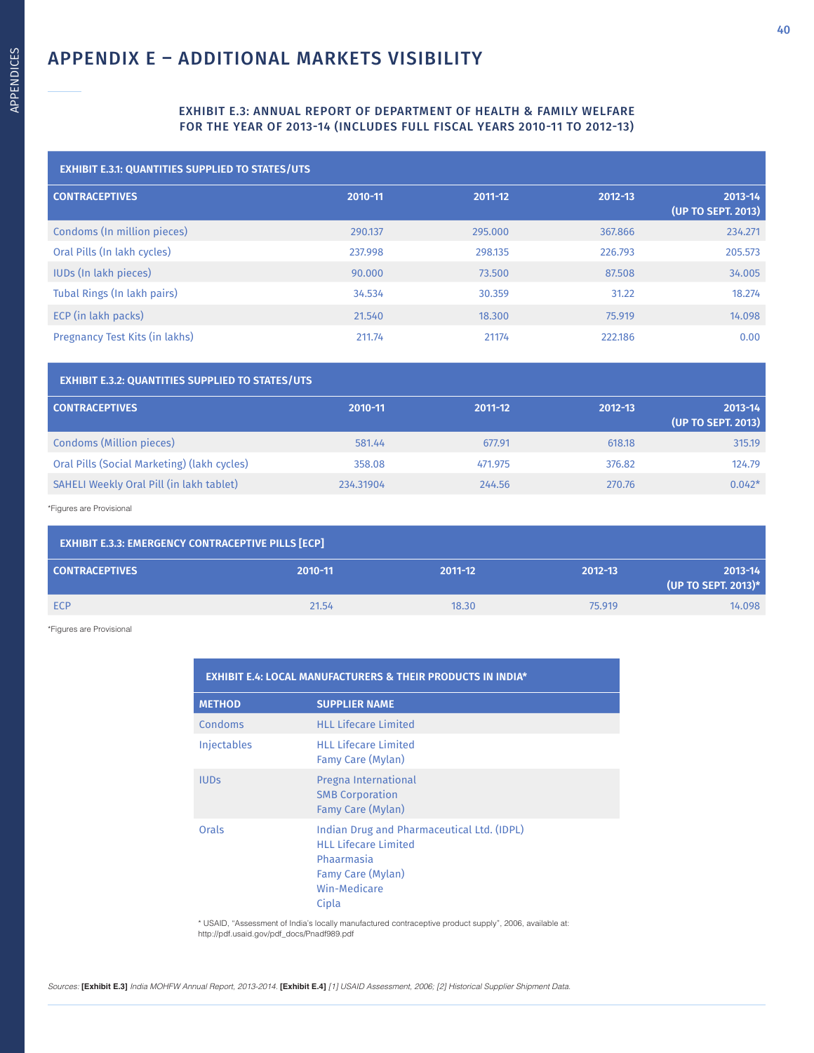### EXHIBIT E.3: ANNUAL REPORT OF DEPARTMENT OF HEALTH & FAMILY WELFARE FOR THE YEAR OF 2013-14 (INCLUDES FULL FISCAL YEARS 2010-11 TO 2012-13)

| <b>EXHIBIT E.3.1: QUANTITIES SUPPLIED TO STATES/UTS</b> |         |         |         |                               |  |  |
|---------------------------------------------------------|---------|---------|---------|-------------------------------|--|--|
| <b>CONTRACEPTIVES</b>                                   | 2010-11 | 2011-12 | 2012-13 | 2013-14<br>(UP TO SEPT. 2013) |  |  |
| Condoms (In million pieces)                             | 290.137 | 295,000 | 367.866 | 234.271                       |  |  |
| Oral Pills (In lakh cycles)                             | 237.998 | 298.135 | 226.793 | 205.573                       |  |  |
| <b>IUDs (In lakh pieces)</b>                            | 90.000  | 73.500  | 87.508  | 34.005                        |  |  |
| Tubal Rings (In lakh pairs)                             | 34.534  | 30.359  | 31.22   | 18.274                        |  |  |
| ECP (in lakh packs)                                     | 21.540  | 18.300  | 75.919  | 14.098                        |  |  |
| Pregnancy Test Kits (in lakhs)                          | 211.74  | 21174   | 222.186 | 0.00                          |  |  |

| <b>EXHIBIT E.3.2: QUANTITIES SUPPLIED TO STATES/UTS</b> |             |         |             |                                   |
|---------------------------------------------------------|-------------|---------|-------------|-----------------------------------|
| <b>CONTRACEPTIVES</b>                                   | $2010 - 11$ | 2011-12 | $2012 - 13$ | $2013 - 14$<br>(UP TO SEPT. 2013) |
| Condoms (Million pieces)                                | 581.44      | 677.91  | 618.18      | 315.19                            |
| Oral Pills (Social Marketing) (lakh cycles)             | 358.08      | 471.975 | 376.82      | 124.79                            |
| SAHELI Weekly Oral Pill (in lakh tablet)                | 234.31904   | 244.56  | 270.76      | $0.042*$                          |

\*Figures are Provisional

| <b>EXHIBIT E.3.3: EMERGENCY CONTRACEPTIVE PILLS [ECP]</b> |         |         |             |                                    |  |
|-----------------------------------------------------------|---------|---------|-------------|------------------------------------|--|
| <b>CONTRACEPTIVES</b>                                     | 2010-11 | 2011-12 | $2012 - 13$ | $2013 - 14$<br>(UP TO SEPT. 2013)* |  |
| ECP                                                       | 21.54   | 18.30   | 75,919      | 14.098                             |  |

\*Figures are Provisional

| <b>EXHIBIT E.4: LOCAL MANUFACTURERS &amp; THEIR PRODUCTS IN INDIA*</b> |                                                                                                                                       |  |  |  |
|------------------------------------------------------------------------|---------------------------------------------------------------------------------------------------------------------------------------|--|--|--|
| <b>METHOD</b>                                                          | <b>SUPPLIER NAME</b>                                                                                                                  |  |  |  |
| Condoms                                                                | <b>HLL Lifecare Limited</b>                                                                                                           |  |  |  |
| <b>Injectables</b>                                                     | <b>HLL Lifecare Limited</b><br>Famy Care (Mylan)                                                                                      |  |  |  |
| <b>IUDS</b>                                                            | Pregna International<br><b>SMB Corporation</b><br>Famy Care (Mylan)                                                                   |  |  |  |
| Orals                                                                  | Indian Drug and Pharmaceutical Ltd. (IDPL)<br><b>HLL Lifecare Limited</b><br>Phaarmasia<br>Famy Care (Mylan)<br>Win-Medicare<br>Cipla |  |  |  |

\* USAID, "Assessment of India's locally manufactured contraceptive product supply", 2006, available at: http://pdf.usaid.gov/pdf\_docs/Pnadf989.pdf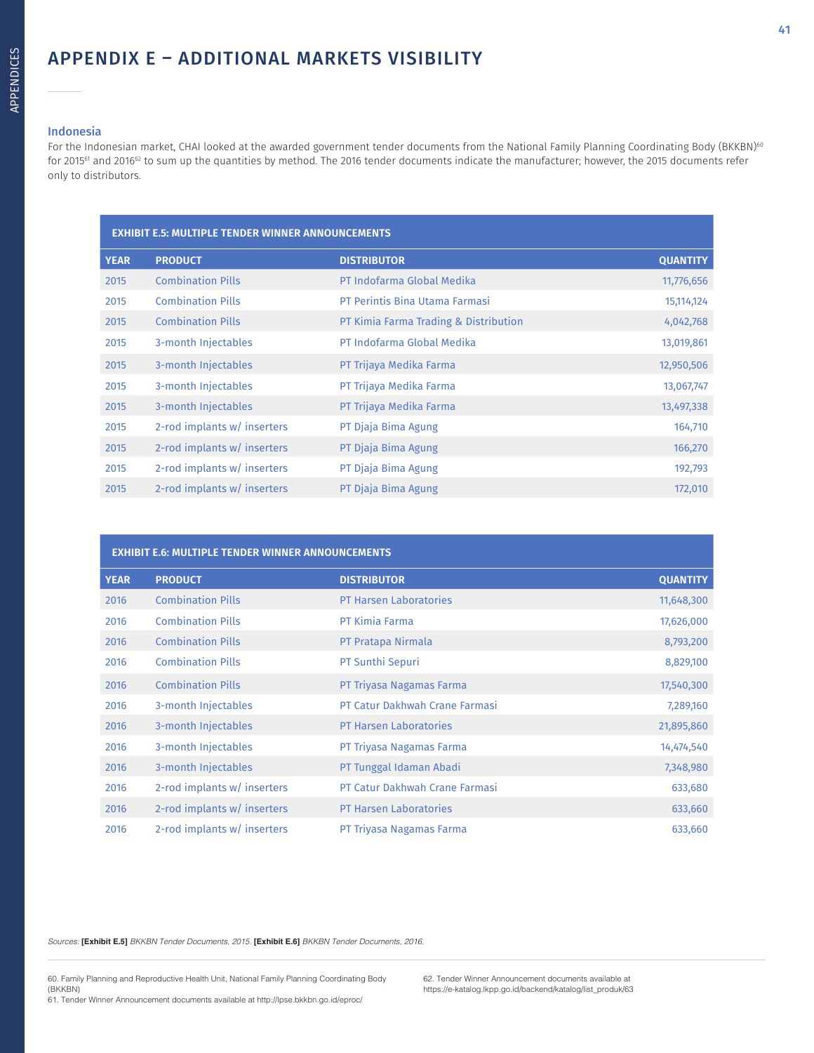### APPENDIX E – ADDITIONAL MARKETS VISIBILITY

### Indonesia

For the Indonesian market, CHAI looked at the awarded government tender documents from the National Family Planning Coordinating Body (BKKBN)<sup>60</sup> for 2015<sup>61</sup> and 2016<sup>62</sup> to sum up the quantities by method. The 2016 tender documents indicate the manufacturer; however, the 2015 documents refer only to distributors.

| <b>EXHIBIT E.5: MULTIPLE TENDER WINNER ANNOUNCEMENTS</b> |                             |                                       |                 |  |
|----------------------------------------------------------|-----------------------------|---------------------------------------|-----------------|--|
| <b>YEAR</b>                                              | <b>PRODUCT</b>              | <b>DISTRIBUTOR</b>                    | <b>QUANTITY</b> |  |
| 2015                                                     | <b>Combination Pills</b>    | PT Indofarma Global Medika            | 11,776,656      |  |
| 2015                                                     | <b>Combination Pills</b>    | PT Perintis Bina Utama Farmasi        | 15,114,124      |  |
| 2015                                                     | <b>Combination Pills</b>    | PT Kimia Farma Trading & Distribution | 4,042,768       |  |
| 2015                                                     | 3-month Injectables         | PT Indofarma Global Medika            | 13,019,861      |  |
| 2015                                                     | 3-month Injectables         | PT Trijaya Medika Farma               | 12,950,506      |  |
| 2015                                                     | 3-month Injectables         | PT Trijaya Medika Farma               | 13,067,747      |  |
| 2015                                                     | 3-month Injectables         | PT Trijaya Medika Farma               | 13,497,338      |  |
| 2015                                                     | 2-rod implants w/ inserters | PT Djaja Bima Agung                   | 164,710         |  |
| 2015                                                     | 2-rod implants w/ inserters | PT Djaja Bima Agung                   | 166,270         |  |
| 2015                                                     | 2-rod implants w/ inserters | PT Djaja Bima Agung                   | 192,793         |  |
| 2015                                                     | 2-rod implants w/ inserters | PT Djaja Bima Agung                   | 172,010         |  |

|             | <b>EXHIBIT E.6: MULTIPLE TENDER WINNER ANNOUNCEMENTS</b> |                                |                 |
|-------------|----------------------------------------------------------|--------------------------------|-----------------|
| <b>YEAR</b> | <b>PRODUCT</b>                                           | <b>DISTRIBUTOR</b>             | <b>QUANTITY</b> |
| 2016        | <b>Combination Pills</b>                                 | <b>PT Harsen Laboratories</b>  | 11,648,300      |
| 2016        | <b>Combination Pills</b>                                 | <b>PT Kimia Farma</b>          | 17,626,000      |
| 2016        | <b>Combination Pills</b>                                 | PT Pratapa Nirmala             | 8,793,200       |
| 2016        | <b>Combination Pills</b>                                 | PT Sunthi Sepuri               | 8,829,100       |
| 2016        | <b>Combination Pills</b>                                 | PT Triyasa Nagamas Farma       | 17,540,300      |
| 2016        | 3-month Injectables                                      | PT Catur Dakhwah Crane Farmasi | 7,289,160       |
| 2016        | 3-month Injectables                                      | <b>PT Harsen Laboratories</b>  | 21,895,860      |
| 2016        | 3-month Injectables                                      | PT Triyasa Nagamas Farma       | 14,474,540      |
| 2016        | 3-month Injectables                                      | PT Tunggal Idaman Abadi        | 7,348,980       |
| 2016        | 2-rod implants w/ inserters                              | PT Catur Dakhwah Crane Farmasi | 633,680         |
| 2016        | 2-rod implants w/ inserters                              | <b>PT Harsen Laboratories</b>  | 633,660         |
| 2016        | 2-rod implants w/ inserters                              | PT Triyasa Nagamas Farma       | 633,660         |

Sources: **[Exhibit E.5]** BKKBN Tender Documents, 2015. **[Exhibit E.6]** BKKBN Tender Documents, 2016.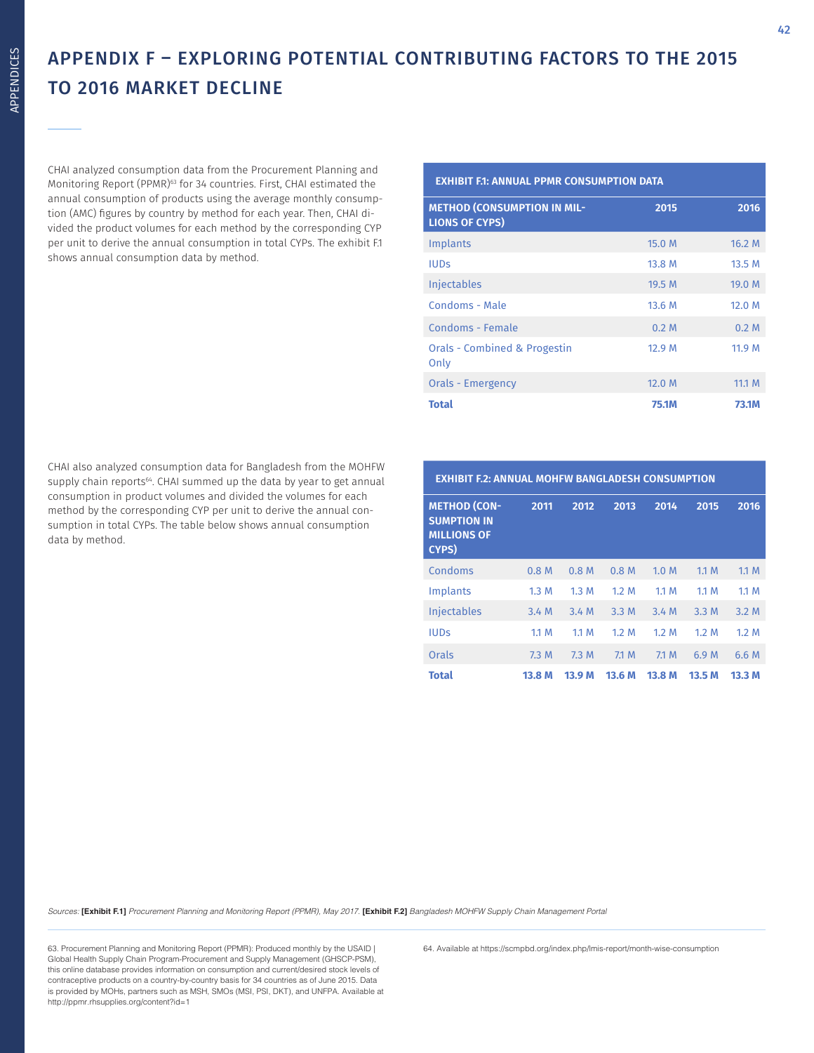### APPENDIX F – EXPLORING POTENTIAL CONTRIBUTING FACTORS TO THE 2015 TO 2016 MARKET DECLINE

CHAI analyzed consumption data from the Procurement Planning and Monitoring Report (PPMR)<sup>63</sup> for 34 countries. First, CHAI estimated the annual consumption of products using the average monthly consumption (AMC) figures by country by method for each year. Then, CHAI divided the product volumes for each method by the corresponding CYP per unit to derive the annual consumption in total CYPs. The exhibit F.1 shows annual consumption data by method.

**EXHIBIT F.1: ANNUAL PPMR CONSUMPTION DATA**

| <b>METHOD (CONSUMPTION IN MIL-</b><br><b>LIONS OF CYPS)</b> | 2015             | 2016         |
|-------------------------------------------------------------|------------------|--------------|
| Implants                                                    | 15.0 M           | 16.2 M       |
| <b>IUDS</b>                                                 | 13.8 M           | 13.5M        |
| <b>Injectables</b>                                          | 19.5 M           | 19.0 M       |
| Condoms - Male                                              | 13.6 M           | 12.0 M       |
| Condoms - Female                                            | 0.2 <sub>M</sub> | 0.2 M        |
| <b>Orals - Combined &amp; Progestin</b><br>Only             | 12.9 M           | 11.9 M       |
| Orals - Emergency                                           | 12.0 M           | 11.1 M       |
| <b>Total</b>                                                | 75.1M            | <b>73.1M</b> |

CHAI also analyzed consumption data for Bangladesh from the MOHFW supply chain reports<sup>64</sup>. CHAI summed up the data by year to get annual consumption in product volumes and divided the volumes for each method by the corresponding CYP per unit to derive the annual consumption in total CYPs. The table below shows annual consumption data by method.

| <b>EXHIBIT F.2: ANNUAL MOHFW BANGLADESH CONSUMPTION</b>                         |                  |                  |                  |        |        |        |
|---------------------------------------------------------------------------------|------------------|------------------|------------------|--------|--------|--------|
| <b>METHOD (CON-</b><br><b>SUMPTION IN</b><br><b>MILLIONS OF</b><br><b>CYPS)</b> | 2011             | 2012             | 2013             | 2014   | 2015   | 2016   |
| Condoms                                                                         | 0.8 <sub>M</sub> | 0.8 <sub>M</sub> | 0.8 <sub>M</sub> | 1.0 M  | 1.1 M  | 1.1 M  |
| Implants                                                                        | 1.3M             | 1.3M             | 1.2 M            | 1.1 M  | 1.1 M  | 1.1 M  |
| Injectables                                                                     | 3.4M             | 3.4M             | 3.3M             | 3.4M   | 3.3M   | 3.2M   |
| <b>IUDs</b>                                                                     | 1.1 M            | 1.1 M            | 1.2 M            | 1.2 M  | 1.2 M  | 1.2M   |
| Orals                                                                           | 7.3M             | 7.3M             | 7.1M             | 7.1 M  | 6.9 M  | 6.6 M  |
| <b>Total</b>                                                                    | 13.8 M           | 13.9 M           | 13.6 M           | 13.8 M | 13.5 M | 13.3 M |

Sources: **[Exhibit F.1]** Procurement Planning and Monitoring Report (PPMR), May 2017. **[Exhibit F.2]** Bangladesh MOHFW Supply Chain Management Portal

63. Procurement Planning and Monitoring Report (PPMR): Produced monthly by the USAID | Global Health Supply Chain Program-Procurement and Supply Management (GHSCP-PSM), this online database provides information on consumption and current/desired stock levels of contraceptive products on a country-by-country basis for 34 countries as of June 2015. Data is provided by MOHs, partners such as MSH, SMOs (MSI, PSI, DKT), and UNFPA. Available at http://ppmr.rhsupplies.org/content?id=1

64. Available at https://scmpbd.org/index.php/lmis-report/month-wise-consumption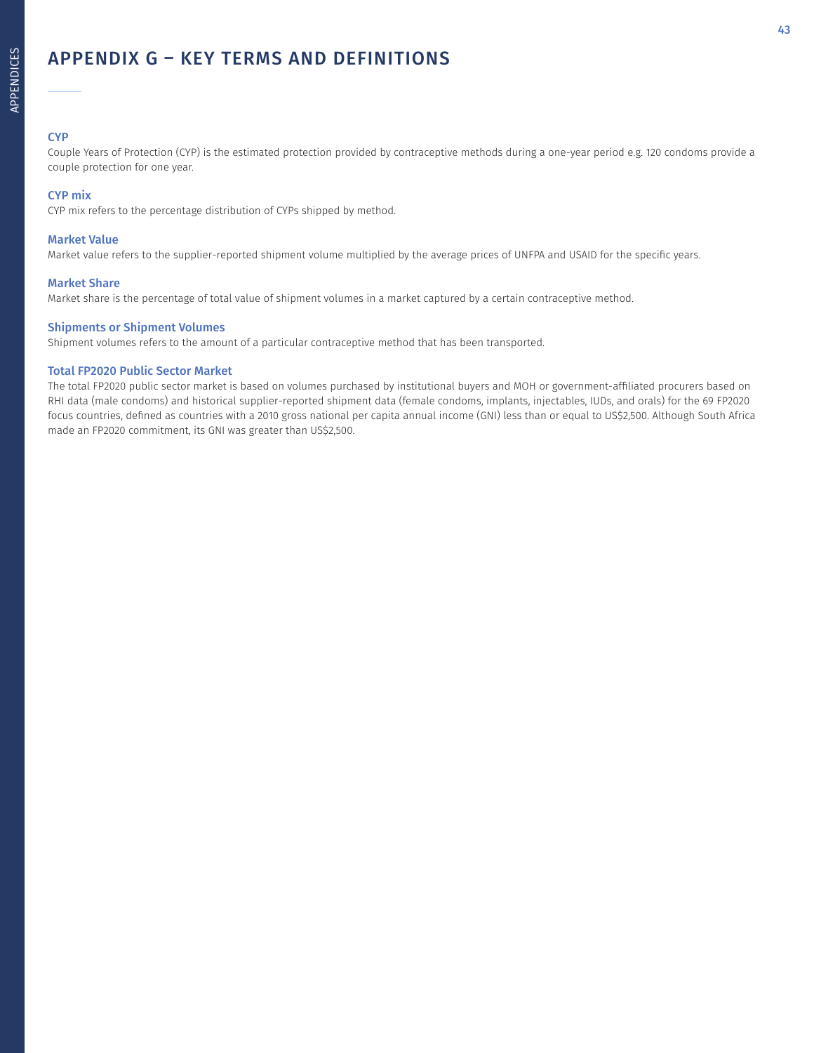### APPENDIX G – KEY TERMS AND DEFINITIONS

### **CYP**

Couple Years of Protection (CYP) is the estimated protection provided by contraceptive methods during a one-year period e.g. 120 condoms provide a couple protection for one year.

### CYP mix

CYP mix refers to the percentage distribution of CYPs shipped by method.

### Market Value

Market value refers to the supplier-reported shipment volume multiplied by the average prices of UNFPA and USAID for the specific years.

#### Market Share

Market share is the percentage of total value of shipment volumes in a market captured by a certain contraceptive method.

### Shipments or Shipment Volumes

Shipment volumes refers to the amount of a particular contraceptive method that has been transported.

### Total FP2020 Public Sector Market

The total FP2020 public sector market is based on volumes purchased by institutional buyers and MOH or government-affiliated procurers based on RHI data (male condoms) and historical supplier-reported shipment data (female condoms, implants, injectables, IUDs, and orals) for the 69 FP2020 focus countries, defined as countries with a 2010 gross national per capita annual income (GNI) less than or equal to US\$2,500. Although South Africa made an FP2020 commitment, its GNI was greater than US\$2,500.